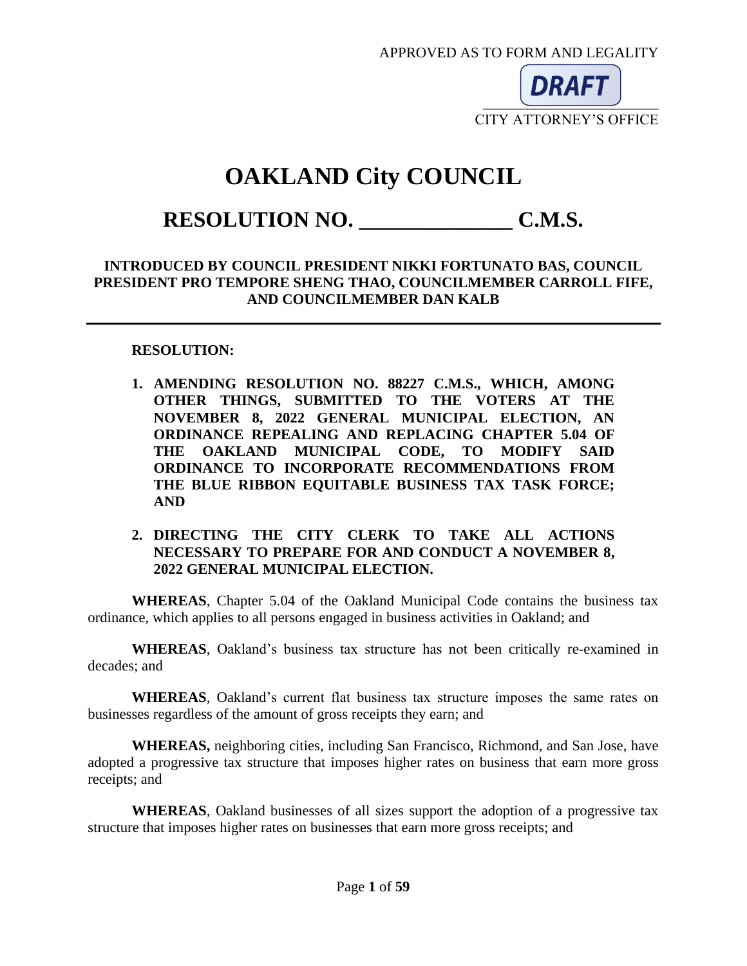APPROVED AS TO FORM AND LEGALITY



CITY ATTORNEY'S OFFICE

# **OAKLAND City COUNCIL**

# **RESOLUTION NO. \_\_\_\_\_\_\_\_\_\_\_\_\_\_ C.M.S.**

#### **INTRODUCED BY COUNCIL PRESIDENT NIKKI FORTUNATO BAS, COUNCIL PRESIDENT PRO TEMPORE SHENG THAO, COUNCILMEMBER CARROLL FIFE, AND COUNCILMEMBER DAN KALB**

#### **RESOLUTION:**

**1. AMENDING RESOLUTION NO. 88227 C.M.S., WHICH, AMONG OTHER THINGS, SUBMITTED TO THE VOTERS AT THE NOVEMBER 8, 2022 GENERAL MUNICIPAL ELECTION, AN ORDINANCE REPEALING AND REPLACING CHAPTER 5.04 OF THE OAKLAND MUNICIPAL CODE, TO MODIFY SAID ORDINANCE TO INCORPORATE RECOMMENDATIONS FROM THE BLUE RIBBON EQUITABLE BUSINESS TAX TASK FORCE; AND** 

#### **2. DIRECTING THE CITY CLERK TO TAKE ALL ACTIONS NECESSARY TO PREPARE FOR AND CONDUCT A NOVEMBER 8, 2022 GENERAL MUNICIPAL ELECTION.**

**WHEREAS**, Chapter 5.04 of the Oakland Municipal Code contains the business tax ordinance, which applies to all persons engaged in business activities in Oakland; and

**WHEREAS**, Oakland's business tax structure has not been critically re-examined in decades; and

**WHEREAS**, Oakland's current flat business tax structure imposes the same rates on businesses regardless of the amount of gross receipts they earn; and

**WHEREAS,** neighboring cities, including San Francisco, Richmond, and San Jose, have adopted a progressive tax structure that imposes higher rates on business that earn more gross receipts; and

**WHEREAS**, Oakland businesses of all sizes support the adoption of a progressive tax structure that imposes higher rates on businesses that earn more gross receipts; and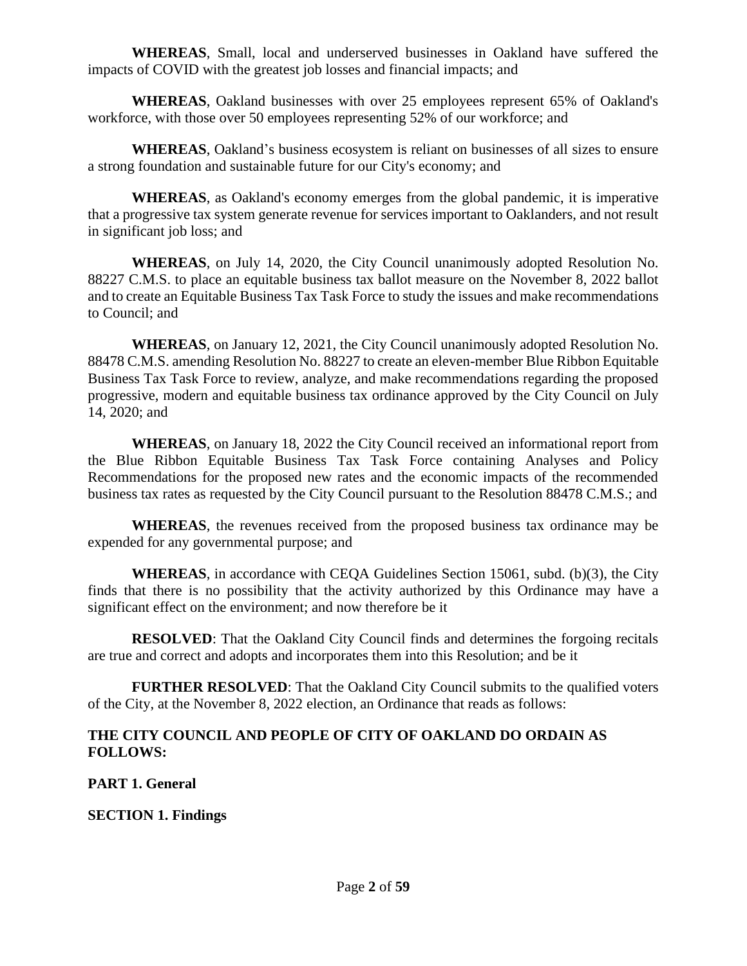**WHEREAS**, Small, local and underserved businesses in Oakland have suffered the impacts of COVID with the greatest job losses and financial impacts; and

**WHEREAS**, Oakland businesses with over 25 employees represent 65% of Oakland's workforce, with those over 50 employees representing 52% of our workforce; and

**WHEREAS**, Oakland's business ecosystem is reliant on businesses of all sizes to ensure a strong foundation and sustainable future for our City's economy; and

**WHEREAS**, as Oakland's economy emerges from the global pandemic, it is imperative that a progressive tax system generate revenue for services important to Oaklanders, and not result in significant job loss; and

**WHEREAS**, on July 14, 2020, the City Council unanimously adopted Resolution No. 88227 C.M.S. to place an equitable business tax ballot measure on the November 8, 2022 ballot and to create an Equitable Business Tax Task Force to study the issues and make recommendations to Council; and

**WHEREAS**, on January 12, 2021, the City Council unanimously adopted Resolution No. 88478 C.M.S. amending Resolution No. 88227 to create an eleven-member Blue Ribbon Equitable Business Tax Task Force to review, analyze, and make recommendations regarding the proposed progressive, modern and equitable business tax ordinance approved by the City Council on July 14, 2020; and

**WHEREAS**, on January 18, 2022 the City Council received an informational report from the Blue Ribbon Equitable Business Tax Task Force containing Analyses and Policy Recommendations for the proposed new rates and the economic impacts of the recommended business tax rates as requested by the City Council pursuant to the Resolution 88478 C.M.S.; and

**WHEREAS**, the revenues received from the proposed business tax ordinance may be expended for any governmental purpose; and

**WHEREAS**, in accordance with CEQA Guidelines Section 15061, subd. (b)(3), the City finds that there is no possibility that the activity authorized by this Ordinance may have a significant effect on the environment; and now therefore be it

**RESOLVED:** That the Oakland City Council finds and determines the forgoing recitals are true and correct and adopts and incorporates them into this Resolution; and be it

**FURTHER RESOLVED:** That the Oakland City Council submits to the qualified voters of the City, at the November 8, 2022 election, an Ordinance that reads as follows:

#### **THE CITY COUNCIL AND PEOPLE OF CITY OF OAKLAND DO ORDAIN AS FOLLOWS:**

**PART 1. General**

**SECTION 1. Findings**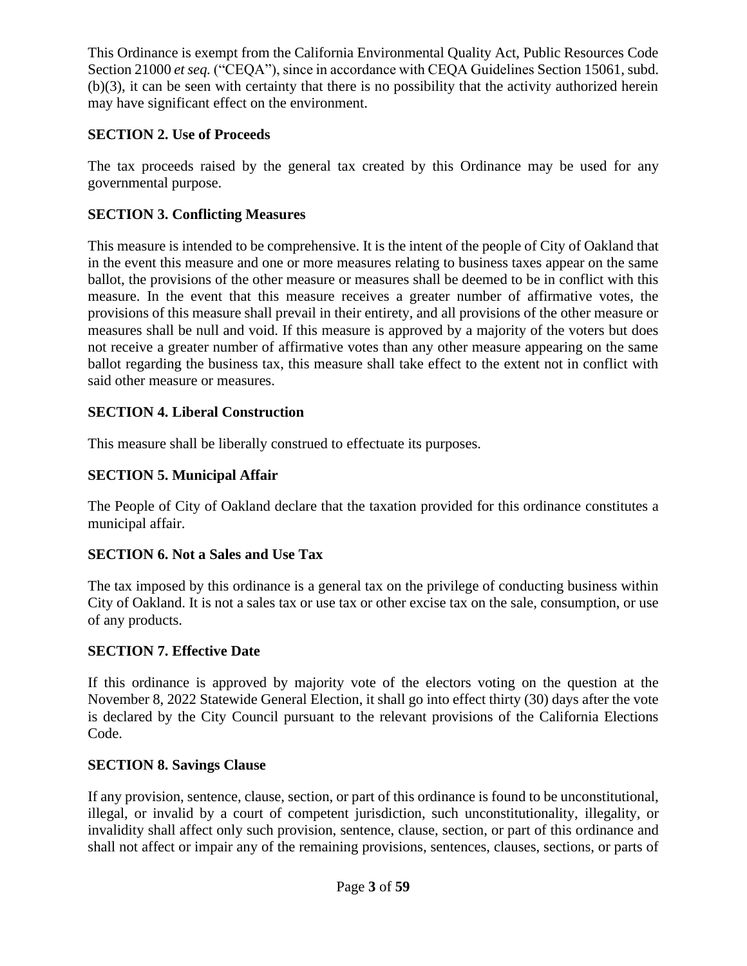This Ordinance is exempt from the California Environmental Quality Act, Public Resources Code Section 21000 *et seq.* ("CEQA"), since in accordance with CEQA Guidelines Section 15061, subd. (b)(3), it can be seen with certainty that there is no possibility that the activity authorized herein may have significant effect on the environment.

# **SECTION 2. Use of Proceeds**

The tax proceeds raised by the general tax created by this Ordinance may be used for any governmental purpose.

# **SECTION 3. Conflicting Measures**

This measure is intended to be comprehensive. It is the intent of the people of City of Oakland that in the event this measure and one or more measures relating to business taxes appear on the same ballot, the provisions of the other measure or measures shall be deemed to be in conflict with this measure. In the event that this measure receives a greater number of affirmative votes, the provisions of this measure shall prevail in their entirety, and all provisions of the other measure or measures shall be null and void. If this measure is approved by a majority of the voters but does not receive a greater number of affirmative votes than any other measure appearing on the same ballot regarding the business tax, this measure shall take effect to the extent not in conflict with said other measure or measures.

## **SECTION 4. Liberal Construction**

This measure shall be liberally construed to effectuate its purposes.

# **SECTION 5. Municipal Affair**

The People of City of Oakland declare that the taxation provided for this ordinance constitutes a municipal affair.

## **SECTION 6. Not a Sales and Use Tax**

The tax imposed by this ordinance is a general tax on the privilege of conducting business within City of Oakland. It is not a sales tax or use tax or other excise tax on the sale, consumption, or use of any products.

## **SECTION 7. Effective Date**

If this ordinance is approved by majority vote of the electors voting on the question at the November 8, 2022 Statewide General Election, it shall go into effect thirty (30) days after the vote is declared by the City Council pursuant to the relevant provisions of the California Elections Code.

## **SECTION 8. Savings Clause**

If any provision, sentence, clause, section, or part of this ordinance is found to be unconstitutional, illegal, or invalid by a court of competent jurisdiction, such unconstitutionality, illegality, or invalidity shall affect only such provision, sentence, clause, section, or part of this ordinance and shall not affect or impair any of the remaining provisions, sentences, clauses, sections, or parts of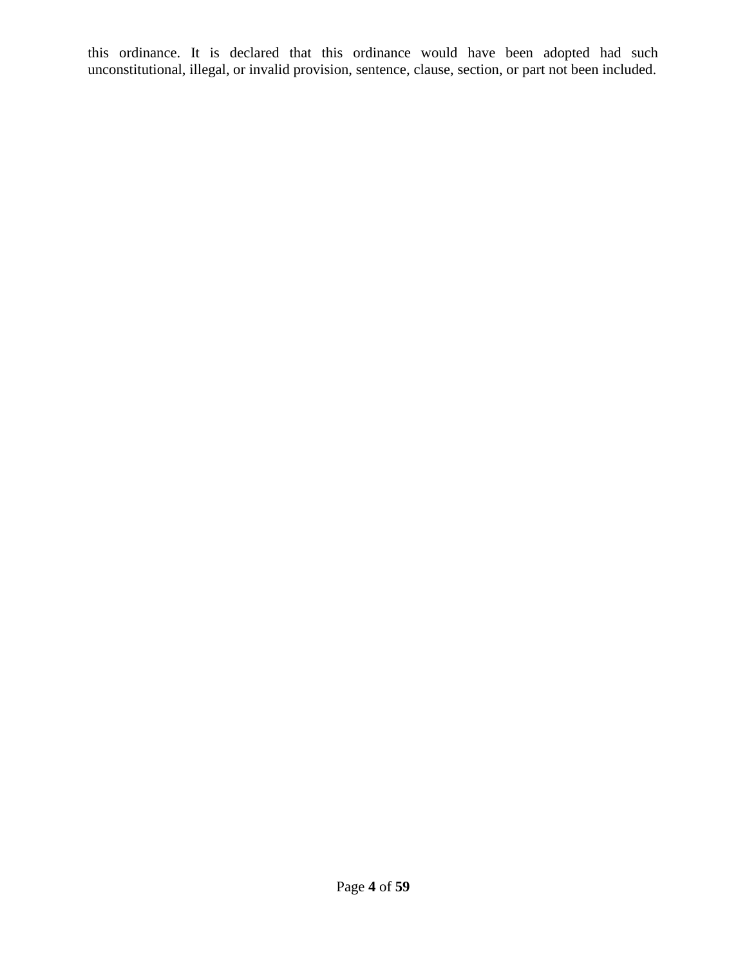this ordinance. It is declared that this ordinance would have been adopted had such unconstitutional, illegal, or invalid provision, sentence, clause, section, or part not been included.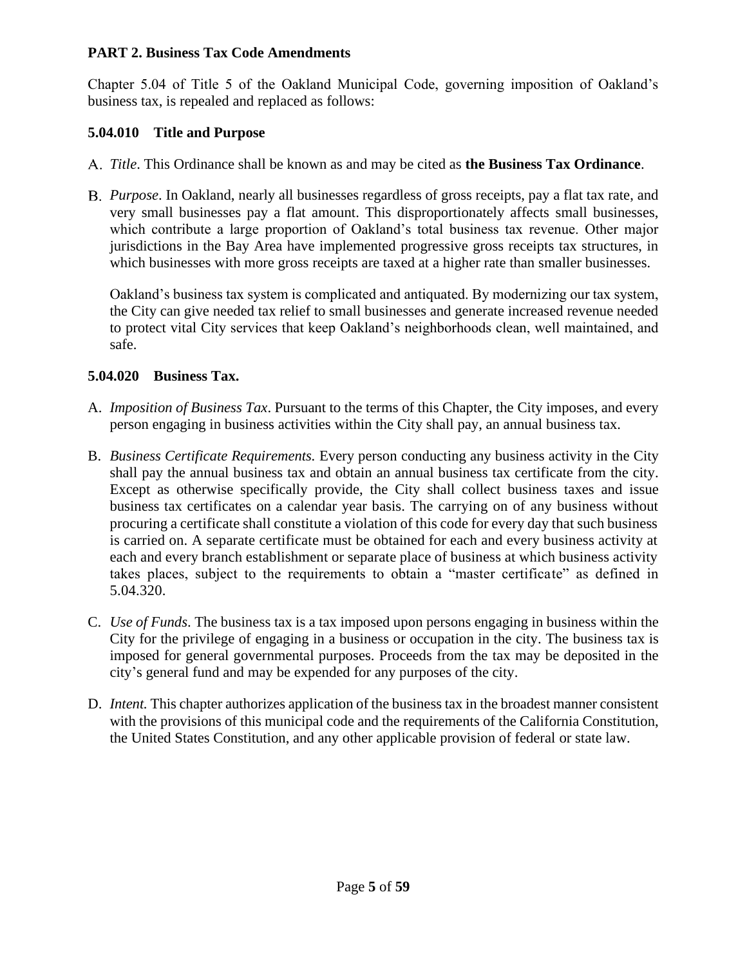#### **PART 2. Business Tax Code Amendments**

Chapter 5.04 of Title 5 of the Oakland Municipal Code, governing imposition of Oakland's business tax, is repealed and replaced as follows:

## **5.04.010 Title and Purpose**

- *Title*. This Ordinance shall be known as and may be cited as **the Business Tax Ordinance**.
- *Purpose*. In Oakland, nearly all businesses regardless of gross receipts, pay a flat tax rate, and very small businesses pay a flat amount. This disproportionately affects small businesses, which contribute a large proportion of Oakland's total business tax revenue. Other major jurisdictions in the Bay Area have implemented progressive gross receipts tax structures, in which businesses with more gross receipts are taxed at a higher rate than smaller businesses.

Oakland's business tax system is complicated and antiquated. By modernizing our tax system, the City can give needed tax relief to small businesses and generate increased revenue needed to protect vital City services that keep Oakland's neighborhoods clean, well maintained, and safe.

# **5.04.020 Business Tax.**

- A. *Imposition of Business Tax*. Pursuant to the terms of this Chapter, the City imposes, and every person engaging in business activities within the City shall pay, an annual business tax.
- B. *Business Certificate Requirements.* Every person conducting any business activity in the City shall pay the annual business tax and obtain an annual business tax certificate from the city. Except as otherwise specifically provide, the City shall collect business taxes and issue business tax certificates on a calendar year basis. The carrying on of any business without procuring a certificate shall constitute a violation of this code for every day that such business is carried on. A separate certificate must be obtained for each and every business activity at each and every branch establishment or separate place of business at which business activity takes places, subject to the requirements to obtain a "master certificate" as defined in 5.04.320.
- C. *Use of Funds*. The business tax is a tax imposed upon persons engaging in business within the City for the privilege of engaging in a business or occupation in the city. The business tax is imposed for general governmental purposes. Proceeds from the tax may be deposited in the city's general fund and may be expended for any purposes of the city.
- D. *Intent*. This chapter authorizes application of the business tax in the broadest manner consistent with the provisions of this municipal code and the requirements of the California Constitution, the United States Constitution, and any other applicable provision of federal or state law.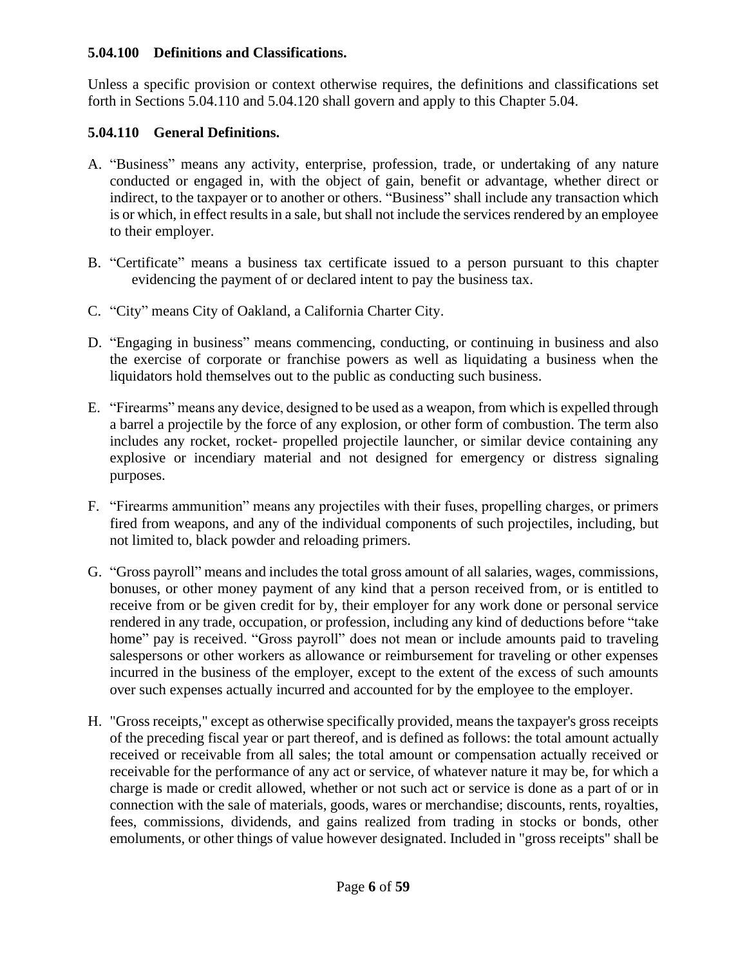#### **5.04.100 Definitions and Classifications.**

Unless a specific provision or context otherwise requires, the definitions and classifications set forth in Sections 5.04.110 and 5.04.120 shall govern and apply to this Chapter 5.04.

## **5.04.110 General Definitions.**

- A. "Business" means any activity, enterprise, profession, trade, or undertaking of any nature conducted or engaged in, with the object of gain, benefit or advantage, whether direct or indirect, to the taxpayer or to another or others. "Business" shall include any transaction which is or which, in effect results in a sale, but shall not include the services rendered by an employee to their employer.
- B. "Certificate" means a business tax certificate issued to a person pursuant to this chapter evidencing the payment of or declared intent to pay the business tax.
- C. "City" means City of Oakland, a California Charter City.
- D. "Engaging in business" means commencing, conducting, or continuing in business and also the exercise of corporate or franchise powers as well as liquidating a business when the liquidators hold themselves out to the public as conducting such business.
- E. "Firearms" means any device, designed to be used as a weapon, from which is expelled through a barrel a projectile by the force of any explosion, or other form of combustion. The term also includes any rocket, rocket- propelled projectile launcher, or similar device containing any explosive or incendiary material and not designed for emergency or distress signaling purposes.
- F. "Firearms ammunition" means any projectiles with their fuses, propelling charges, or primers fired from weapons, and any of the individual components of such projectiles, including, but not limited to, black powder and reloading primers.
- G. "Gross payroll" means and includes the total gross amount of all salaries, wages, commissions, bonuses, or other money payment of any kind that a person received from, or is entitled to receive from or be given credit for by, their employer for any work done or personal service rendered in any trade, occupation, or profession, including any kind of deductions before "take home" pay is received. "Gross payroll" does not mean or include amounts paid to traveling salespersons or other workers as allowance or reimbursement for traveling or other expenses incurred in the business of the employer, except to the extent of the excess of such amounts over such expenses actually incurred and accounted for by the employee to the employer.
- H. "Gross receipts," except as otherwise specifically provided, means the taxpayer's gross receipts of the preceding fiscal year or part thereof, and is defined as follows: the total amount actually received or receivable from all sales; the total amount or compensation actually received or receivable for the performance of any act or service, of whatever nature it may be, for which a charge is made or credit allowed, whether or not such act or service is done as a part of or in connection with the sale of materials, goods, wares or merchandise; discounts, rents, royalties, fees, commissions, dividends, and gains realized from trading in stocks or bonds, other emoluments, or other things of value however designated. Included in "gross receipts" shall be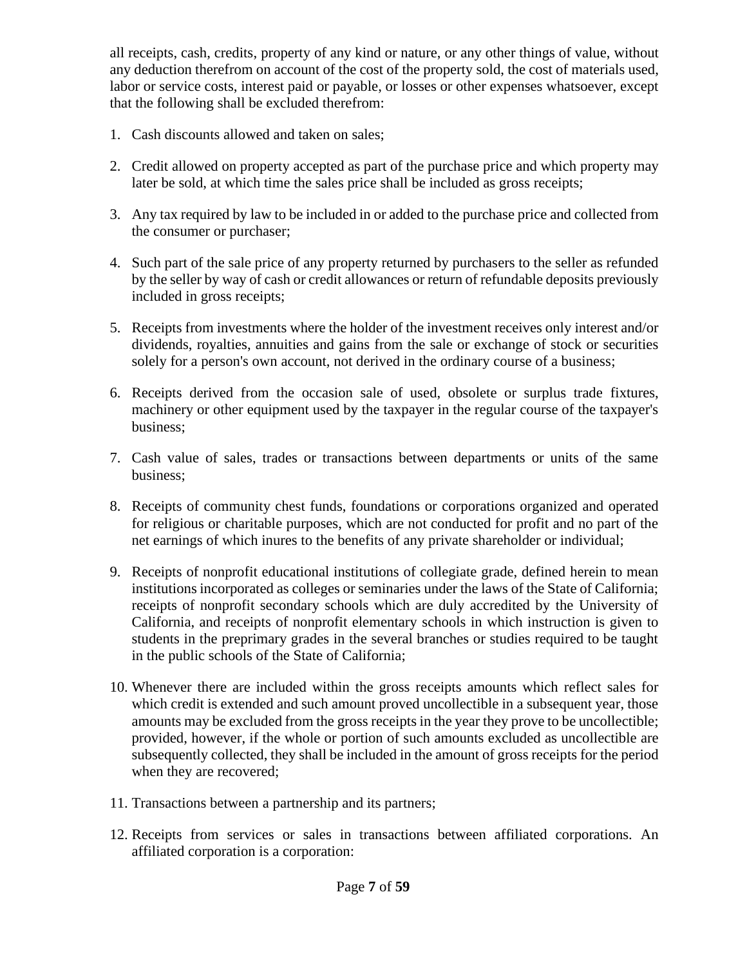all receipts, cash, credits, property of any kind or nature, or any other things of value, without any deduction therefrom on account of the cost of the property sold, the cost of materials used, labor or service costs, interest paid or payable, or losses or other expenses whatsoever, except that the following shall be excluded therefrom:

- 1. Cash discounts allowed and taken on sales;
- 2. Credit allowed on property accepted as part of the purchase price and which property may later be sold, at which time the sales price shall be included as gross receipts;
- 3. Any tax required by law to be included in or added to the purchase price and collected from the consumer or purchaser;
- 4. Such part of the sale price of any property returned by purchasers to the seller as refunded by the seller by way of cash or credit allowances or return of refundable deposits previously included in gross receipts;
- 5. Receipts from investments where the holder of the investment receives only interest and/or dividends, royalties, annuities and gains from the sale or exchange of stock or securities solely for a person's own account, not derived in the ordinary course of a business;
- 6. Receipts derived from the occasion sale of used, obsolete or surplus trade fixtures, machinery or other equipment used by the taxpayer in the regular course of the taxpayer's business;
- 7. Cash value of sales, trades or transactions between departments or units of the same business;
- 8. Receipts of community chest funds, foundations or corporations organized and operated for religious or charitable purposes, which are not conducted for profit and no part of the net earnings of which inures to the benefits of any private shareholder or individual;
- 9. Receipts of nonprofit educational institutions of collegiate grade, defined herein to mean institutions incorporated as colleges or seminaries under the laws of the State of California; receipts of nonprofit secondary schools which are duly accredited by the University of California, and receipts of nonprofit elementary schools in which instruction is given to students in the preprimary grades in the several branches or studies required to be taught in the public schools of the State of California;
- 10. Whenever there are included within the gross receipts amounts which reflect sales for which credit is extended and such amount proved uncollectible in a subsequent year, those amounts may be excluded from the gross receipts in the year they prove to be uncollectible; provided, however, if the whole or portion of such amounts excluded as uncollectible are subsequently collected, they shall be included in the amount of gross receipts for the period when they are recovered;
- 11. Transactions between a partnership and its partners;
- 12. Receipts from services or sales in transactions between affiliated corporations. An affiliated corporation is a corporation: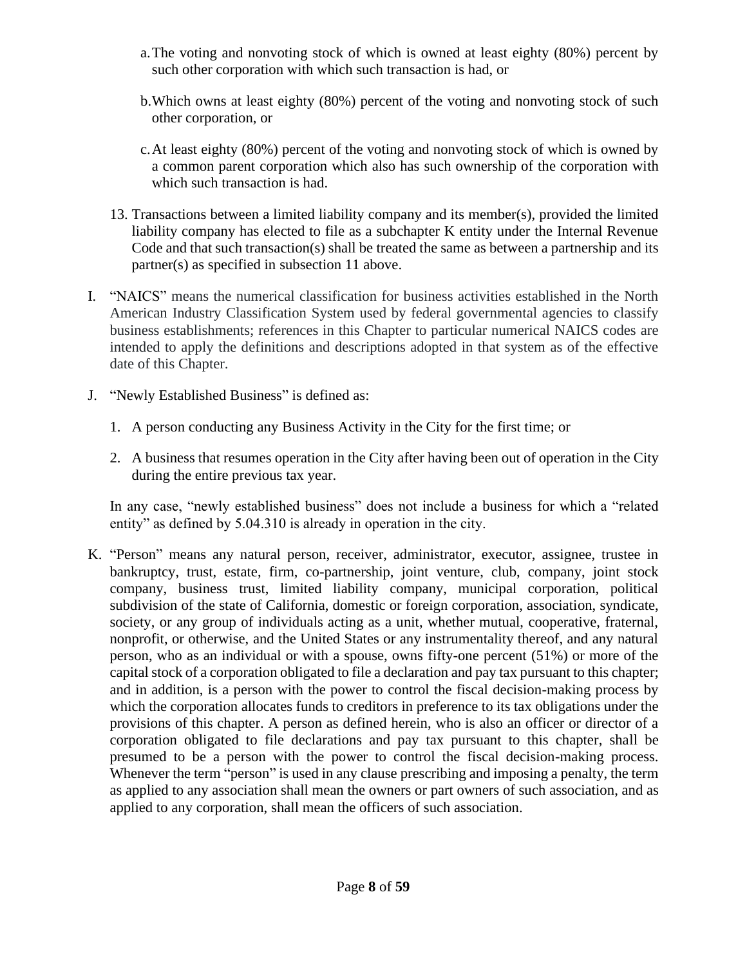- a.The voting and nonvoting stock of which is owned at least eighty (80%) percent by such other corporation with which such transaction is had, or
- b.Which owns at least eighty (80%) percent of the voting and nonvoting stock of such other corporation, or
- c.At least eighty (80%) percent of the voting and nonvoting stock of which is owned by a common parent corporation which also has such ownership of the corporation with which such transaction is had.
- 13. Transactions between a limited liability company and its member(s), provided the limited liability company has elected to file as a subchapter K entity under the Internal Revenue Code and that such transaction(s) shall be treated the same as between a partnership and its partner(s) as specified in subsection 11 above.
- I. "NAICS" means the numerical classification for business activities established in the North American Industry Classification System used by federal governmental agencies to classify business establishments; references in this Chapter to particular numerical NAICS codes are intended to apply the definitions and descriptions adopted in that system as of the effective date of this Chapter.
- J. "Newly Established Business" is defined as:
	- 1. A person conducting any Business Activity in the City for the first time; or
	- 2. A business that resumes operation in the City after having been out of operation in the City during the entire previous tax year.

In any case, "newly established business" does not include a business for which a "related entity" as defined by 5.04.310 is already in operation in the city.

K. "Person" means any natural person, receiver, administrator, executor, assignee, trustee in bankruptcy, trust, estate, firm, co-partnership, joint venture, club, company, joint stock company, business trust, limited liability company, municipal corporation, political subdivision of the state of California, domestic or foreign corporation, association, syndicate, society, or any group of individuals acting as a unit, whether mutual, cooperative, fraternal, nonprofit, or otherwise, and the United States or any instrumentality thereof, and any natural person, who as an individual or with a spouse, owns fifty-one percent (51%) or more of the capital stock of a corporation obligated to file a declaration and pay tax pursuant to this chapter; and in addition, is a person with the power to control the fiscal decision-making process by which the corporation allocates funds to creditors in preference to its tax obligations under the provisions of this chapter. A person as defined herein, who is also an officer or director of a corporation obligated to file declarations and pay tax pursuant to this chapter, shall be presumed to be a person with the power to control the fiscal decision-making process. Whenever the term "person" is used in any clause prescribing and imposing a penalty, the term as applied to any association shall mean the owners or part owners of such association, and as applied to any corporation, shall mean the officers of such association.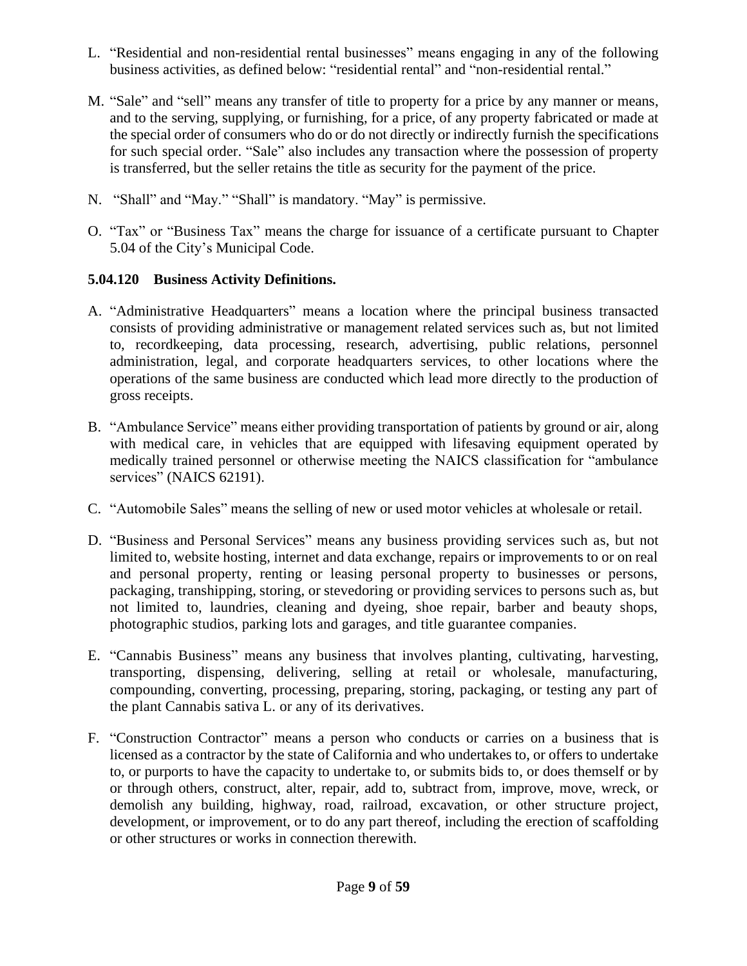- L. "Residential and non-residential rental businesses" means engaging in any of the following business activities, as defined below: "residential rental" and "non-residential rental."
- M. "Sale" and "sell" means any transfer of title to property for a price by any manner or means, and to the serving, supplying, or furnishing, for a price, of any property fabricated or made at the special order of consumers who do or do not directly or indirectly furnish the specifications for such special order. "Sale" also includes any transaction where the possession of property is transferred, but the seller retains the title as security for the payment of the price.
- N. "Shall" and "May." "Shall" is mandatory. "May" is permissive.
- O. "Tax" or "Business Tax" means the charge for issuance of a certificate pursuant to Chapter 5.04 of the City's Municipal Code.

## **5.04.120 Business Activity Definitions.**

- A. "Administrative Headquarters" means a location where the principal business transacted consists of providing administrative or management related services such as, but not limited to, recordkeeping, data processing, research, advertising, public relations, personnel administration, legal, and corporate headquarters services, to other locations where the operations of the same business are conducted which lead more directly to the production of gross receipts.
- B. "Ambulance Service" means either providing transportation of patients by ground or air, along with medical care, in vehicles that are equipped with lifesaving equipment operated by medically trained personnel or otherwise meeting the NAICS classification for "ambulance services" (NAICS 62191).
- C. "Automobile Sales" means the selling of new or used motor vehicles at wholesale or retail.
- D. "Business and Personal Services" means any business providing services such as, but not limited to, website hosting, internet and data exchange, repairs or improvements to or on real and personal property, renting or leasing personal property to businesses or persons, packaging, transhipping, storing, or stevedoring or providing services to persons such as, but not limited to, laundries, cleaning and dyeing, shoe repair, barber and beauty shops, photographic studios, parking lots and garages, and title guarantee companies.
- E. "Cannabis Business" means any business that involves planting, cultivating, harvesting, transporting, dispensing, delivering, selling at retail or wholesale, manufacturing, compounding, converting, processing, preparing, storing, packaging, or testing any part of the plant Cannabis sativa L. or any of its derivatives.
- F. "Construction Contractor" means a person who conducts or carries on a business that is licensed as a contractor by the state of California and who undertakes to, or offers to undertake to, or purports to have the capacity to undertake to, or submits bids to, or does themself or by or through others, construct, alter, repair, add to, subtract from, improve, move, wreck, or demolish any building, highway, road, railroad, excavation, or other structure project, development, or improvement, or to do any part thereof, including the erection of scaffolding or other structures or works in connection therewith.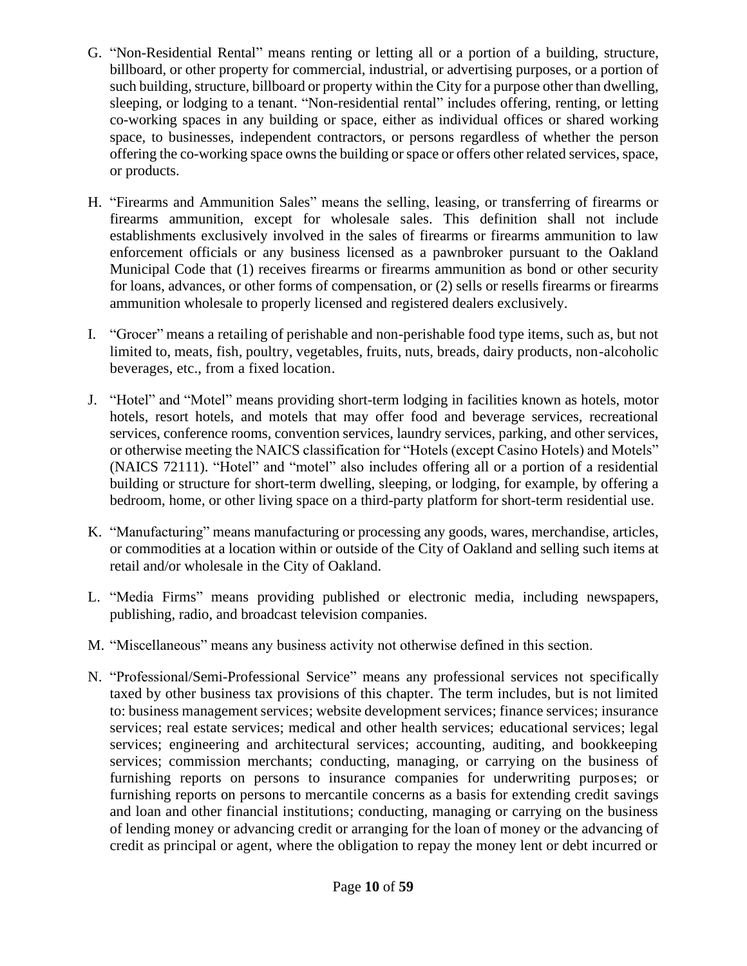- G. "Non-Residential Rental" means renting or letting all or a portion of a building, structure, billboard, or other property for commercial, industrial, or advertising purposes, or a portion of such building, structure, billboard or property within the City for a purpose other than dwelling, sleeping, or lodging to a tenant. "Non-residential rental" includes offering, renting, or letting co-working spaces in any building or space, either as individual offices or shared working space, to businesses, independent contractors, or persons regardless of whether the person offering the co-working space owns the building or space or offers other related services, space, or products.
- H. "Firearms and Ammunition Sales" means the selling, leasing, or transferring of firearms or firearms ammunition, except for wholesale sales. This definition shall not include establishments exclusively involved in the sales of firearms or firearms ammunition to law enforcement officials or any business licensed as a pawnbroker pursuant to the Oakland Municipal Code that (1) receives firearms or firearms ammunition as bond or other security for loans, advances, or other forms of compensation, or (2) sells or resells firearms or firearms ammunition wholesale to properly licensed and registered dealers exclusively.
- I. "Grocer" means a retailing of perishable and non-perishable food type items, such as, but not limited to, meats, fish, poultry, vegetables, fruits, nuts, breads, dairy products, non-alcoholic beverages, etc., from a fixed location.
- J. "Hotel" and "Motel" means providing short-term lodging in facilities known as hotels, motor hotels, resort hotels, and motels that may offer food and beverage services, recreational services, conference rooms, convention services, laundry services, parking, and other services, or otherwise meeting the NAICS classification for "Hotels (except Casino Hotels) and Motels" (NAICS 72111). "Hotel" and "motel" also includes offering all or a portion of a residential building or structure for short-term dwelling, sleeping, or lodging, for example, by offering a bedroom, home, or other living space on a third-party platform for short-term residential use.
- K. "Manufacturing" means manufacturing or processing any goods, wares, merchandise, articles, or commodities at a location within or outside of the City of Oakland and selling such items at retail and/or wholesale in the City of Oakland.
- L. "Media Firms" means providing published or electronic media, including newspapers, publishing, radio, and broadcast television companies.
- M. "Miscellaneous" means any business activity not otherwise defined in this section.
- N. "Professional/Semi-Professional Service" means any professional services not specifically taxed by other business tax provisions of this chapter. The term includes, but is not limited to: business management services; website development services; finance services; insurance services; real estate services; medical and other health services; educational services; legal services; engineering and architectural services; accounting, auditing, and bookkeeping services; commission merchants; conducting, managing, or carrying on the business of furnishing reports on persons to insurance companies for underwriting purposes; or furnishing reports on persons to mercantile concerns as a basis for extending credit savings and loan and other financial institutions; conducting, managing or carrying on the business of lending money or advancing credit or arranging for the loan of money or the advancing of credit as principal or agent, where the obligation to repay the money lent or debt incurred or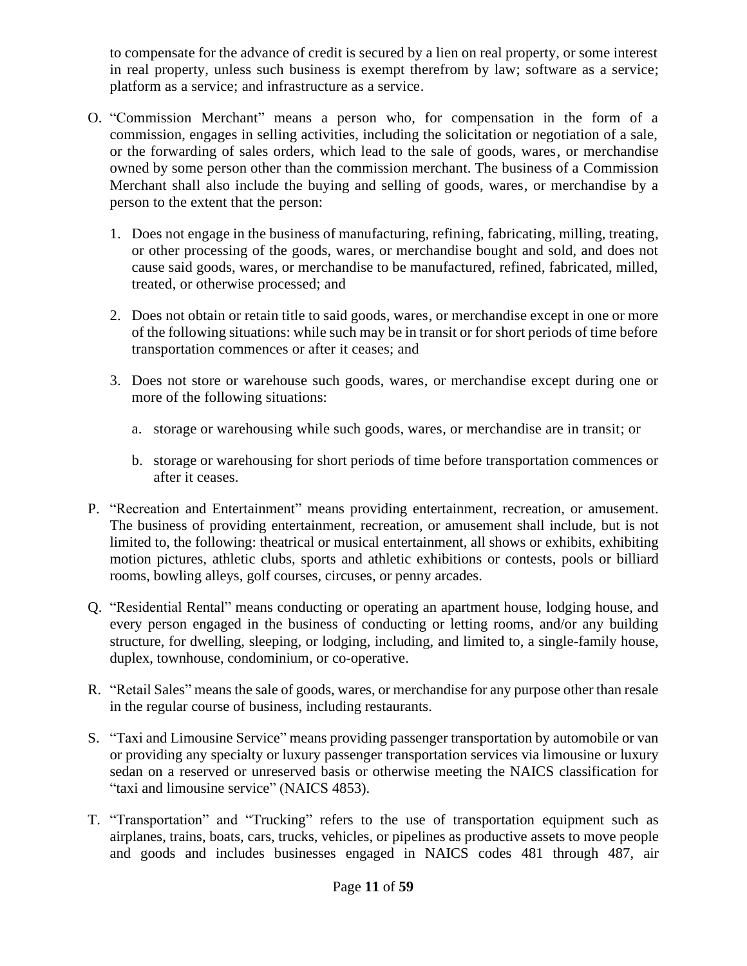to compensate for the advance of credit is secured by a lien on real property, or some interest in real property, unless such business is exempt therefrom by law; software as a service; platform as a service; and infrastructure as a service.

- O. "Commission Merchant" means a person who, for compensation in the form of a commission, engages in selling activities, including the solicitation or negotiation of a sale, or the forwarding of sales orders, which lead to the sale of goods, wares, or merchandise owned by some person other than the commission merchant. The business of a Commission Merchant shall also include the buying and selling of goods, wares, or merchandise by a person to the extent that the person:
	- 1. Does not engage in the business of manufacturing, refining, fabricating, milling, treating, or other processing of the goods, wares, or merchandise bought and sold, and does not cause said goods, wares, or merchandise to be manufactured, refined, fabricated, milled, treated, or otherwise processed; and
	- 2. Does not obtain or retain title to said goods, wares, or merchandise except in one or more of the following situations: while such may be in transit or for short periods of time before transportation commences or after it ceases; and
	- 3. Does not store or warehouse such goods, wares, or merchandise except during one or more of the following situations:
		- a. storage or warehousing while such goods, wares, or merchandise are in transit; or
		- b. storage or warehousing for short periods of time before transportation commences or after it ceases.
- P. "Recreation and Entertainment" means providing entertainment, recreation, or amusement. The business of providing entertainment, recreation, or amusement shall include, but is not limited to, the following: theatrical or musical entertainment, all shows or exhibits, exhibiting motion pictures, athletic clubs, sports and athletic exhibitions or contests, pools or billiard rooms, bowling alleys, golf courses, circuses, or penny arcades.
- Q. "Residential Rental" means conducting or operating an apartment house, lodging house, and every person engaged in the business of conducting or letting rooms, and/or any building structure, for dwelling, sleeping, or lodging, including, and limited to, a single-family house, duplex, townhouse, condominium, or co-operative.
- R. "Retail Sales" means the sale of goods, wares, or merchandise for any purpose other than resale in the regular course of business, including restaurants.
- S. "Taxi and Limousine Service" means providing passenger transportation by automobile or van or providing any specialty or luxury passenger transportation services via limousine or luxury sedan on a reserved or unreserved basis or otherwise meeting the NAICS classification for "taxi and limousine service" (NAICS 4853).
- T. "Transportation" and "Trucking" refers to the use of transportation equipment such as airplanes, trains, boats, cars, trucks, vehicles, or pipelines as productive assets to move people and goods and includes businesses engaged in NAICS codes 481 through 487, air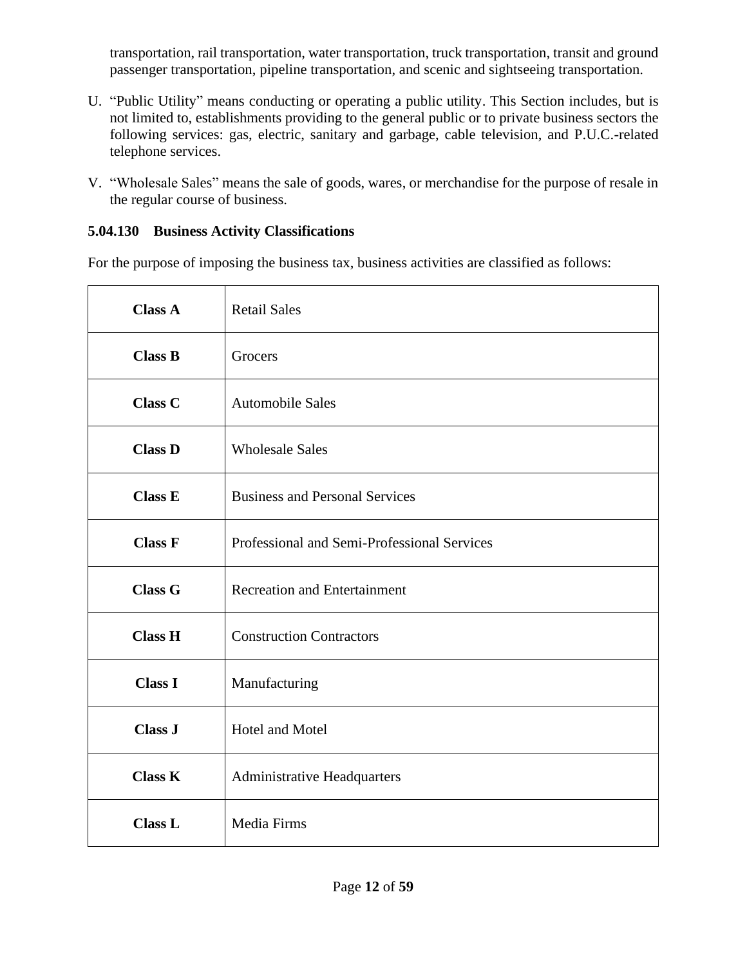transportation, rail transportation, water transportation, truck transportation, transit and ground passenger transportation, pipeline transportation, and scenic and sightseeing transportation.

- U. "Public Utility" means conducting or operating a public utility. This Section includes, but is not limited to, establishments providing to the general public or to private business sectors the following services: gas, electric, sanitary and garbage, cable television, and P.U.C.-related telephone services.
- V. "Wholesale Sales" means the sale of goods, wares, or merchandise for the purpose of resale in the regular course of business.

## **5.04.130 Business Activity Classifications**

For the purpose of imposing the business tax, business activities are classified as follows:

| <b>Class A</b> | <b>Retail Sales</b>                         |
|----------------|---------------------------------------------|
| <b>Class B</b> | Grocers                                     |
| <b>Class C</b> | <b>Automobile Sales</b>                     |
| <b>Class D</b> | <b>Wholesale Sales</b>                      |
| <b>Class E</b> | <b>Business and Personal Services</b>       |
| <b>Class F</b> | Professional and Semi-Professional Services |
| <b>Class G</b> | <b>Recreation and Entertainment</b>         |
| <b>Class H</b> | <b>Construction Contractors</b>             |
| <b>Class I</b> | Manufacturing                               |
| <b>Class J</b> | Hotel and Motel                             |
| <b>Class K</b> | <b>Administrative Headquarters</b>          |
| <b>Class L</b> | Media Firms                                 |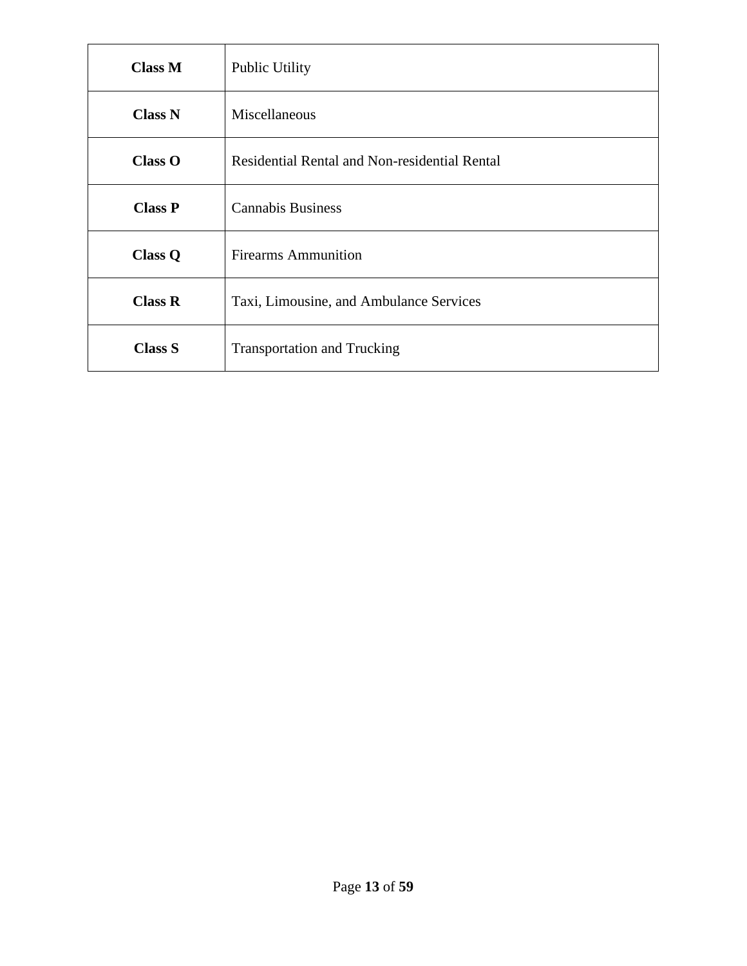| <b>Class M</b> | <b>Public Utility</b>                         |  |
|----------------|-----------------------------------------------|--|
| <b>Class N</b> | Miscellaneous                                 |  |
| <b>Class O</b> | Residential Rental and Non-residential Rental |  |
| <b>Class P</b> | <b>Cannabis Business</b>                      |  |
| <b>Class Q</b> | <b>Firearms Ammunition</b>                    |  |
| Class R        | Taxi, Limousine, and Ambulance Services       |  |
| <b>Class S</b> | <b>Transportation and Trucking</b>            |  |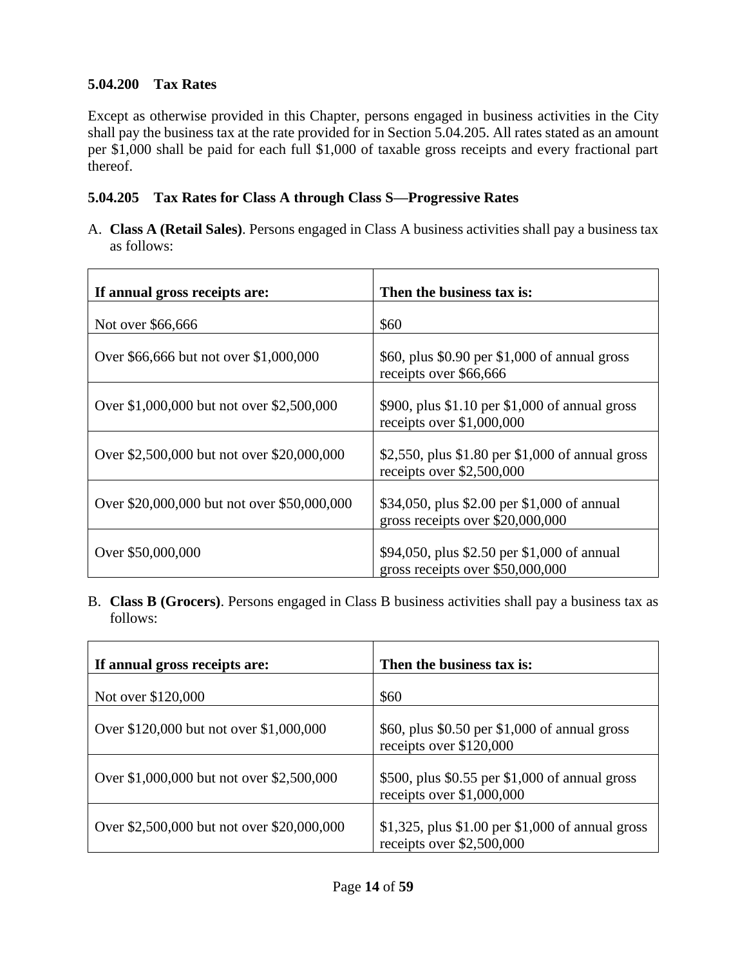## **5.04.200 Tax Rates**

Except as otherwise provided in this Chapter, persons engaged in business activities in the City shall pay the business tax at the rate provided for in Section 5.04.205. All rates stated as an amount per \$1,000 shall be paid for each full \$1,000 of taxable gross receipts and every fractional part thereof.

## **5.04.205 Tax Rates for Class A through Class S—Progressive Rates**

A. **Class A (Retail Sales)**. Persons engaged in Class A business activities shall pay a business tax as follows:

| If annual gross receipts are:               | Then the business tax is:                                                       |
|---------------------------------------------|---------------------------------------------------------------------------------|
| Not over \$66,666                           | \$60                                                                            |
| Over \$66,666 but not over \$1,000,000      | \$60, plus \$0.90 per \$1,000 of annual gross<br>receipts over \$66,666         |
| Over \$1,000,000 but not over \$2,500,000   | \$900, plus \$1.10 per \$1,000 of annual gross<br>receipts over $$1,000,000$    |
| Over \$2,500,000 but not over \$20,000,000  | \$2,550, plus $$1.80$ per $$1,000$ of annual gross<br>receipts over \$2,500,000 |
| Over \$20,000,000 but not over \$50,000,000 | \$34,050, plus \$2.00 per \$1,000 of annual<br>gross receipts over \$20,000,000 |
| Over \$50,000,000                           | \$94,050, plus \$2.50 per \$1,000 of annual<br>gross receipts over \$50,000,000 |

B. **Class B (Grocers)**. Persons engaged in Class B business activities shall pay a business tax as follows:

| If annual gross receipts are:              | Then the business tax is:                                                      |
|--------------------------------------------|--------------------------------------------------------------------------------|
| Not over \$120,000                         | \$60                                                                           |
| Over \$120,000 but not over \$1,000,000    | \$60, plus \$0.50 per \$1,000 of annual gross<br>receipts over \$120,000       |
| Over \$1,000,000 but not over \$2,500,000  | \$500, plus \$0.55 per \$1,000 of annual gross<br>receipts over $$1,000,000$   |
| Over \$2,500,000 but not over \$20,000,000 | \$1,325, plus \$1.00 per \$1,000 of annual gross<br>receipts over $$2,500,000$ |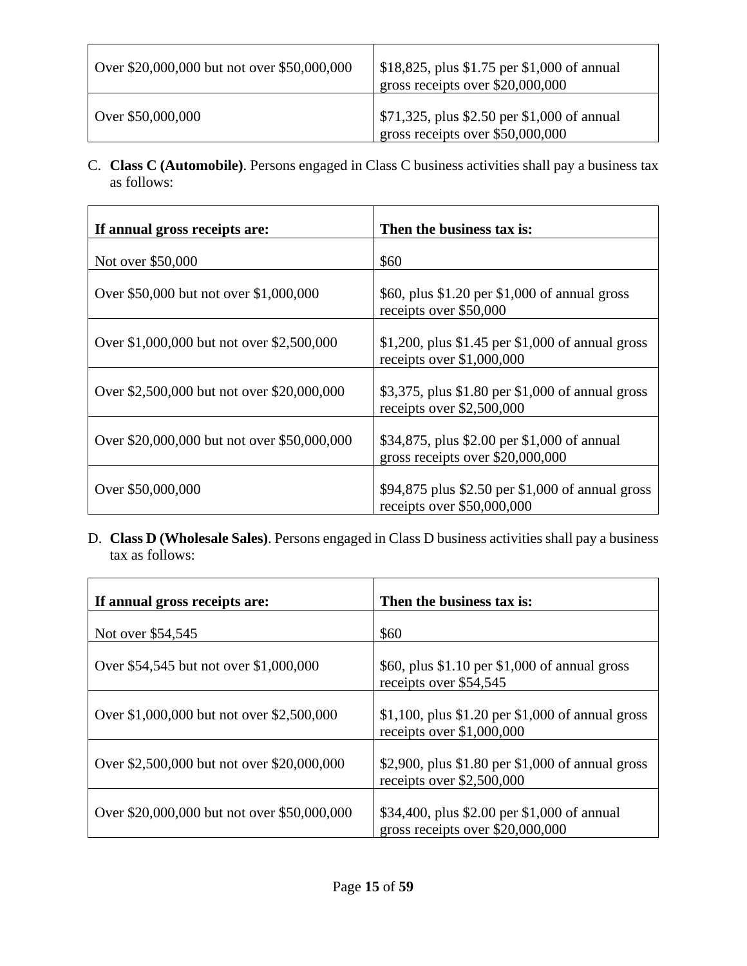| Over \$20,000,000 but not over \$50,000,000 | $\frac{\$18,825, plus \$1.75 \text{ per } \$1,000 \text{ of annual}}{1,000 \text{ of annual}}$<br>gross receipts over \$20,000,000 |
|---------------------------------------------|------------------------------------------------------------------------------------------------------------------------------------|
| Over \$50,000,000                           | $\frac{1}{2}$ \$71,325, plus \$2.50 per \$1,000 of annual<br>gross receipts over \$50,000,000                                      |

C. **Class C (Automobile)**. Persons engaged in Class C business activities shall pay a business tax as follows:

| If annual gross receipts are:               | Then the business tax is:                                                       |
|---------------------------------------------|---------------------------------------------------------------------------------|
| Not over \$50,000                           | \$60                                                                            |
| Over \$50,000 but not over \$1,000,000      | \$60, plus \$1.20 per \$1,000 of annual gross<br>receipts over \$50,000         |
| Over \$1,000,000 but not over \$2,500,000   | \$1,200, plus \$1.45 per \$1,000 of annual gross<br>receipts over $$1,000,000$  |
| Over \$2,500,000 but not over \$20,000,000  | \$3,375, plus \$1.80 per \$1,000 of annual gross<br>receipts over \$2,500,000   |
| Over \$20,000,000 but not over \$50,000,000 | \$34,875, plus \$2.00 per \$1,000 of annual<br>gross receipts over \$20,000,000 |
| Over \$50,000,000                           | \$94,875 plus \$2.50 per \$1,000 of annual gross<br>receipts over \$50,000,000  |

D. **Class D (Wholesale Sales)**. Persons engaged in Class D business activities shall pay a business tax as follows:

| If annual gross receipts are:               | Then the business tax is:                                                        |
|---------------------------------------------|----------------------------------------------------------------------------------|
| Not over \$54,545                           | \$60                                                                             |
| Over \$54,545 but not over \$1,000,000      | \$60, plus $$1.10$ per $$1,000$ of annual gross<br>receipts over \$54,545        |
| Over \$1,000,000 but not over \$2,500,000   | \$1,100, plus \$1.20 per \$1,000 of annual gross<br>receipts over \$1,000,000    |
| Over \$2,500,000 but not over \$20,000,000  | \$2,900, plus $$1.80$ per $$1,000$ of annual gross<br>receipts over $$2,500,000$ |
| Over \$20,000,000 but not over \$50,000,000 | \$34,400, plus \$2.00 per \$1,000 of annual<br>gross receipts over \$20,000,000  |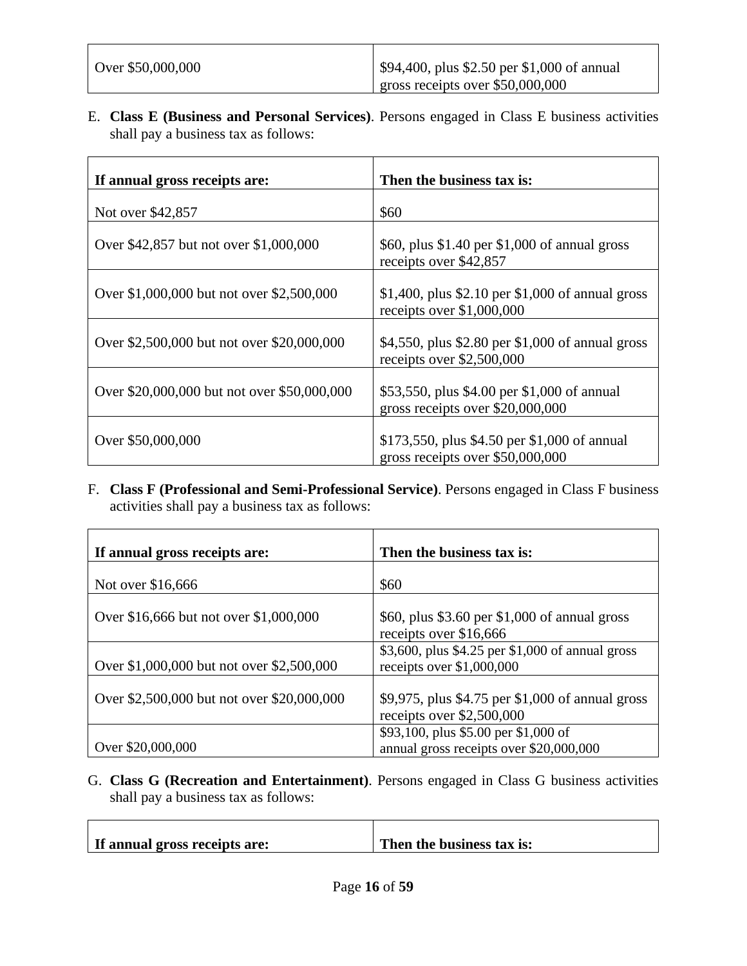E. **Class E (Business and Personal Services)**. Persons engaged in Class E business activities shall pay a business tax as follows:

| If annual gross receipts are:               | Then the business tax is:                                                        |
|---------------------------------------------|----------------------------------------------------------------------------------|
| Not over \$42,857                           | \$60                                                                             |
| Over \$42,857 but not over \$1,000,000      | \$60, plus \$1.40 per \$1,000 of annual gross<br>receipts over \$42,857          |
| Over \$1,000,000 but not over \$2,500,000   | \$1,400, plus \$2.10 per \$1,000 of annual gross<br>receipts over $$1,000,000$   |
| Over \$2,500,000 but not over \$20,000,000  | \$4,550, plus \$2.80 per \$1,000 of annual gross<br>receipts over \$2,500,000    |
| Over \$20,000,000 but not over \$50,000,000 | \$53,550, plus \$4.00 per \$1,000 of annual<br>gross receipts over \$20,000,000  |
| Over \$50,000,000                           | \$173,550, plus \$4.50 per \$1,000 of annual<br>gross receipts over \$50,000,000 |

F. **Class F (Professional and Semi-Professional Service)**. Persons engaged in Class F business activities shall pay a business tax as follows:

| If annual gross receipts are:              | Then the business tax is:                                                       |
|--------------------------------------------|---------------------------------------------------------------------------------|
| Not over \$16,666                          | \$60                                                                            |
| Over \$16,666 but not over \$1,000,000     | \$60, plus \$3.60 per \$1,000 of annual gross<br>receipts over \$16,666         |
| Over \$1,000,000 but not over \$2,500,000  | \$3,600, plus \$4.25 per \$1,000 of annual gross<br>receipts over $$1,000,000$  |
| Over \$2,500,000 but not over \$20,000,000 | \$9,975, plus \$4.75 per \$1,000 of annual gross<br>receipts over \$2,500,000   |
| Over \$20,000,000                          | \$93,100, plus \$5.00 per \$1,000 of<br>annual gross receipts over \$20,000,000 |

G. **Class G (Recreation and Entertainment)**. Persons engaged in Class G business activities shall pay a business tax as follows:

| If annual gross receipts are: | Then the business tax is: |
|-------------------------------|---------------------------|
|                               |                           |
|                               |                           |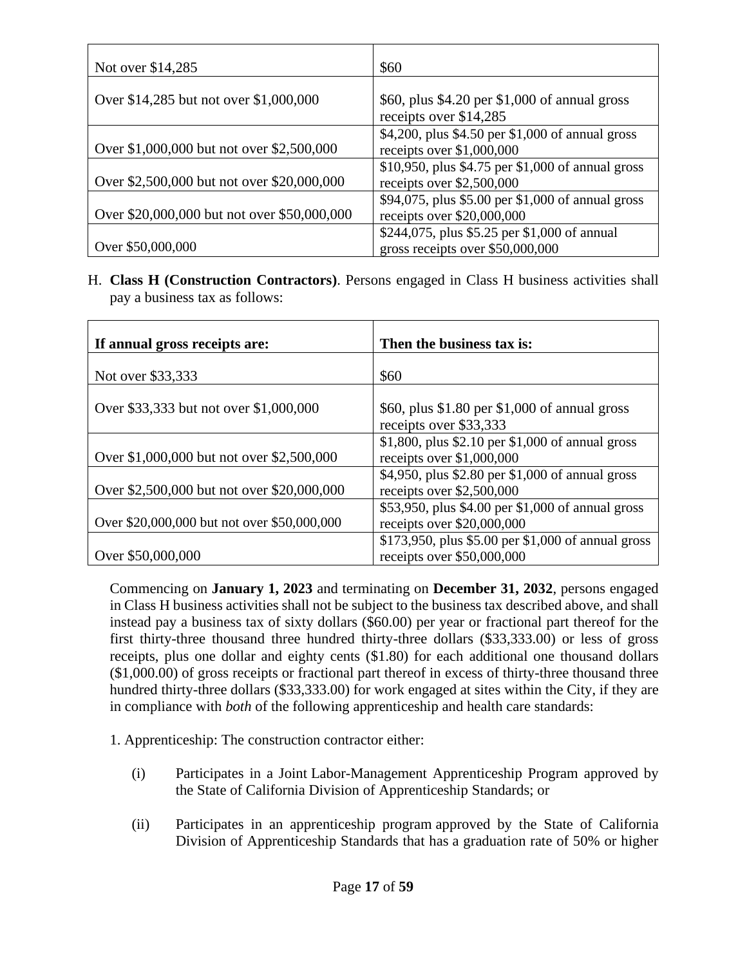| Not over \$14,285                           | \$60                                                                             |
|---------------------------------------------|----------------------------------------------------------------------------------|
| Over \$14,285 but not over \$1,000,000      | \$60, plus \$4.20 per \$1,000 of annual gross<br>receipts over \$14,285          |
| Over \$1,000,000 but not over \$2,500,000   | \$4,200, plus \$4.50 per \$1,000 of annual gross<br>receipts over $$1,000,000$   |
| Over \$2,500,000 but not over \$20,000,000  | \$10,950, plus \$4.75 per \$1,000 of annual gross<br>receipts over \$2,500,000   |
| Over \$20,000,000 but not over \$50,000,000 | \$94,075, plus \$5.00 per \$1,000 of annual gross<br>receipts over $$20,000,000$ |
| Over \$50,000,000                           | \$244,075, plus \$5.25 per \$1,000 of annual<br>gross receipts over \$50,000,000 |

H. **Class H (Construction Contractors)**. Persons engaged in Class H business activities shall pay a business tax as follows:

| If annual gross receipts are:               | Then the business tax is:                                                        |
|---------------------------------------------|----------------------------------------------------------------------------------|
| Not over \$33,333                           | \$60                                                                             |
| Over \$33,333 but not over \$1,000,000      | \$60, plus \$1.80 per \$1,000 of annual gross<br>receipts over \$33,333          |
| Over \$1,000,000 but not over \$2,500,000   | \$1,800, plus \$2.10 per \$1,000 of annual gross<br>receipts over $$1,000,000$   |
| Over \$2,500,000 but not over \$20,000,000  | \$4,950, plus \$2.80 per \$1,000 of annual gross<br>receipts over \$2,500,000    |
| Over \$20,000,000 but not over \$50,000,000 | \$53,950, plus \$4.00 per \$1,000 of annual gross<br>receipts over $$20,000,000$ |
| Over \$50,000,000                           | \$173,950, plus \$5.00 per \$1,000 of annual gross<br>receipts over \$50,000,000 |

Commencing on **January 1, 2023** and terminating on **December 31, 2032**, persons engaged in Class H business activities shall not be subject to the business tax described above, and shall instead pay a business tax of sixty dollars (\$60.00) per year or fractional part thereof for the first thirty-three thousand three hundred thirty-three dollars (\$33,333.00) or less of gross receipts, plus one dollar and eighty cents (\$1.80) for each additional one thousand dollars (\$1,000.00) of gross receipts or fractional part thereof in excess of thirty-three thousand three hundred thirty-three dollars (\$33,333.00) for work engaged at sites within the City, if they are in compliance with *both* of the following apprenticeship and health care standards:

- 1. Apprenticeship: The construction contractor either:
	- (i) Participates in a Joint Labor-Management Apprenticeship Program approved by the State of California Division of Apprenticeship Standards; or
	- (ii) Participates in an apprenticeship program approved by the State of California Division of Apprenticeship Standards that has a graduation rate of 50% or higher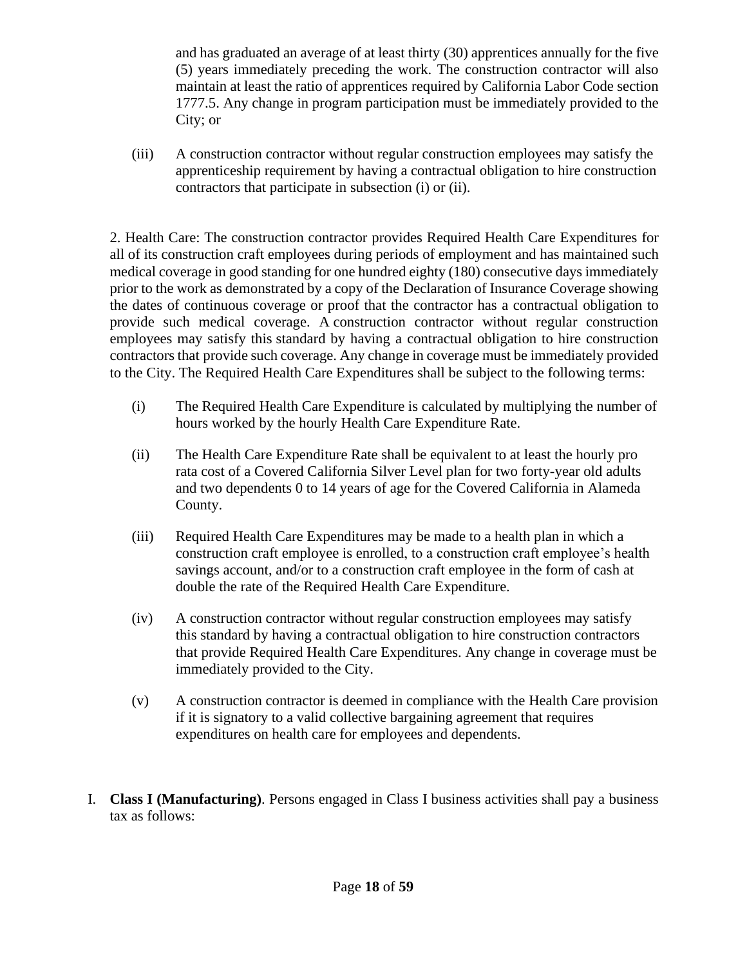and has graduated an average of at least thirty (30) apprentices annually for the five (5) years immediately preceding the work. The construction contractor will also maintain at least the ratio of apprentices required by California Labor Code section 1777.5. Any change in program participation must be immediately provided to the City; or

(iii) A construction contractor without regular construction employees may satisfy the apprenticeship requirement by having a contractual obligation to hire construction contractors that participate in subsection (i) or (ii).

2. Health Care: The construction contractor provides Required Health Care Expenditures for all of its construction craft employees during periods of employment and has maintained such medical coverage in good standing for one hundred eighty (180) consecutive days immediately prior to the work as demonstrated by a copy of the Declaration of Insurance Coverage showing the dates of continuous coverage or proof that the contractor has a contractual obligation to provide such medical coverage. A construction contractor without regular construction employees may satisfy this standard by having a contractual obligation to hire construction contractors that provide such coverage. Any change in coverage must be immediately provided to the City. The Required Health Care Expenditures shall be subject to the following terms:

- (i) The Required Health Care Expenditure is calculated by multiplying the number of hours worked by the hourly Health Care Expenditure Rate.
- (ii) The Health Care Expenditure Rate shall be equivalent to at least the hourly pro rata cost of a Covered California Silver Level plan for two forty-year old adults and two dependents 0 to 14 years of age for the Covered California in Alameda County.
- (iii) Required Health Care Expenditures may be made to a health plan in which a construction craft employee is enrolled, to a construction craft employee's health savings account, and/or to a construction craft employee in the form of cash at double the rate of the Required Health Care Expenditure.
- (iv) A construction contractor without regular construction employees may satisfy this standard by having a contractual obligation to hire construction contractors that provide Required Health Care Expenditures. Any change in coverage must be immediately provided to the City.
- (v) A construction contractor is deemed in compliance with the Health Care provision if it is signatory to a valid collective bargaining agreement that requires expenditures on health care for employees and dependents.
- I. **Class I (Manufacturing)**. Persons engaged in Class I business activities shall pay a business tax as follows: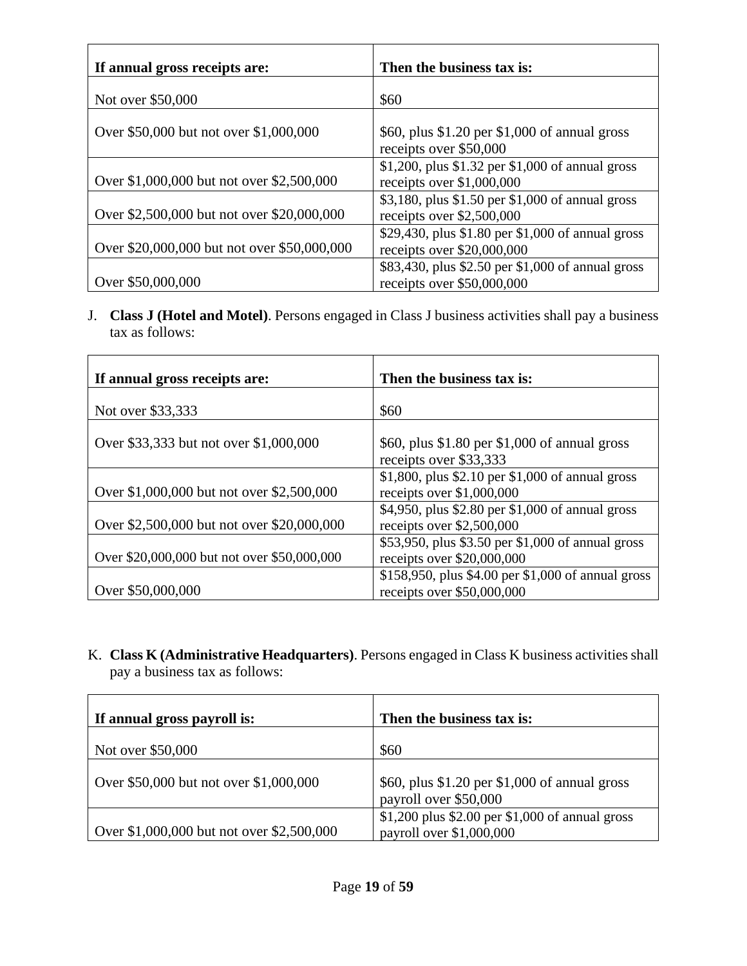| If annual gross receipts are:               | Then the business tax is:                                                        |
|---------------------------------------------|----------------------------------------------------------------------------------|
| Not over \$50,000                           | \$60                                                                             |
| Over \$50,000 but not over \$1,000,000      | \$60, plus \$1.20 per \$1,000 of annual gross<br>receipts over \$50,000          |
| Over \$1,000,000 but not over \$2,500,000   | \$1,200, plus \$1.32 per \$1,000 of annual gross<br>receipts over $$1,000,000$   |
| Over \$2,500,000 but not over \$20,000,000  | \$3,180, plus \$1.50 per \$1,000 of annual gross<br>receipts over \$2,500,000    |
| Over \$20,000,000 but not over \$50,000,000 | \$29,430, plus \$1.80 per \$1,000 of annual gross<br>receipts over $$20,000,000$ |
| Over \$50,000,000                           | \$83,430, plus \$2.50 per \$1,000 of annual gross<br>receipts over \$50,000,000  |

J. **Class J (Hotel and Motel)**. Persons engaged in Class J business activities shall pay a business tax as follows:

| If annual gross receipts are:               | Then the business tax is:                                                        |
|---------------------------------------------|----------------------------------------------------------------------------------|
| Not over \$33,333                           | \$60                                                                             |
| Over \$33,333 but not over \$1,000,000      | \$60, plus \$1.80 per \$1,000 of annual gross<br>receipts over \$33,333          |
| Over \$1,000,000 but not over \$2,500,000   | \$1,800, plus \$2.10 per \$1,000 of annual gross<br>receipts over \$1,000,000    |
| Over \$2,500,000 but not over \$20,000,000  | \$4,950, plus \$2.80 per \$1,000 of annual gross<br>receipts over \$2,500,000    |
| Over \$20,000,000 but not over \$50,000,000 | \$53,950, plus \$3.50 per \$1,000 of annual gross<br>receipts over $$20,000,000$ |
| Over \$50,000,000                           | \$158,950, plus \$4.00 per \$1,000 of annual gross<br>receipts over \$50,000,000 |

K. **Class K (Administrative Headquarters)**. Persons engaged in Class K business activities shall pay a business tax as follows:

| If annual gross payroll is:               | Then the business tax is:                                                      |
|-------------------------------------------|--------------------------------------------------------------------------------|
| Not over \$50,000                         | \$60                                                                           |
| Over \$50,000 but not over \$1,000,000    | \$60, plus \$1.20 per \$1,000 of annual gross<br>payroll over \$50,000         |
| Over \$1,000,000 but not over \$2,500,000 | $$1,200$ plus $$2.00$ per $$1,000$ of annual gross<br>payroll over \$1,000,000 |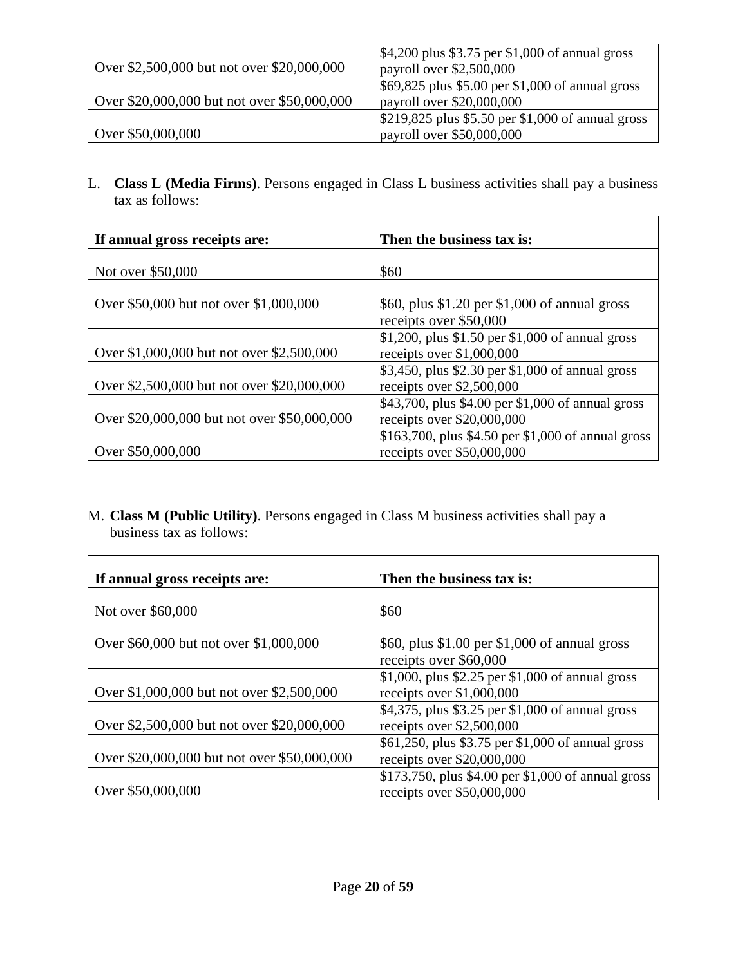|                                             | \$4,200 plus \$3.75 per \$1,000 of annual gross   |  |
|---------------------------------------------|---------------------------------------------------|--|
| Over \$2,500,000 but not over \$20,000,000  | payroll over \$2,500,000                          |  |
|                                             | \$69,825 plus \$5.00 per \$1,000 of annual gross  |  |
| Over \$20,000,000 but not over \$50,000,000 | payroll over \$20,000,000                         |  |
|                                             | \$219,825 plus \$5.50 per \$1,000 of annual gross |  |
| Over \$50,000,000                           | payroll over \$50,000,000                         |  |

L. **Class L (Media Firms)**. Persons engaged in Class L business activities shall pay a business tax as follows:

| If annual gross receipts are:               | Then the business tax is:                                                        |
|---------------------------------------------|----------------------------------------------------------------------------------|
| Not over \$50,000                           | \$60                                                                             |
| Over \$50,000 but not over \$1,000,000      | \$60, plus \$1.20 per \$1,000 of annual gross<br>receipts over \$50,000          |
| Over \$1,000,000 but not over \$2,500,000   | \$1,200, plus \$1.50 per \$1,000 of annual gross<br>receipts over $$1,000,000$   |
| Over \$2,500,000 but not over \$20,000,000  | \$3,450, plus \$2.30 per \$1,000 of annual gross<br>receipts over \$2,500,000    |
| Over \$20,000,000 but not over \$50,000,000 | \$43,700, plus \$4.00 per \$1,000 of annual gross<br>receipts over \$20,000,000  |
| Over \$50,000,000                           | \$163,700, plus \$4.50 per \$1,000 of annual gross<br>receipts over \$50,000,000 |

M. **Class M (Public Utility)**. Persons engaged in Class M business activities shall pay a business tax as follows:

| If annual gross receipts are:               | Then the business tax is:                                                      |
|---------------------------------------------|--------------------------------------------------------------------------------|
| Not over \$60,000                           | \$60                                                                           |
|                                             |                                                                                |
| Over \$60,000 but not over \$1,000,000      | \$60, plus \$1.00 per \$1,000 of annual gross                                  |
|                                             | receipts over \$60,000                                                         |
| Over \$1,000,000 but not over \$2,500,000   | \$1,000, plus \$2.25 per \$1,000 of annual gross<br>receipts over $$1,000,000$ |
|                                             | \$4,375, plus \$3.25 per \$1,000 of annual gross                               |
| Over \$2,500,000 but not over \$20,000,000  | receipts over \$2,500,000                                                      |
|                                             | \$61,250, plus \$3.75 per \$1,000 of annual gross                              |
| Over \$20,000,000 but not over \$50,000,000 | receipts over \$20,000,000                                                     |
|                                             | \$173,750, plus \$4.00 per \$1,000 of annual gross                             |
| Over \$50,000,000                           | receipts over \$50,000,000                                                     |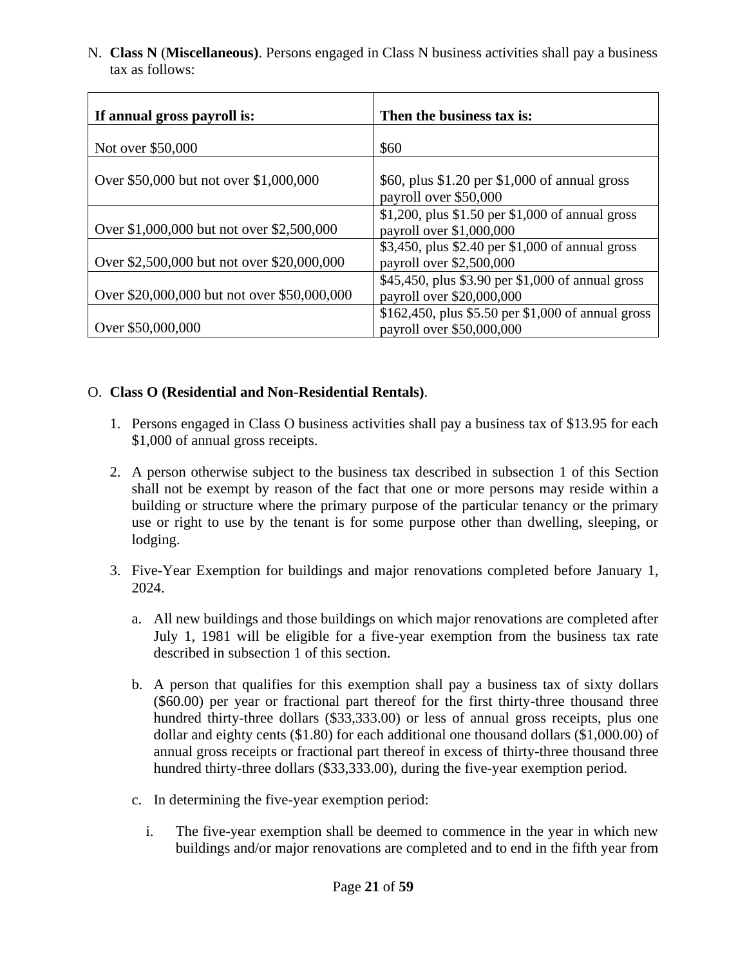N. **Class N** (**Miscellaneous)**. Persons engaged in Class N business activities shall pay a business tax as follows:

| If annual gross payroll is:                 | Then the business tax is:                                                       |
|---------------------------------------------|---------------------------------------------------------------------------------|
| Not over \$50,000                           | \$60                                                                            |
| Over \$50,000 but not over \$1,000,000      | \$60, plus \$1.20 per \$1,000 of annual gross<br>payroll over \$50,000          |
| Over \$1,000,000 but not over \$2,500,000   | \$1,200, plus \$1.50 per \$1,000 of annual gross<br>payroll over \$1,000,000    |
| Over \$2,500,000 but not over \$20,000,000  | \$3,450, plus \$2.40 per \$1,000 of annual gross<br>payroll over \$2,500,000    |
| Over \$20,000,000 but not over \$50,000,000 | \$45,450, plus \$3.90 per \$1,000 of annual gross<br>payroll over \$20,000,000  |
| Over \$50,000,000                           | \$162,450, plus \$5.50 per \$1,000 of annual gross<br>payroll over \$50,000,000 |

#### O. **Class O (Residential and Non-Residential Rentals)**.

- 1. Persons engaged in Class O business activities shall pay a business tax of \$13.95 for each \$1,000 of annual gross receipts.
- 2. A person otherwise subject to the business tax described in subsection 1 of this Section shall not be exempt by reason of the fact that one or more persons may reside within a building or structure where the primary purpose of the particular tenancy or the primary use or right to use by the tenant is for some purpose other than dwelling, sleeping, or lodging.
- 3. Five-Year Exemption for buildings and major renovations completed before January 1, 2024.
	- a. All new buildings and those buildings on which major renovations are completed after July 1, 1981 will be eligible for a five-year exemption from the business tax rate described in subsection 1 of this section.
	- b. A person that qualifies for this exemption shall pay a business tax of sixty dollars (\$60.00) per year or fractional part thereof for the first thirty-three thousand three hundred thirty-three dollars (\$33,333.00) or less of annual gross receipts, plus one dollar and eighty cents (\$1.80) for each additional one thousand dollars (\$1,000.00) of annual gross receipts or fractional part thereof in excess of thirty-three thousand three hundred thirty-three dollars (\$33,333.00), during the five-year exemption period.
	- c. In determining the five-year exemption period:
		- i. The five-year exemption shall be deemed to commence in the year in which new buildings and/or major renovations are completed and to end in the fifth year from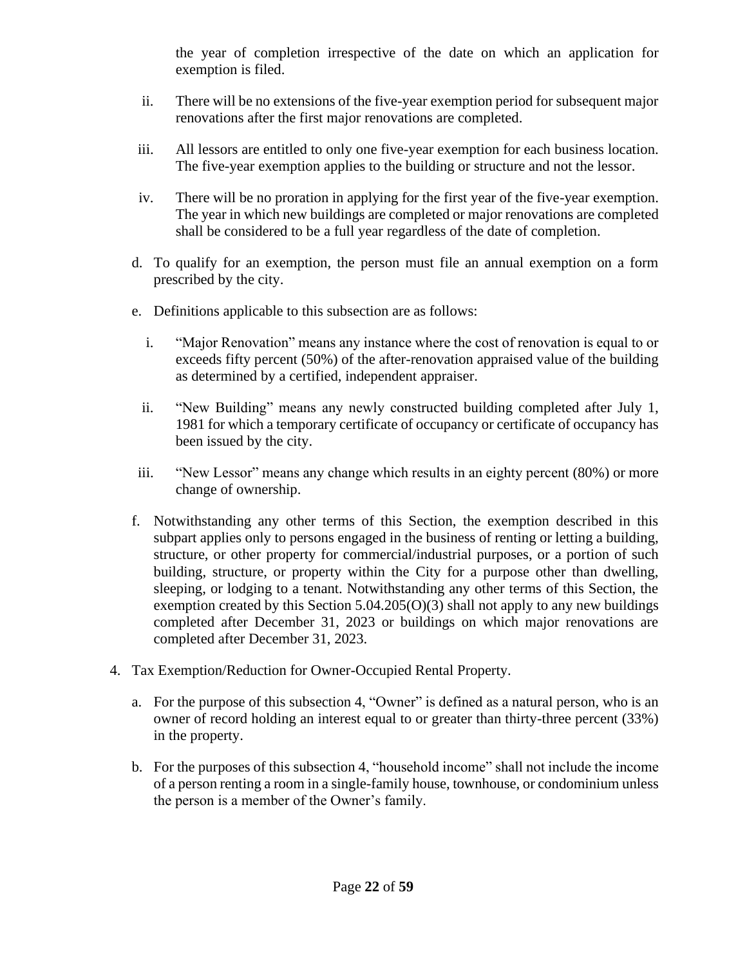the year of completion irrespective of the date on which an application for exemption is filed.

- ii. There will be no extensions of the five-year exemption period for subsequent major renovations after the first major renovations are completed.
- iii. All lessors are entitled to only one five-year exemption for each business location. The five-year exemption applies to the building or structure and not the lessor.
- iv. There will be no proration in applying for the first year of the five-year exemption. The year in which new buildings are completed or major renovations are completed shall be considered to be a full year regardless of the date of completion.
- d. To qualify for an exemption, the person must file an annual exemption on a form prescribed by the city.
- e. Definitions applicable to this subsection are as follows:
	- i. "Major Renovation" means any instance where the cost of renovation is equal to or exceeds fifty percent (50%) of the after-renovation appraised value of the building as determined by a certified, independent appraiser.
	- ii. "New Building" means any newly constructed building completed after July 1, 1981 for which a temporary certificate of occupancy or certificate of occupancy has been issued by the city.
- iii. "New Lessor" means any change which results in an eighty percent (80%) or more change of ownership.
- f. Notwithstanding any other terms of this Section, the exemption described in this subpart applies only to persons engaged in the business of renting or letting a building, structure, or other property for commercial/industrial purposes, or a portion of such building, structure, or property within the City for a purpose other than dwelling, sleeping, or lodging to a tenant. Notwithstanding any other terms of this Section, the exemption created by this Section  $5.04.205(O)(3)$  shall not apply to any new buildings completed after December 31, 2023 or buildings on which major renovations are completed after December 31, 2023.
- 4. Tax Exemption/Reduction for Owner-Occupied Rental Property.
	- a. For the purpose of this subsection 4, "Owner" is defined as a natural person, who is an owner of record holding an interest equal to or greater than thirty-three percent (33%) in the property.
	- b. For the purposes of this subsection 4, "household income" shall not include the income of a person renting a room in a single-family house, townhouse, or condominium unless the person is a member of the Owner's family.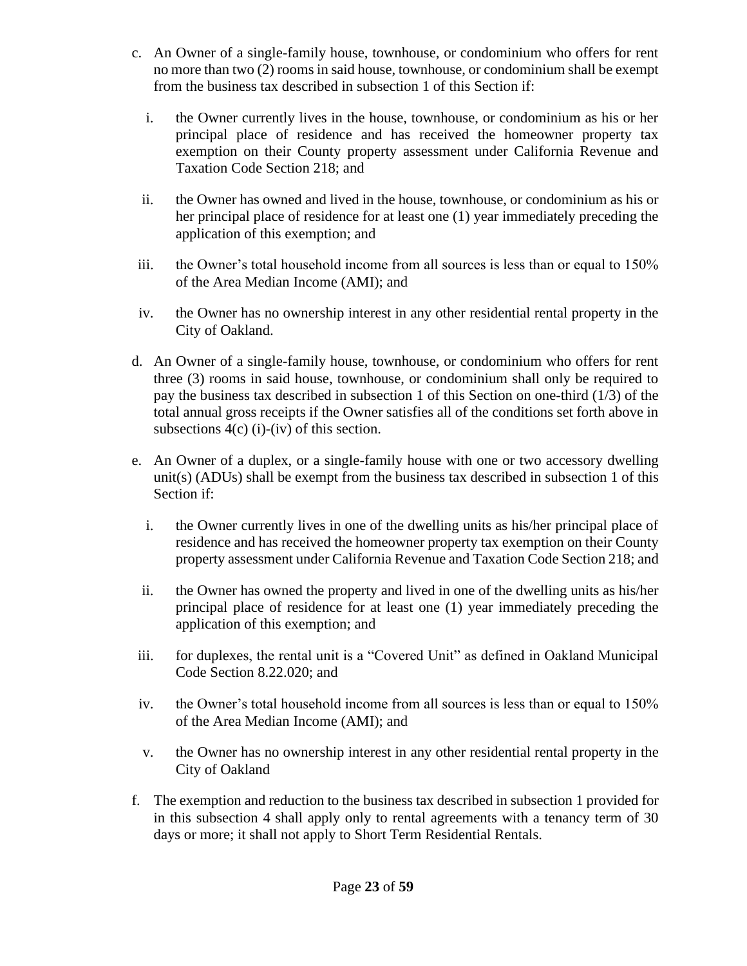- c. An Owner of a single-family house, townhouse, or condominium who offers for rent no more than two (2) rooms in said house, townhouse, or condominium shall be exempt from the business tax described in subsection 1 of this Section if:
	- i. the Owner currently lives in the house, townhouse, or condominium as his or her principal place of residence and has received the homeowner property tax exemption on their County property assessment under California Revenue and Taxation Code Section 218; and
	- ii. the Owner has owned and lived in the house, townhouse, or condominium as his or her principal place of residence for at least one (1) year immediately preceding the application of this exemption; and
- iii. the Owner's total household income from all sources is less than or equal to 150% of the Area Median Income (AMI); and
- iv. the Owner has no ownership interest in any other residential rental property in the City of Oakland.
- d. An Owner of a single-family house, townhouse, or condominium who offers for rent three (3) rooms in said house, townhouse, or condominium shall only be required to pay the business tax described in subsection 1 of this Section on one-third (1/3) of the total annual gross receipts if the Owner satisfies all of the conditions set forth above in subsections  $4(c)$  (i)-(iv) of this section.
- e. An Owner of a duplex, or a single-family house with one or two accessory dwelling unit(s)  $(ADUs)$  shall be exempt from the business tax described in subsection 1 of this Section if:
	- i. the Owner currently lives in one of the dwelling units as his/her principal place of residence and has received the homeowner property tax exemption on their County property assessment under California Revenue and Taxation Code Section 218; and
	- ii. the Owner has owned the property and lived in one of the dwelling units as his/her principal place of residence for at least one (1) year immediately preceding the application of this exemption; and
- iii. for duplexes, the rental unit is a "Covered Unit" as defined in Oakland Municipal Code Section 8.22.020; and
- iv. the Owner's total household income from all sources is less than or equal to 150% of the Area Median Income (AMI); and
- v. the Owner has no ownership interest in any other residential rental property in the City of Oakland
- f. The exemption and reduction to the business tax described in subsection 1 provided for in this subsection 4 shall apply only to rental agreements with a tenancy term of 30 days or more; it shall not apply to Short Term Residential Rentals.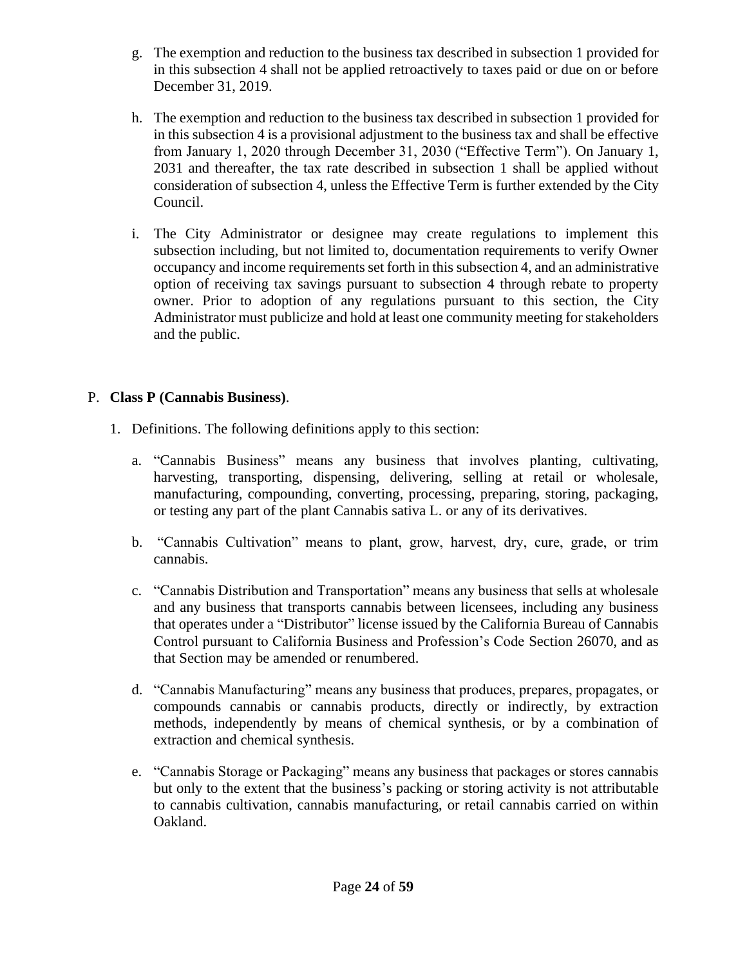- g. The exemption and reduction to the business tax described in subsection 1 provided for in this subsection 4 shall not be applied retroactively to taxes paid or due on or before December 31, 2019.
- h. The exemption and reduction to the business tax described in subsection 1 provided for in this subsection 4 is a provisional adjustment to the business tax and shall be effective from January 1, 2020 through December 31, 2030 ("Effective Term"). On January 1, 2031 and thereafter, the tax rate described in subsection 1 shall be applied without consideration of subsection 4, unless the Effective Term is further extended by the City Council.
- i. The City Administrator or designee may create regulations to implement this subsection including, but not limited to, documentation requirements to verify Owner occupancy and income requirements set forth in this subsection 4, and an administrative option of receiving tax savings pursuant to subsection 4 through rebate to property owner. Prior to adoption of any regulations pursuant to this section, the City Administrator must publicize and hold at least one community meeting for stakeholders and the public.

## P. **Class P (Cannabis Business)**.

- 1. Definitions. The following definitions apply to this section:
	- a. "Cannabis Business" means any business that involves planting, cultivating, harvesting, transporting, dispensing, delivering, selling at retail or wholesale, manufacturing, compounding, converting, processing, preparing, storing, packaging, or testing any part of the plant Cannabis sativa L. or any of its derivatives.
	- b. "Cannabis Cultivation" means to plant, grow, harvest, dry, cure, grade, or trim cannabis.
	- c. "Cannabis Distribution and Transportation" means any business that sells at wholesale and any business that transports cannabis between licensees, including any business that operates under a "Distributor" license issued by the California Bureau of Cannabis Control pursuant to California Business and Profession's Code Section 26070, and as that Section may be amended or renumbered.
	- d. "Cannabis Manufacturing" means any business that produces, prepares, propagates, or compounds cannabis or cannabis products, directly or indirectly, by extraction methods, independently by means of chemical synthesis, or by a combination of extraction and chemical synthesis.
	- e. "Cannabis Storage or Packaging" means any business that packages or stores cannabis but only to the extent that the business's packing or storing activity is not attributable to cannabis cultivation, cannabis manufacturing, or retail cannabis carried on within Oakland.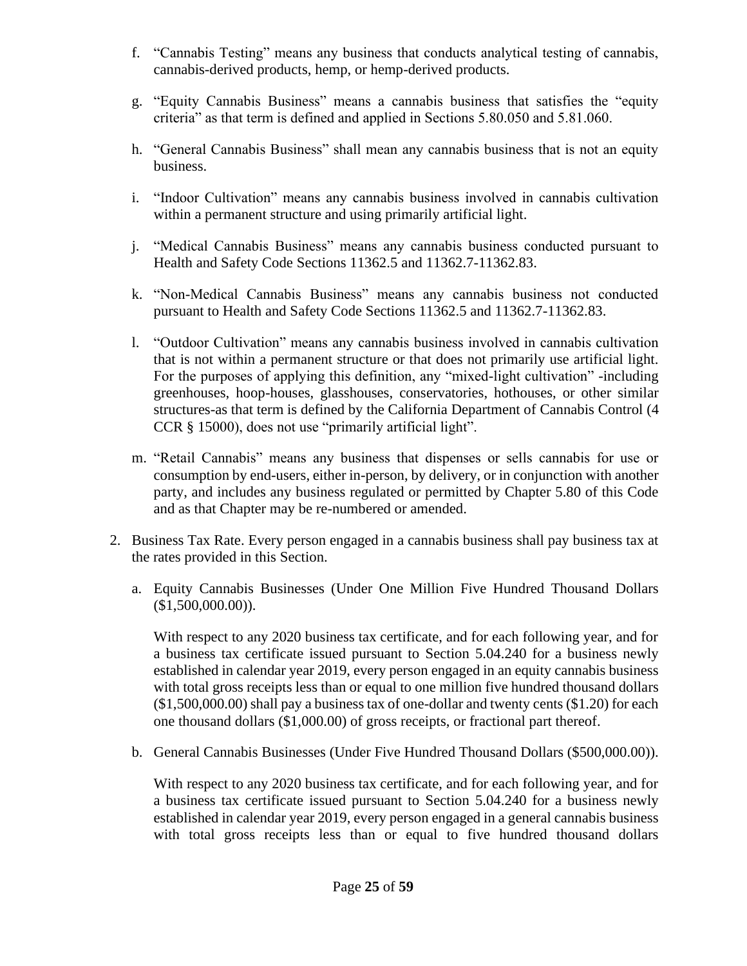- f. "Cannabis Testing" means any business that conducts analytical testing of cannabis, cannabis-derived products, hemp, or hemp-derived products.
- g. "Equity Cannabis Business" means a cannabis business that satisfies the "equity criteria" as that term is defined and applied in Sections 5.80.050 and 5.81.060.
- h. "General Cannabis Business" shall mean any cannabis business that is not an equity business.
- i. "Indoor Cultivation" means any cannabis business involved in cannabis cultivation within a permanent structure and using primarily artificial light.
- j. "Medical Cannabis Business" means any cannabis business conducted pursuant to Health and Safety Code Sections 11362.5 and 11362.7-11362.83.
- k. "Non-Medical Cannabis Business" means any cannabis business not conducted pursuant to Health and Safety Code Sections 11362.5 and 11362.7-11362.83.
- l. "Outdoor Cultivation" means any cannabis business involved in cannabis cultivation that is not within a permanent structure or that does not primarily use artificial light. For the purposes of applying this definition, any "mixed-light cultivation" -including greenhouses, hoop-houses, glasshouses, conservatories, hothouses, or other similar structures-as that term is defined by the California Department of Cannabis Control (4 CCR § 15000), does not use "primarily artificial light".
- m. "Retail Cannabis" means any business that dispenses or sells cannabis for use or consumption by end-users, either in-person, by delivery, or in conjunction with another party, and includes any business regulated or permitted by Chapter 5.80 of this Code and as that Chapter may be re-numbered or amended.
- 2. Business Tax Rate. Every person engaged in a cannabis business shall pay business tax at the rates provided in this Section.
	- a. Equity Cannabis Businesses (Under One Million Five Hundred Thousand Dollars  $($1,500,000.00)$ ).

With respect to any 2020 business tax certificate, and for each following year, and for a business tax certificate issued pursuant to Section 5.04.240 for a business newly established in calendar year 2019, every person engaged in an equity cannabis business with total gross receipts less than or equal to one million five hundred thousand dollars (\$1,500,000.00) shall pay a business tax of one-dollar and twenty cents (\$1.20) for each one thousand dollars (\$1,000.00) of gross receipts, or fractional part thereof.

b. General Cannabis Businesses (Under Five Hundred Thousand Dollars (\$500,000.00)).

With respect to any 2020 business tax certificate, and for each following year, and for a business tax certificate issued pursuant to Section 5.04.240 for a business newly established in calendar year 2019, every person engaged in a general cannabis business with total gross receipts less than or equal to five hundred thousand dollars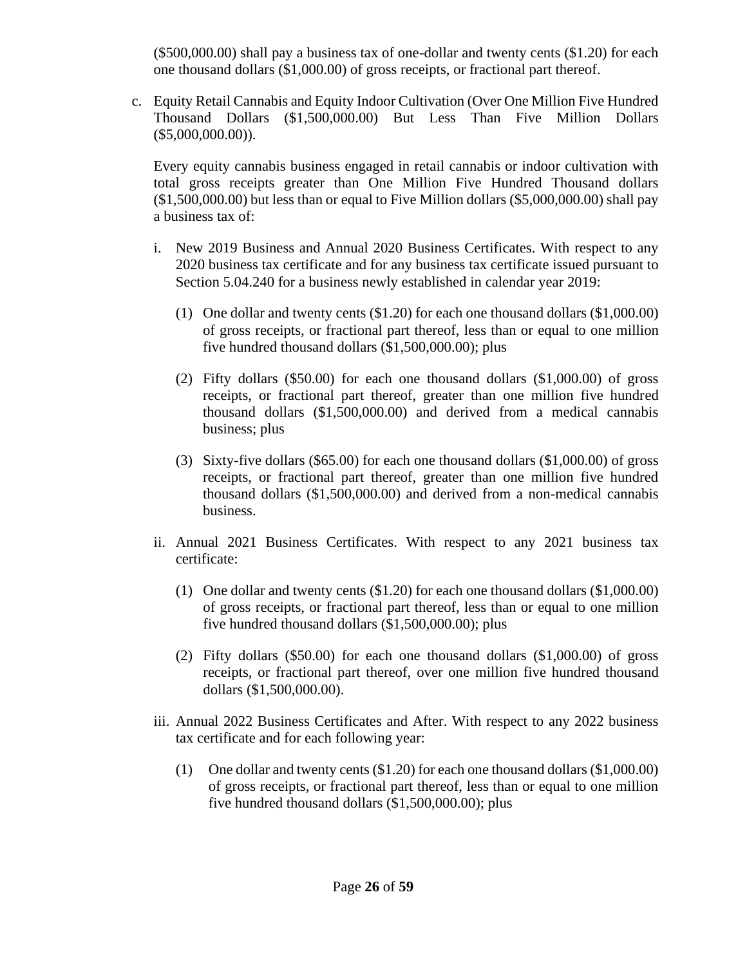(\$500,000.00) shall pay a business tax of one-dollar and twenty cents (\$1.20) for each one thousand dollars (\$1,000.00) of gross receipts, or fractional part thereof.

c. Equity Retail Cannabis and Equity Indoor Cultivation (Over One Million Five Hundred Thousand Dollars (\$1,500,000.00) But Less Than Five Million Dollars  $($5,000,000.00)$ ).

Every equity cannabis business engaged in retail cannabis or indoor cultivation with total gross receipts greater than One Million Five Hundred Thousand dollars (\$1,500,000.00) but less than or equal to Five Million dollars (\$5,000,000.00) shall pay a business tax of:

- i. New 2019 Business and Annual 2020 Business Certificates. With respect to any 2020 business tax certificate and for any business tax certificate issued pursuant to Section 5.04.240 for a business newly established in calendar year 2019:
	- (1) One dollar and twenty cents (\$1.20) for each one thousand dollars (\$1,000.00) of gross receipts, or fractional part thereof, less than or equal to one million five hundred thousand dollars (\$1,500,000.00); plus
	- (2) Fifty dollars (\$50.00) for each one thousand dollars (\$1,000.00) of gross receipts, or fractional part thereof, greater than one million five hundred thousand dollars (\$1,500,000.00) and derived from a medical cannabis business; plus
	- (3) Sixty-five dollars (\$65.00) for each one thousand dollars (\$1,000.00) of gross receipts, or fractional part thereof, greater than one million five hundred thousand dollars (\$1,500,000.00) and derived from a non-medical cannabis business.
- ii. Annual 2021 Business Certificates. With respect to any 2021 business tax certificate:
	- (1) One dollar and twenty cents (\$1.20) for each one thousand dollars (\$1,000.00) of gross receipts, or fractional part thereof, less than or equal to one million five hundred thousand dollars (\$1,500,000.00); plus
	- (2) Fifty dollars (\$50.00) for each one thousand dollars (\$1,000.00) of gross receipts, or fractional part thereof, over one million five hundred thousand dollars (\$1,500,000.00).
- iii. Annual 2022 Business Certificates and After. With respect to any 2022 business tax certificate and for each following year:
	- (1) One dollar and twenty cents (\$1.20) for each one thousand dollars (\$1,000.00) of gross receipts, or fractional part thereof, less than or equal to one million five hundred thousand dollars (\$1,500,000.00); plus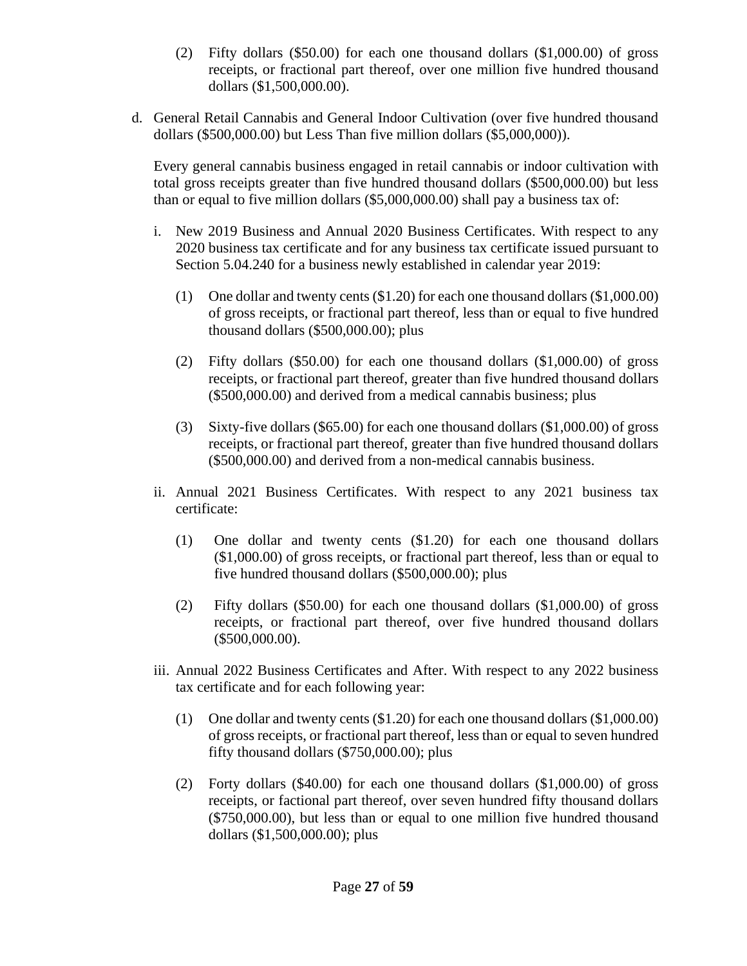- (2) Fifty dollars (\$50.00) for each one thousand dollars (\$1,000.00) of gross receipts, or fractional part thereof, over one million five hundred thousand dollars (\$1,500,000.00).
- d. General Retail Cannabis and General Indoor Cultivation (over five hundred thousand dollars (\$500,000.00) but Less Than five million dollars (\$5,000,000)).

Every general cannabis business engaged in retail cannabis or indoor cultivation with total gross receipts greater than five hundred thousand dollars (\$500,000.00) but less than or equal to five million dollars (\$5,000,000.00) shall pay a business tax of:

- i. New 2019 Business and Annual 2020 Business Certificates. With respect to any 2020 business tax certificate and for any business tax certificate issued pursuant to Section 5.04.240 for a business newly established in calendar year 2019:
	- (1) One dollar and twenty cents (\$1.20) for each one thousand dollars (\$1,000.00) of gross receipts, or fractional part thereof, less than or equal to five hundred thousand dollars (\$500,000.00); plus
	- (2) Fifty dollars (\$50.00) for each one thousand dollars (\$1,000.00) of gross receipts, or fractional part thereof, greater than five hundred thousand dollars (\$500,000.00) and derived from a medical cannabis business; plus
	- (3) Sixty-five dollars (\$65.00) for each one thousand dollars (\$1,000.00) of gross receipts, or fractional part thereof, greater than five hundred thousand dollars (\$500,000.00) and derived from a non-medical cannabis business.
- ii. Annual 2021 Business Certificates. With respect to any 2021 business tax certificate:
	- (1) One dollar and twenty cents (\$1.20) for each one thousand dollars (\$1,000.00) of gross receipts, or fractional part thereof, less than or equal to five hundred thousand dollars (\$500,000.00); plus
	- (2) Fifty dollars (\$50.00) for each one thousand dollars (\$1,000.00) of gross receipts, or fractional part thereof, over five hundred thousand dollars (\$500,000.00).
- iii. Annual 2022 Business Certificates and After. With respect to any 2022 business tax certificate and for each following year:
	- (1) One dollar and twenty cents (\$1.20) for each one thousand dollars (\$1,000.00) of gross receipts, or fractional part thereof, less than or equal to seven hundred fifty thousand dollars (\$750,000.00); plus
	- (2) Forty dollars (\$40.00) for each one thousand dollars (\$1,000.00) of gross receipts, or factional part thereof, over seven hundred fifty thousand dollars (\$750,000.00), but less than or equal to one million five hundred thousand dollars (\$1,500,000.00); plus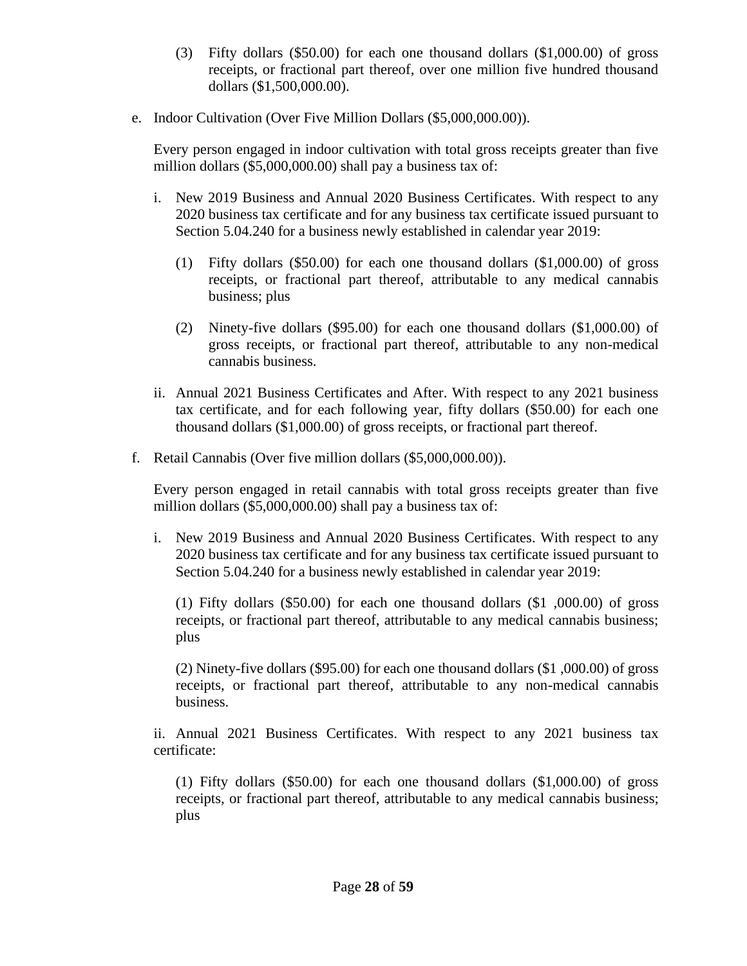- (3) Fifty dollars (\$50.00) for each one thousand dollars (\$1,000.00) of gross receipts, or fractional part thereof, over one million five hundred thousand dollars (\$1,500,000.00).
- e. Indoor Cultivation (Over Five Million Dollars (\$5,000,000.00)).

Every person engaged in indoor cultivation with total gross receipts greater than five million dollars (\$5,000,000.00) shall pay a business tax of:

- i. New 2019 Business and Annual 2020 Business Certificates. With respect to any 2020 business tax certificate and for any business tax certificate issued pursuant to Section 5.04.240 for a business newly established in calendar year 2019:
	- (1) Fifty dollars (\$50.00) for each one thousand dollars (\$1,000.00) of gross receipts, or fractional part thereof, attributable to any medical cannabis business; plus
	- (2) Ninety-five dollars (\$95.00) for each one thousand dollars (\$1,000.00) of gross receipts, or fractional part thereof, attributable to any non-medical cannabis business.
- ii. Annual 2021 Business Certificates and After. With respect to any 2021 business tax certificate, and for each following year, fifty dollars (\$50.00) for each one thousand dollars (\$1,000.00) of gross receipts, or fractional part thereof.
- f. Retail Cannabis (Over five million dollars (\$5,000,000.00)).

Every person engaged in retail cannabis with total gross receipts greater than five million dollars (\$5,000,000.00) shall pay a business tax of:

i. New 2019 Business and Annual 2020 Business Certificates. With respect to any 2020 business tax certificate and for any business tax certificate issued pursuant to Section 5.04.240 for a business newly established in calendar year 2019:

(1) Fifty dollars (\$50.00) for each one thousand dollars (\$1 ,000.00) of gross receipts, or fractional part thereof, attributable to any medical cannabis business; plus

(2) Ninety-five dollars (\$95.00) for each one thousand dollars (\$1 ,000.00) of gross receipts, or fractional part thereof, attributable to any non-medical cannabis business.

ii. Annual 2021 Business Certificates. With respect to any 2021 business tax certificate:

(1) Fifty dollars (\$50.00) for each one thousand dollars (\$1,000.00) of gross receipts, or fractional part thereof, attributable to any medical cannabis business; plus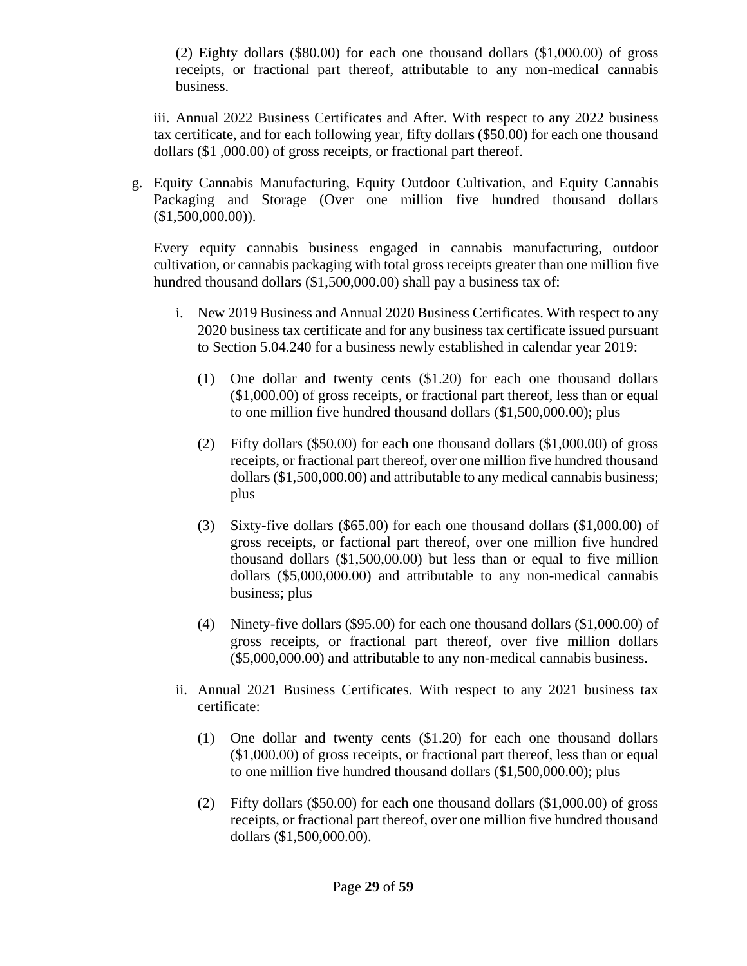(2) Eighty dollars (\$80.00) for each one thousand dollars (\$1,000.00) of gross receipts, or fractional part thereof, attributable to any non-medical cannabis business.

iii. Annual 2022 Business Certificates and After. With respect to any 2022 business tax certificate, and for each following year, fifty dollars (\$50.00) for each one thousand dollars (\$1 ,000.00) of gross receipts, or fractional part thereof.

g. Equity Cannabis Manufacturing, Equity Outdoor Cultivation, and Equity Cannabis Packaging and Storage (Over one million five hundred thousand dollars  $($1,500,000.00)$ ).

Every equity cannabis business engaged in cannabis manufacturing, outdoor cultivation, or cannabis packaging with total gross receipts greater than one million five hundred thousand dollars (\$1,500,000.00) shall pay a business tax of:

- i. New 2019 Business and Annual 2020 Business Certificates. With respect to any 2020 business tax certificate and for any business tax certificate issued pursuant to Section 5.04.240 for a business newly established in calendar year 2019:
	- (1) One dollar and twenty cents (\$1.20) for each one thousand dollars (\$1,000.00) of gross receipts, or fractional part thereof, less than or equal to one million five hundred thousand dollars (\$1,500,000.00); plus
	- (2) Fifty dollars (\$50.00) for each one thousand dollars (\$1,000.00) of gross receipts, or fractional part thereof, over one million five hundred thousand dollars (\$1,500,000.00) and attributable to any medical cannabis business; plus
	- (3) Sixty-five dollars (\$65.00) for each one thousand dollars (\$1,000.00) of gross receipts, or factional part thereof, over one million five hundred thousand dollars (\$1,500,00.00) but less than or equal to five million dollars (\$5,000,000.00) and attributable to any non-medical cannabis business; plus
	- (4) Ninety-five dollars (\$95.00) for each one thousand dollars (\$1,000.00) of gross receipts, or fractional part thereof, over five million dollars (\$5,000,000.00) and attributable to any non-medical cannabis business.
- ii. Annual 2021 Business Certificates. With respect to any 2021 business tax certificate:
	- (1) One dollar and twenty cents (\$1.20) for each one thousand dollars (\$1,000.00) of gross receipts, or fractional part thereof, less than or equal to one million five hundred thousand dollars (\$1,500,000.00); plus
	- (2) Fifty dollars (\$50.00) for each one thousand dollars (\$1,000.00) of gross receipts, or fractional part thereof, over one million five hundred thousand dollars (\$1,500,000.00).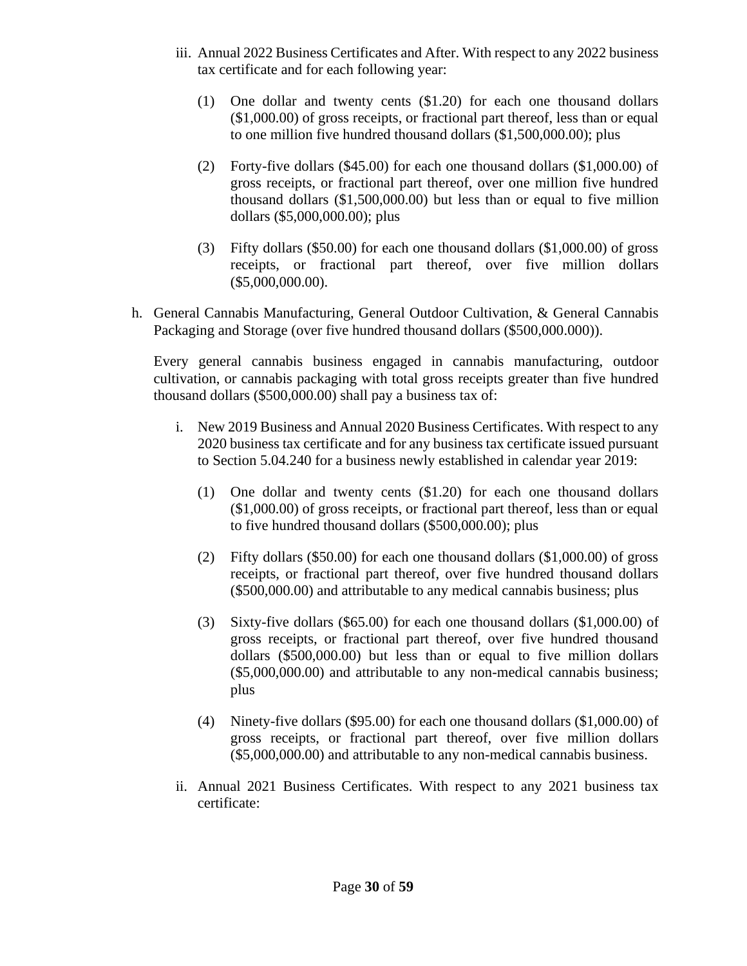- iii. Annual 2022 Business Certificates and After. With respect to any 2022 business tax certificate and for each following year:
	- (1) One dollar and twenty cents (\$1.20) for each one thousand dollars (\$1,000.00) of gross receipts, or fractional part thereof, less than or equal to one million five hundred thousand dollars (\$1,500,000.00); plus
	- (2) Forty-five dollars (\$45.00) for each one thousand dollars (\$1,000.00) of gross receipts, or fractional part thereof, over one million five hundred thousand dollars (\$1,500,000.00) but less than or equal to five million dollars (\$5,000,000.00); plus
	- (3) Fifty dollars (\$50.00) for each one thousand dollars (\$1,000.00) of gross receipts, or fractional part thereof, over five million dollars (\$5,000,000.00).
- h. General Cannabis Manufacturing, General Outdoor Cultivation, & General Cannabis Packaging and Storage (over five hundred thousand dollars (\$500,000.000)).

Every general cannabis business engaged in cannabis manufacturing, outdoor cultivation, or cannabis packaging with total gross receipts greater than five hundred thousand dollars (\$500,000.00) shall pay a business tax of:

- i. New 2019 Business and Annual 2020 Business Certificates. With respect to any 2020 business tax certificate and for any business tax certificate issued pursuant to Section 5.04.240 for a business newly established in calendar year 2019:
	- (1) One dollar and twenty cents (\$1.20) for each one thousand dollars (\$1,000.00) of gross receipts, or fractional part thereof, less than or equal to five hundred thousand dollars (\$500,000.00); plus
	- (2) Fifty dollars (\$50.00) for each one thousand dollars (\$1,000.00) of gross receipts, or fractional part thereof, over five hundred thousand dollars (\$500,000.00) and attributable to any medical cannabis business; plus
	- (3) Sixty-five dollars (\$65.00) for each one thousand dollars (\$1,000.00) of gross receipts, or fractional part thereof, over five hundred thousand dollars (\$500,000.00) but less than or equal to five million dollars (\$5,000,000.00) and attributable to any non-medical cannabis business; plus
	- (4) Ninety-five dollars (\$95.00) for each one thousand dollars (\$1,000.00) of gross receipts, or fractional part thereof, over five million dollars (\$5,000,000.00) and attributable to any non-medical cannabis business.
- ii. Annual 2021 Business Certificates. With respect to any 2021 business tax certificate: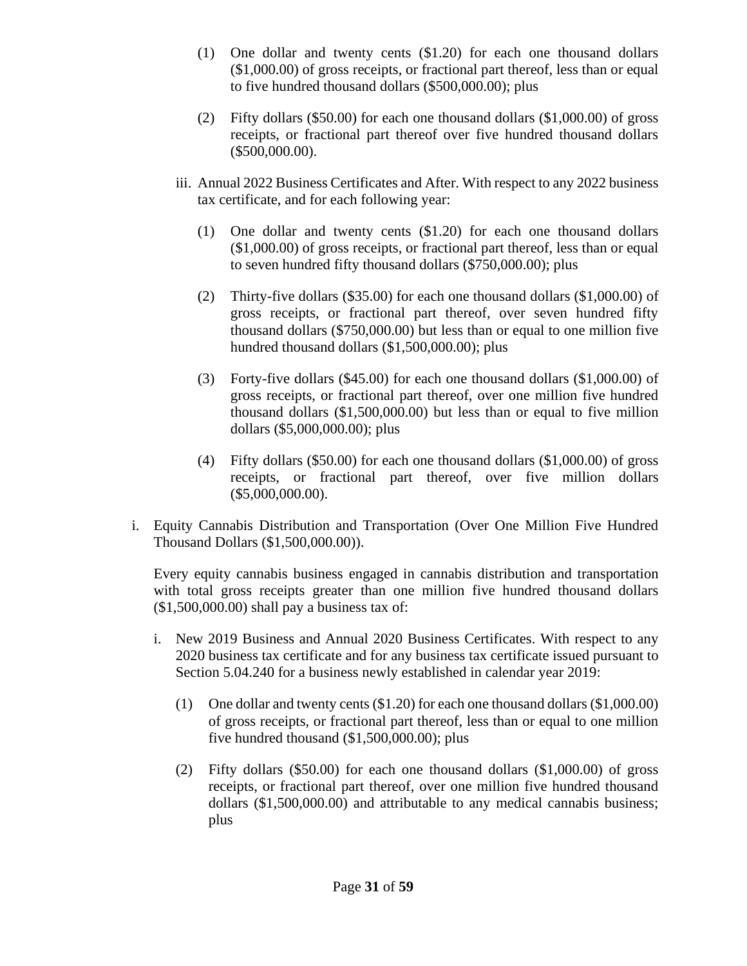- (1) One dollar and twenty cents (\$1.20) for each one thousand dollars (\$1,000.00) of gross receipts, or fractional part thereof, less than or equal to five hundred thousand dollars (\$500,000.00); plus
- (2) Fifty dollars (\$50.00) for each one thousand dollars (\$1,000.00) of gross receipts, or fractional part thereof over five hundred thousand dollars (\$500,000.00).
- iii. Annual 2022 Business Certificates and After. With respect to any 2022 business tax certificate, and for each following year:
	- (1) One dollar and twenty cents (\$1.20) for each one thousand dollars (\$1,000.00) of gross receipts, or fractional part thereof, less than or equal to seven hundred fifty thousand dollars (\$750,000.00); plus
	- (2) Thirty-five dollars (\$35.00) for each one thousand dollars (\$1,000.00) of gross receipts, or fractional part thereof, over seven hundred fifty thousand dollars (\$750,000.00) but less than or equal to one million five hundred thousand dollars (\$1,500,000.00); plus
	- (3) Forty-five dollars (\$45.00) for each one thousand dollars (\$1,000.00) of gross receipts, or fractional part thereof, over one million five hundred thousand dollars (\$1,500,000.00) but less than or equal to five million dollars (\$5,000,000.00); plus
	- (4) Fifty dollars (\$50.00) for each one thousand dollars (\$1,000.00) of gross receipts, or fractional part thereof, over five million dollars (\$5,000,000.00).
- i. Equity Cannabis Distribution and Transportation (Over One Million Five Hundred Thousand Dollars (\$1,500,000.00)).

Every equity cannabis business engaged in cannabis distribution and transportation with total gross receipts greater than one million five hundred thousand dollars (\$1,500,000.00) shall pay a business tax of:

- i. New 2019 Business and Annual 2020 Business Certificates. With respect to any 2020 business tax certificate and for any business tax certificate issued pursuant to Section 5.04.240 for a business newly established in calendar year 2019:
	- (1) One dollar and twenty cents (\$1.20) for each one thousand dollars (\$1,000.00) of gross receipts, or fractional part thereof, less than or equal to one million five hundred thousand (\$1,500,000.00); plus
	- (2) Fifty dollars (\$50.00) for each one thousand dollars (\$1,000.00) of gross receipts, or fractional part thereof, over one million five hundred thousand dollars (\$1,500,000.00) and attributable to any medical cannabis business; plus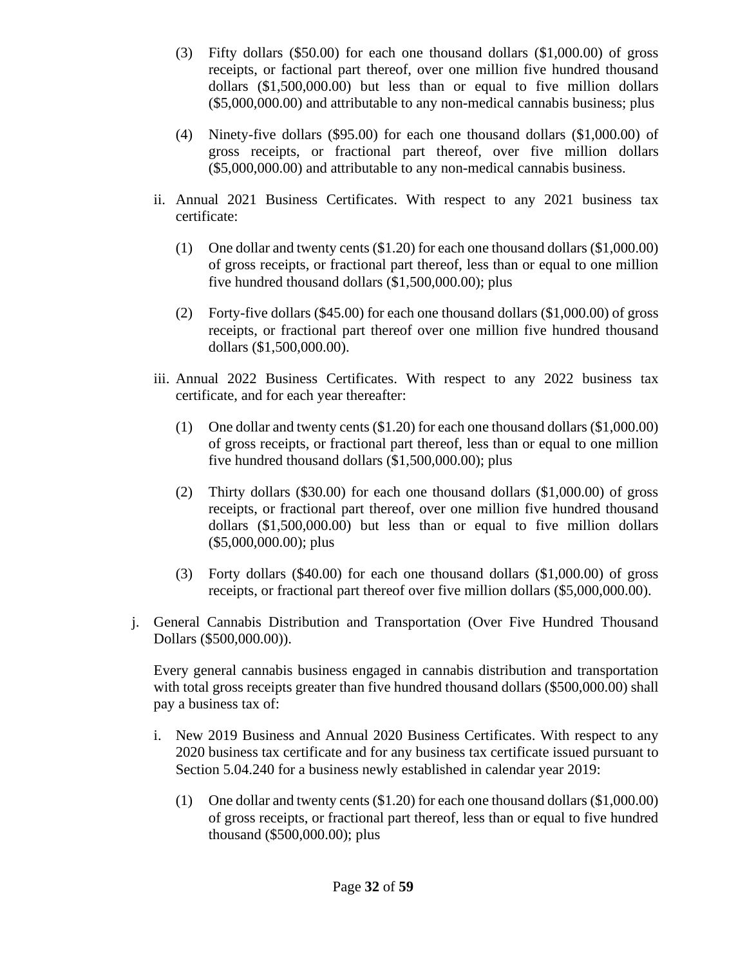- (3) Fifty dollars (\$50.00) for each one thousand dollars (\$1,000.00) of gross receipts, or factional part thereof, over one million five hundred thousand dollars (\$1,500,000.00) but less than or equal to five million dollars (\$5,000,000.00) and attributable to any non-medical cannabis business; plus
- (4) Ninety-five dollars (\$95.00) for each one thousand dollars (\$1,000.00) of gross receipts, or fractional part thereof, over five million dollars (\$5,000,000.00) and attributable to any non-medical cannabis business.
- ii. Annual 2021 Business Certificates. With respect to any 2021 business tax certificate:
	- (1) One dollar and twenty cents (\$1.20) for each one thousand dollars (\$1,000.00) of gross receipts, or fractional part thereof, less than or equal to one million five hundred thousand dollars (\$1,500,000.00); plus
	- (2) Forty-five dollars (\$45.00) for each one thousand dollars (\$1,000.00) of gross receipts, or fractional part thereof over one million five hundred thousand dollars (\$1,500,000.00).
- iii. Annual 2022 Business Certificates. With respect to any 2022 business tax certificate, and for each year thereafter:
	- (1) One dollar and twenty cents (\$1.20) for each one thousand dollars (\$1,000.00) of gross receipts, or fractional part thereof, less than or equal to one million five hundred thousand dollars (\$1,500,000.00); plus
	- (2) Thirty dollars (\$30.00) for each one thousand dollars (\$1,000.00) of gross receipts, or fractional part thereof, over one million five hundred thousand dollars (\$1,500,000.00) but less than or equal to five million dollars (\$5,000,000.00); plus
	- (3) Forty dollars (\$40.00) for each one thousand dollars (\$1,000.00) of gross receipts, or fractional part thereof over five million dollars (\$5,000,000.00).
- j. General Cannabis Distribution and Transportation (Over Five Hundred Thousand Dollars (\$500,000.00)).

Every general cannabis business engaged in cannabis distribution and transportation with total gross receipts greater than five hundred thousand dollars (\$500,000.00) shall pay a business tax of:

- i. New 2019 Business and Annual 2020 Business Certificates. With respect to any 2020 business tax certificate and for any business tax certificate issued pursuant to Section 5.04.240 for a business newly established in calendar year 2019:
	- (1) One dollar and twenty cents (\$1.20) for each one thousand dollars (\$1,000.00) of gross receipts, or fractional part thereof, less than or equal to five hundred thousand (\$500,000.00); plus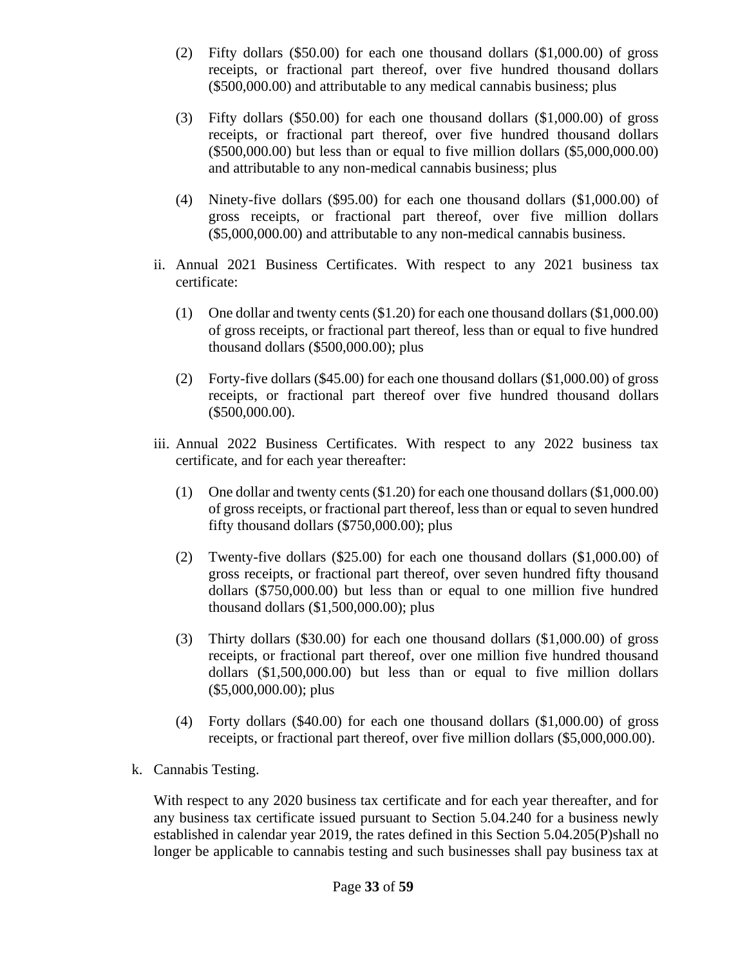- (2) Fifty dollars (\$50.00) for each one thousand dollars (\$1,000.00) of gross receipts, or fractional part thereof, over five hundred thousand dollars (\$500,000.00) and attributable to any medical cannabis business; plus
- (3) Fifty dollars (\$50.00) for each one thousand dollars (\$1,000.00) of gross receipts, or fractional part thereof, over five hundred thousand dollars (\$500,000.00) but less than or equal to five million dollars (\$5,000,000.00) and attributable to any non-medical cannabis business; plus
- (4) Ninety-five dollars (\$95.00) for each one thousand dollars (\$1,000.00) of gross receipts, or fractional part thereof, over five million dollars (\$5,000,000.00) and attributable to any non-medical cannabis business.
- ii. Annual 2021 Business Certificates. With respect to any 2021 business tax certificate:
	- (1) One dollar and twenty cents (\$1.20) for each one thousand dollars (\$1,000.00) of gross receipts, or fractional part thereof, less than or equal to five hundred thousand dollars (\$500,000.00); plus
	- (2) Forty-five dollars (\$45.00) for each one thousand dollars (\$1,000.00) of gross receipts, or fractional part thereof over five hundred thousand dollars (\$500,000.00).
- iii. Annual 2022 Business Certificates. With respect to any 2022 business tax certificate, and for each year thereafter:
	- (1) One dollar and twenty cents (\$1.20) for each one thousand dollars (\$1,000.00) of gross receipts, or fractional part thereof, less than or equal to seven hundred fifty thousand dollars (\$750,000.00); plus
	- (2) Twenty-five dollars (\$25.00) for each one thousand dollars (\$1,000.00) of gross receipts, or fractional part thereof, over seven hundred fifty thousand dollars (\$750,000.00) but less than or equal to one million five hundred thousand dollars (\$1,500,000.00); plus
	- (3) Thirty dollars (\$30.00) for each one thousand dollars (\$1,000.00) of gross receipts, or fractional part thereof, over one million five hundred thousand dollars (\$1,500,000.00) but less than or equal to five million dollars (\$5,000,000.00); plus
	- (4) Forty dollars (\$40.00) for each one thousand dollars (\$1,000.00) of gross receipts, or fractional part thereof, over five million dollars (\$5,000,000.00).
- k. Cannabis Testing.

With respect to any 2020 business tax certificate and for each year thereafter, and for any business tax certificate issued pursuant to Section 5.04.240 for a business newly established in calendar year 2019, the rates defined in this Section 5.04.205(P)shall no longer be applicable to cannabis testing and such businesses shall pay business tax at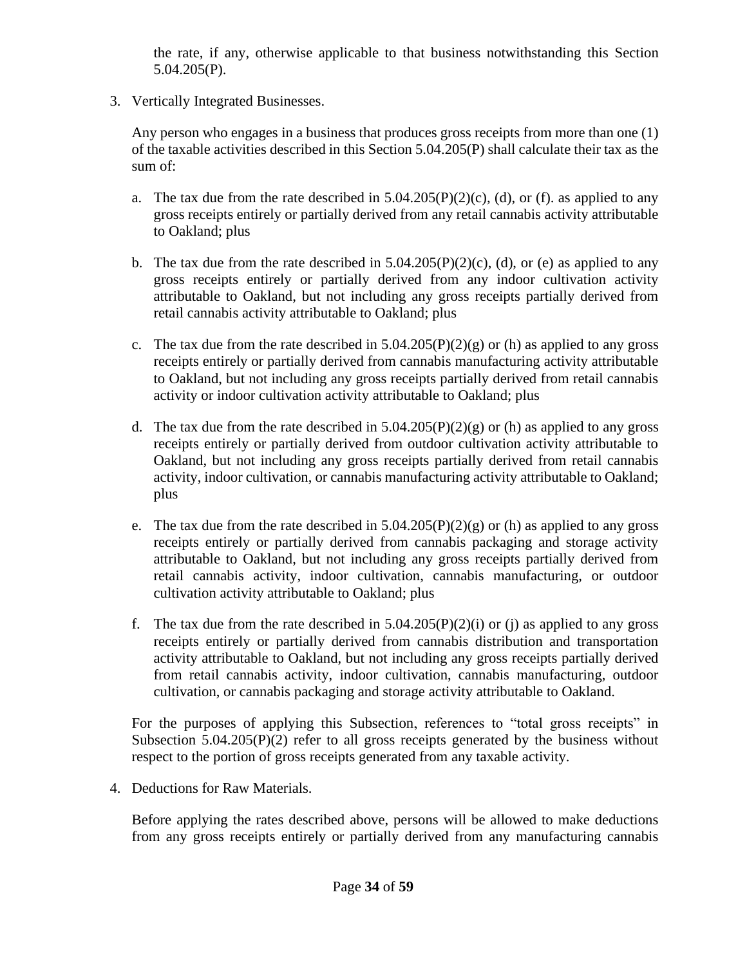the rate, if any, otherwise applicable to that business notwithstanding this Section 5.04.205(P).

3. Vertically Integrated Businesses.

Any person who engages in a business that produces gross receipts from more than one (1) of the taxable activities described in this Section 5.04.205(P) shall calculate their tax as the sum of:

- a. The tax due from the rate described in  $5.04.205(P)(2)(c)$ , (d), or (f). as applied to any gross receipts entirely or partially derived from any retail cannabis activity attributable to Oakland; plus
- b. The tax due from the rate described in  $5.04.205(P)(2)(c)$ , (d), or (e) as applied to any gross receipts entirely or partially derived from any indoor cultivation activity attributable to Oakland, but not including any gross receipts partially derived from retail cannabis activity attributable to Oakland; plus
- c. The tax due from the rate described in  $5.04.205(P)(2)(g)$  or (h) as applied to any gross receipts entirely or partially derived from cannabis manufacturing activity attributable to Oakland, but not including any gross receipts partially derived from retail cannabis activity or indoor cultivation activity attributable to Oakland; plus
- d. The tax due from the rate described in  $5.04.205(P)(2)(g)$  or (h) as applied to any gross receipts entirely or partially derived from outdoor cultivation activity attributable to Oakland, but not including any gross receipts partially derived from retail cannabis activity, indoor cultivation, or cannabis manufacturing activity attributable to Oakland; plus
- e. The tax due from the rate described in  $5.04.205(P)(2)(g)$  or (h) as applied to any gross receipts entirely or partially derived from cannabis packaging and storage activity attributable to Oakland, but not including any gross receipts partially derived from retail cannabis activity, indoor cultivation, cannabis manufacturing, or outdoor cultivation activity attributable to Oakland; plus
- f. The tax due from the rate described in  $5.04.205(P)(2)(i)$  or (j) as applied to any gross receipts entirely or partially derived from cannabis distribution and transportation activity attributable to Oakland, but not including any gross receipts partially derived from retail cannabis activity, indoor cultivation, cannabis manufacturing, outdoor cultivation, or cannabis packaging and storage activity attributable to Oakland.

For the purposes of applying this Subsection, references to "total gross receipts" in Subsection  $5.04.205(P)(2)$  refer to all gross receipts generated by the business without respect to the portion of gross receipts generated from any taxable activity.

4. Deductions for Raw Materials.

Before applying the rates described above, persons will be allowed to make deductions from any gross receipts entirely or partially derived from any manufacturing cannabis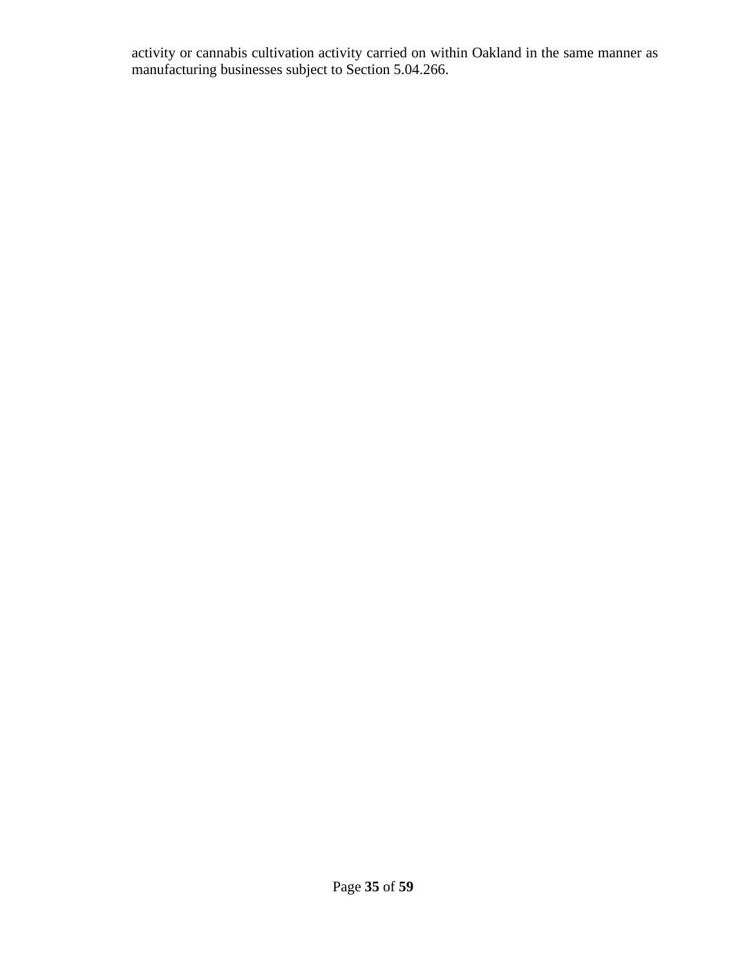activity or cannabis cultivation activity carried on within Oakland in the same manner as manufacturing businesses subject to Section 5.04.266.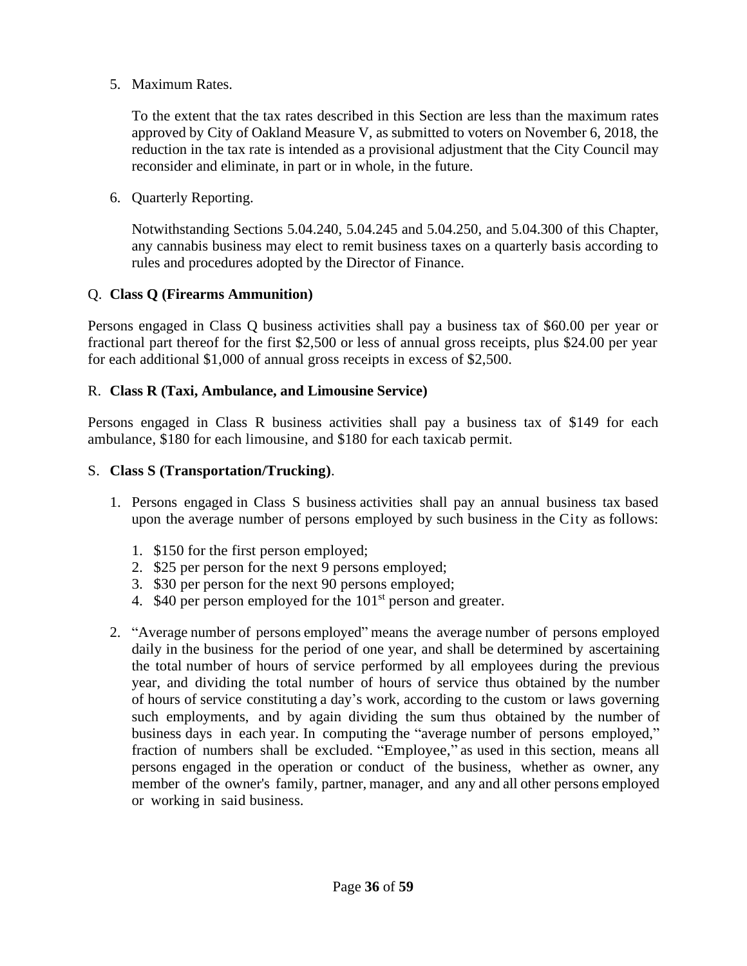5. Maximum Rates.

To the extent that the tax rates described in this Section are less than the maximum rates approved by City of Oakland Measure V, as submitted to voters on November 6, 2018, the reduction in the tax rate is intended as a provisional adjustment that the City Council may reconsider and eliminate, in part or in whole, in the future.

6. Quarterly Reporting.

Notwithstanding Sections 5.04.240, 5.04.245 and 5.04.250, and 5.04.300 of this Chapter, any cannabis business may elect to remit business taxes on a quarterly basis according to rules and procedures adopted by the Director of Finance.

#### Q. **Class Q (Firearms Ammunition)**

Persons engaged in Class Q business activities shall pay a business tax of \$60.00 per year or fractional part thereof for the first \$2,500 or less of annual gross receipts, plus \$24.00 per year for each additional \$1,000 of annual gross receipts in excess of \$2,500.

#### R. **Class R (Taxi, Ambulance, and Limousine Service)**

Persons engaged in Class R business activities shall pay a business tax of \$149 for each ambulance, \$180 for each limousine, and \$180 for each taxicab permit.

#### S. **Class S (Transportation/Trucking)**.

- 1. Persons engaged in Class S business activities shall pay an annual business tax based upon the average number of persons employed by such business in the City as follows:
	- 1. \$150 for the first person employed;
	- 2. \$25 per person for the next 9 persons employed;
	- 3. \$30 per person for the next 90 persons employed;
	- 4.  $$40$  per person employed for the  $101<sup>st</sup>$  person and greater.
- 2. "Average number of persons employed" means the average number of persons employed daily in the business for the period of one year, and shall be determined by ascertaining the total number of hours of service performed by all employees during the previous year, and dividing the total number of hours of service thus obtained by the number of hours of service constituting a day's work, according to the custom or laws governing such employments, and by again dividing the sum thus obtained by the number of business days in each year. In computing the "average number of persons employed," fraction of numbers shall be excluded. "Employee," as used in this section, means all persons engaged in the operation or conduct of the business, whether as owner, any member of the owner's family, partner, manager, and any and all other persons employed or working in said business.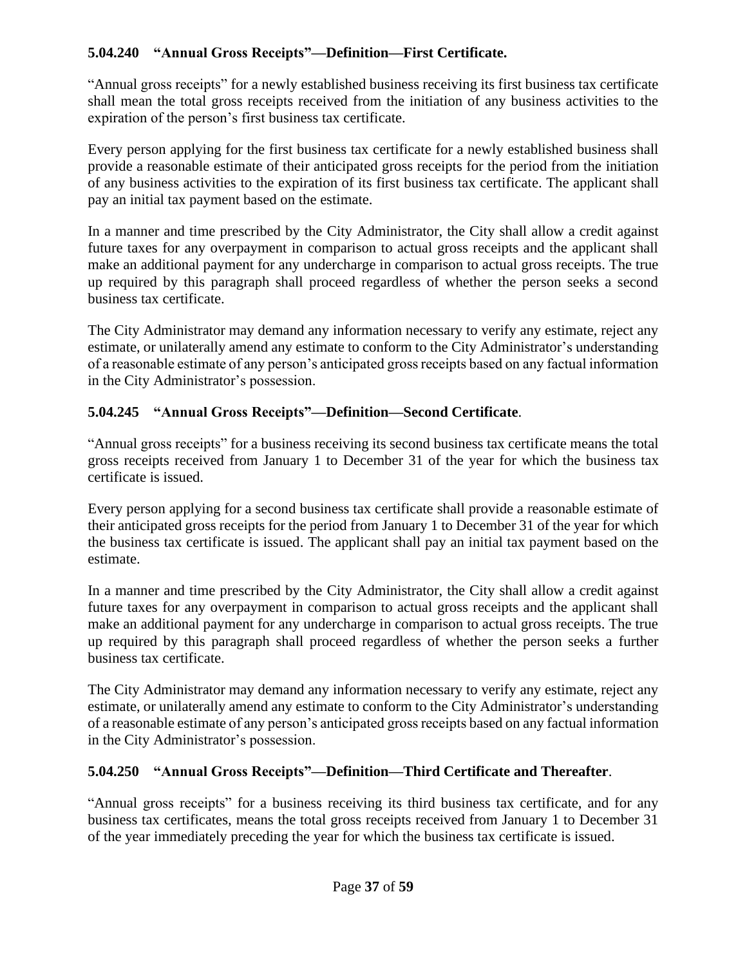# **5.04.240 "Annual Gross Receipts"—Definition—First Certificate.**

"Annual gross receipts" for a newly established business receiving its first business tax certificate shall mean the total gross receipts received from the initiation of any business activities to the expiration of the person's first business tax certificate.

Every person applying for the first business tax certificate for a newly established business shall provide a reasonable estimate of their anticipated gross receipts for the period from the initiation of any business activities to the expiration of its first business tax certificate. The applicant shall pay an initial tax payment based on the estimate.

In a manner and time prescribed by the City Administrator, the City shall allow a credit against future taxes for any overpayment in comparison to actual gross receipts and the applicant shall make an additional payment for any undercharge in comparison to actual gross receipts. The true up required by this paragraph shall proceed regardless of whether the person seeks a second business tax certificate.

The City Administrator may demand any information necessary to verify any estimate, reject any estimate, or unilaterally amend any estimate to conform to the City Administrator's understanding of a reasonable estimate of any person's anticipated gross receipts based on any factual information in the City Administrator's possession.

# **5.04.245 "Annual Gross Receipts"—Definition—Second Certificate**.

"Annual gross receipts" for a business receiving its second business tax certificate means the total gross receipts received from January 1 to December 31 of the year for which the business tax certificate is issued.

Every person applying for a second business tax certificate shall provide a reasonable estimate of their anticipated gross receipts for the period from January 1 to December 31 of the year for which the business tax certificate is issued. The applicant shall pay an initial tax payment based on the estimate.

In a manner and time prescribed by the City Administrator, the City shall allow a credit against future taxes for any overpayment in comparison to actual gross receipts and the applicant shall make an additional payment for any undercharge in comparison to actual gross receipts. The true up required by this paragraph shall proceed regardless of whether the person seeks a further business tax certificate.

The City Administrator may demand any information necessary to verify any estimate, reject any estimate, or unilaterally amend any estimate to conform to the City Administrator's understanding of a reasonable estimate of any person's anticipated gross receipts based on any factual information in the City Administrator's possession.

## **5.04.250 "Annual Gross Receipts"—Definition—Third Certificate and Thereafter**.

"Annual gross receipts" for a business receiving its third business tax certificate, and for any business tax certificates, means the total gross receipts received from January 1 to December 31 of the year immediately preceding the year for which the business tax certificate is issued.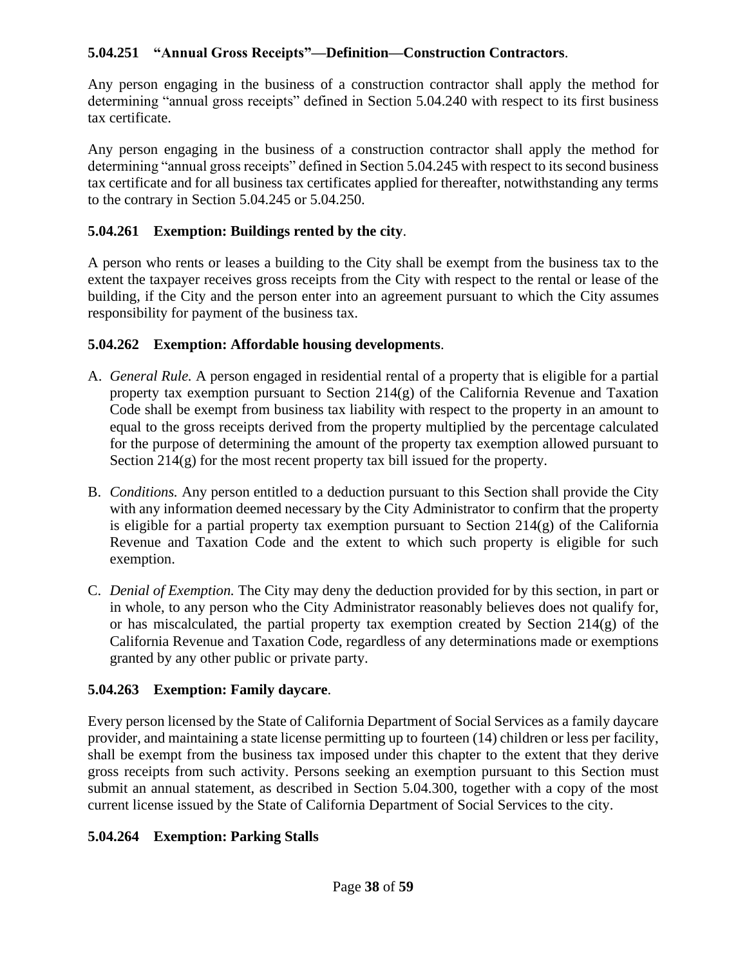## **5.04.251 "Annual Gross Receipts"—Definition—Construction Contractors**.

Any person engaging in the business of a construction contractor shall apply the method for determining "annual gross receipts" defined in Section 5.04.240 with respect to its first business tax certificate.

Any person engaging in the business of a construction contractor shall apply the method for determining "annual gross receipts" defined in Section 5.04.245 with respect to its second business tax certificate and for all business tax certificates applied for thereafter, notwithstanding any terms to the contrary in Section 5.04.245 or 5.04.250.

# **5.04.261 Exemption: Buildings rented by the city**.

A person who rents or leases a building to the City shall be exempt from the business tax to the extent the taxpayer receives gross receipts from the City with respect to the rental or lease of the building, if the City and the person enter into an agreement pursuant to which the City assumes responsibility for payment of the business tax.

# **5.04.262 Exemption: Affordable housing developments**.

- A. *General Rule.* A person engaged in residential rental of a property that is eligible for a partial property tax exemption pursuant to Section 214(g) of the California Revenue and Taxation Code shall be exempt from business tax liability with respect to the property in an amount to equal to the gross receipts derived from the property multiplied by the percentage calculated for the purpose of determining the amount of the property tax exemption allowed pursuant to Section 214(g) for the most recent property tax bill issued for the property.
- B. *Conditions.* Any person entitled to a deduction pursuant to this Section shall provide the City with any information deemed necessary by the City Administrator to confirm that the property is eligible for a partial property tax exemption pursuant to Section 214(g) of the California Revenue and Taxation Code and the extent to which such property is eligible for such exemption.
- C. *Denial of Exemption.* The City may deny the deduction provided for by this section, in part or in whole, to any person who the City Administrator reasonably believes does not qualify for, or has miscalculated, the partial property tax exemption created by Section 214(g) of the California Revenue and Taxation Code, regardless of any determinations made or exemptions granted by any other public or private party.

# **5.04.263 Exemption: Family daycare**.

Every person licensed by the State of California Department of Social Services as a family daycare provider, and maintaining a state license permitting up to fourteen (14) children or less per facility, shall be exempt from the business tax imposed under this chapter to the extent that they derive gross receipts from such activity. Persons seeking an exemption pursuant to this Section must submit an annual statement, as described in Section 5.04.300, together with a copy of the most current license issued by the State of California Department of Social Services to the city.

# **5.04.264 Exemption: Parking Stalls**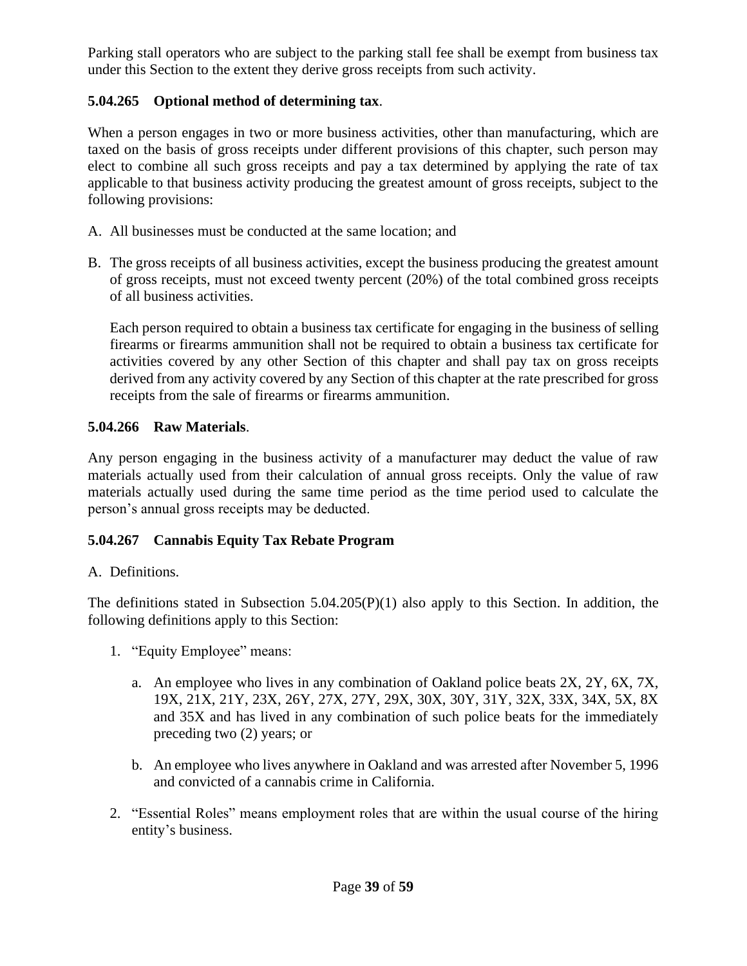Parking stall operators who are subject to the parking stall fee shall be exempt from business tax under this Section to the extent they derive gross receipts from such activity.

# **5.04.265 Optional method of determining tax**.

When a person engages in two or more business activities, other than manufacturing, which are taxed on the basis of gross receipts under different provisions of this chapter, such person may elect to combine all such gross receipts and pay a tax determined by applying the rate of tax applicable to that business activity producing the greatest amount of gross receipts, subject to the following provisions:

- A. All businesses must be conducted at the same location; and
- B. The gross receipts of all business activities, except the business producing the greatest amount of gross receipts, must not exceed twenty percent (20%) of the total combined gross receipts of all business activities.

Each person required to obtain a business tax certificate for engaging in the business of selling firearms or firearms ammunition shall not be required to obtain a business tax certificate for activities covered by any other Section of this chapter and shall pay tax on gross receipts derived from any activity covered by any Section of this chapter at the rate prescribed for gross receipts from the sale of firearms or firearms ammunition.

# **5.04.266 Raw Materials**.

Any person engaging in the business activity of a manufacturer may deduct the value of raw materials actually used from their calculation of annual gross receipts. Only the value of raw materials actually used during the same time period as the time period used to calculate the person's annual gross receipts may be deducted.

# **5.04.267 Cannabis Equity Tax Rebate Program**

## A. Definitions.

The definitions stated in Subsection 5.04.205(P)(1) also apply to this Section. In addition, the following definitions apply to this Section:

- 1. "Equity Employee" means:
	- a. An employee who lives in any combination of Oakland police beats 2X, 2Y, 6X, 7X, 19X, 21X, 21Y, 23X, 26Y, 27X, 27Y, 29X, 30X, 30Y, 31Y, 32X, 33X, 34X, 5X, 8X and 35X and has lived in any combination of such police beats for the immediately preceding two (2) years; or
	- b. An employee who lives anywhere in Oakland and was arrested after November 5, 1996 and convicted of a cannabis crime in California.
- 2. "Essential Roles" means employment roles that are within the usual course of the hiring entity's business.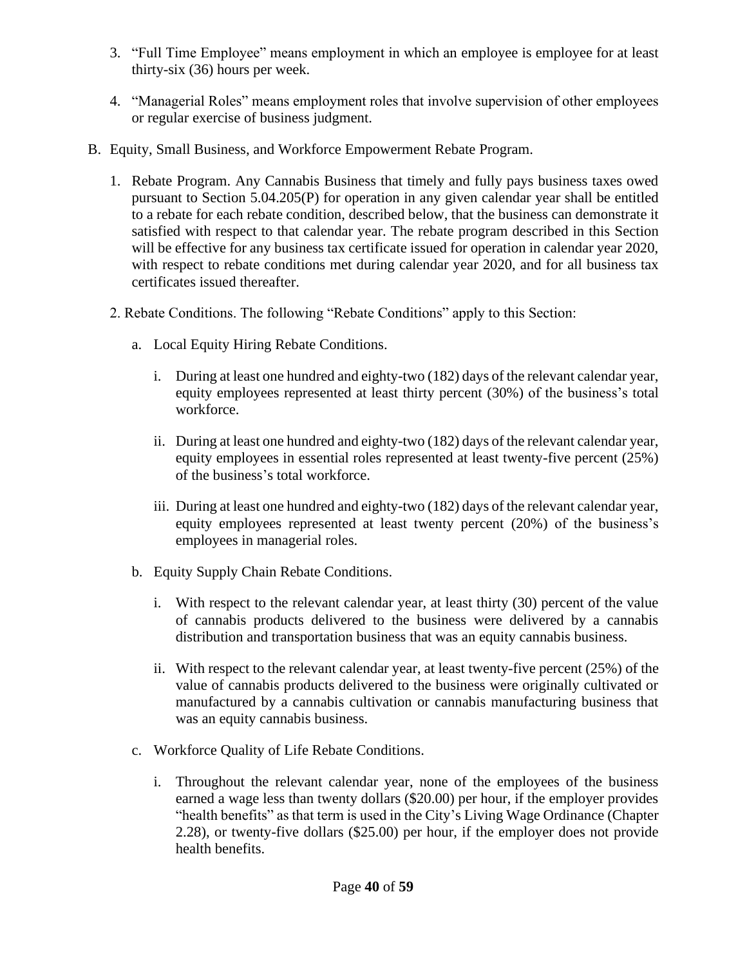- 3. "Full Time Employee" means employment in which an employee is employee for at least thirty-six (36) hours per week.
- 4. "Managerial Roles" means employment roles that involve supervision of other employees or regular exercise of business judgment.
- B. Equity, Small Business, and Workforce Empowerment Rebate Program.
	- 1. Rebate Program. Any Cannabis Business that timely and fully pays business taxes owed pursuant to Section 5.04.205(P) for operation in any given calendar year shall be entitled to a rebate for each rebate condition, described below, that the business can demonstrate it satisfied with respect to that calendar year. The rebate program described in this Section will be effective for any business tax certificate issued for operation in calendar year 2020, with respect to rebate conditions met during calendar year 2020, and for all business tax certificates issued thereafter.
	- 2. Rebate Conditions. The following "Rebate Conditions" apply to this Section:
		- a. Local Equity Hiring Rebate Conditions.
			- i. During at least one hundred and eighty-two (182) days of the relevant calendar year, equity employees represented at least thirty percent (30%) of the business's total workforce.
			- ii. During at least one hundred and eighty-two (182) days of the relevant calendar year, equity employees in essential roles represented at least twenty-five percent (25%) of the business's total workforce.
			- iii. During at least one hundred and eighty-two (182) days of the relevant calendar year, equity employees represented at least twenty percent (20%) of the business's employees in managerial roles.
		- b. Equity Supply Chain Rebate Conditions.
			- i. With respect to the relevant calendar year, at least thirty (30) percent of the value of cannabis products delivered to the business were delivered by a cannabis distribution and transportation business that was an equity cannabis business.
			- ii. With respect to the relevant calendar year, at least twenty-five percent (25%) of the value of cannabis products delivered to the business were originally cultivated or manufactured by a cannabis cultivation or cannabis manufacturing business that was an equity cannabis business.
		- c. Workforce Quality of Life Rebate Conditions.
			- i. Throughout the relevant calendar year, none of the employees of the business earned a wage less than twenty dollars (\$20.00) per hour, if the employer provides "health benefits" as that term is used in the City's Living Wage Ordinance (Chapter 2.28), or twenty-five dollars (\$25.00) per hour, if the employer does not provide health benefits.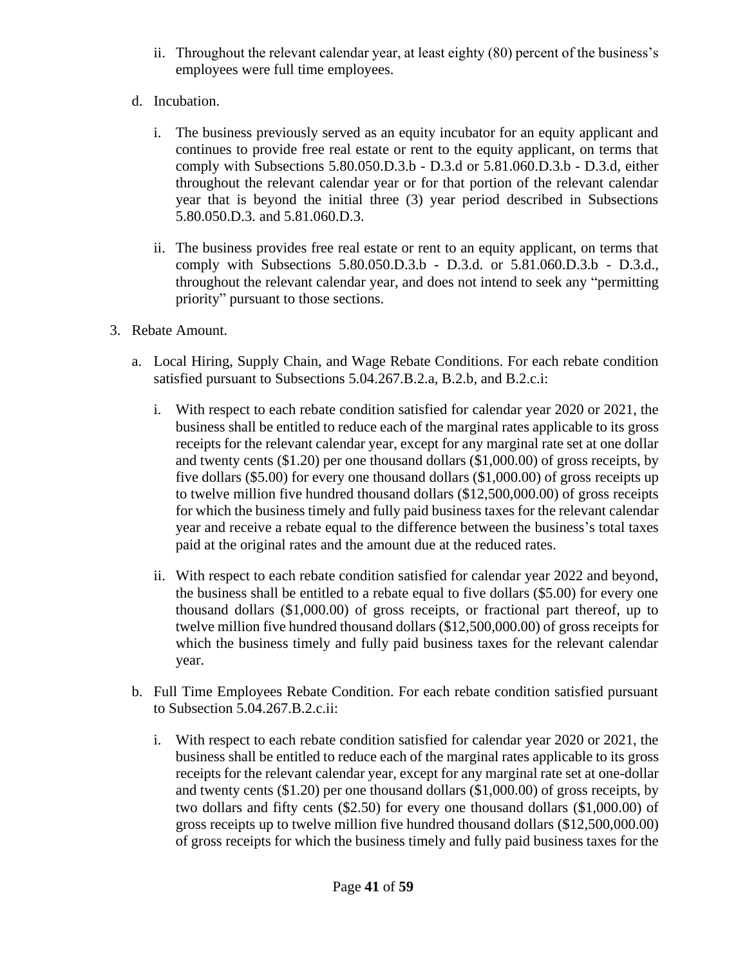- ii. Throughout the relevant calendar year, at least eighty (80) percent of the business's employees were full time employees.
- d. Incubation.
	- i. The business previously served as an equity incubator for an equity applicant and continues to provide free real estate or rent to the equity applicant, on terms that comply with Subsections 5.80.050.D.3.b - D.3.d or 5.81.060.D.3.b - D.3.d, either throughout the relevant calendar year or for that portion of the relevant calendar year that is beyond the initial three (3) year period described in Subsections 5.80.050.D.3. and 5.81.060.D.3.
	- ii. The business provides free real estate or rent to an equity applicant, on terms that comply with Subsections 5.80.050.D.3.b - D.3.d. or 5.81.060.D.3.b - D.3.d., throughout the relevant calendar year, and does not intend to seek any "permitting priority" pursuant to those sections.
- 3. Rebate Amount.
	- a. Local Hiring, Supply Chain, and Wage Rebate Conditions. For each rebate condition satisfied pursuant to Subsections 5.04.267.B.2.a, B.2.b, and B.2.c.i:
		- i. With respect to each rebate condition satisfied for calendar year 2020 or 2021, the business shall be entitled to reduce each of the marginal rates applicable to its gross receipts for the relevant calendar year, except for any marginal rate set at one dollar and twenty cents (\$1.20) per one thousand dollars (\$1,000.00) of gross receipts, by five dollars (\$5.00) for every one thousand dollars (\$1,000.00) of gross receipts up to twelve million five hundred thousand dollars (\$12,500,000.00) of gross receipts for which the business timely and fully paid business taxes for the relevant calendar year and receive a rebate equal to the difference between the business's total taxes paid at the original rates and the amount due at the reduced rates.
		- ii. With respect to each rebate condition satisfied for calendar year 2022 and beyond, the business shall be entitled to a rebate equal to five dollars (\$5.00) for every one thousand dollars (\$1,000.00) of gross receipts, or fractional part thereof, up to twelve million five hundred thousand dollars (\$12,500,000.00) of gross receipts for which the business timely and fully paid business taxes for the relevant calendar year.
	- b. Full Time Employees Rebate Condition. For each rebate condition satisfied pursuant to Subsection 5.04.267.B.2.c.ii:
		- i. With respect to each rebate condition satisfied for calendar year 2020 or 2021, the business shall be entitled to reduce each of the marginal rates applicable to its gross receipts for the relevant calendar year, except for any marginal rate set at one-dollar and twenty cents (\$1.20) per one thousand dollars (\$1,000.00) of gross receipts, by two dollars and fifty cents (\$2.50) for every one thousand dollars (\$1,000.00) of gross receipts up to twelve million five hundred thousand dollars (\$12,500,000.00) of gross receipts for which the business timely and fully paid business taxes for the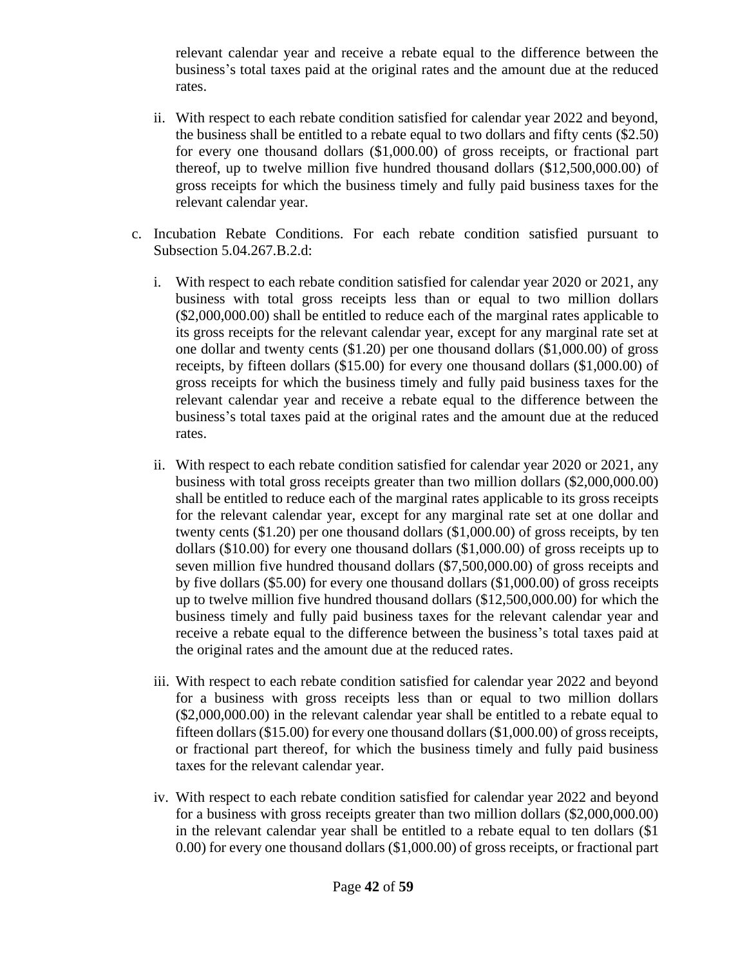relevant calendar year and receive a rebate equal to the difference between the business's total taxes paid at the original rates and the amount due at the reduced rates.

- ii. With respect to each rebate condition satisfied for calendar year 2022 and beyond, the business shall be entitled to a rebate equal to two dollars and fifty cents (\$2.50) for every one thousand dollars (\$1,000.00) of gross receipts, or fractional part thereof, up to twelve million five hundred thousand dollars (\$12,500,000.00) of gross receipts for which the business timely and fully paid business taxes for the relevant calendar year.
- c. Incubation Rebate Conditions. For each rebate condition satisfied pursuant to Subsection 5.04.267.B.2.d:
	- i. With respect to each rebate condition satisfied for calendar year 2020 or 2021, any business with total gross receipts less than or equal to two million dollars (\$2,000,000.00) shall be entitled to reduce each of the marginal rates applicable to its gross receipts for the relevant calendar year, except for any marginal rate set at one dollar and twenty cents (\$1.20) per one thousand dollars (\$1,000.00) of gross receipts, by fifteen dollars (\$15.00) for every one thousand dollars (\$1,000.00) of gross receipts for which the business timely and fully paid business taxes for the relevant calendar year and receive a rebate equal to the difference between the business's total taxes paid at the original rates and the amount due at the reduced rates.
	- ii. With respect to each rebate condition satisfied for calendar year 2020 or 2021, any business with total gross receipts greater than two million dollars (\$2,000,000.00) shall be entitled to reduce each of the marginal rates applicable to its gross receipts for the relevant calendar year, except for any marginal rate set at one dollar and twenty cents (\$1.20) per one thousand dollars (\$1,000.00) of gross receipts, by ten dollars (\$10.00) for every one thousand dollars (\$1,000.00) of gross receipts up to seven million five hundred thousand dollars (\$7,500,000.00) of gross receipts and by five dollars (\$5.00) for every one thousand dollars (\$1,000.00) of gross receipts up to twelve million five hundred thousand dollars (\$12,500,000.00) for which the business timely and fully paid business taxes for the relevant calendar year and receive a rebate equal to the difference between the business's total taxes paid at the original rates and the amount due at the reduced rates.
	- iii. With respect to each rebate condition satisfied for calendar year 2022 and beyond for a business with gross receipts less than or equal to two million dollars (\$2,000,000.00) in the relevant calendar year shall be entitled to a rebate equal to fifteen dollars (\$15.00) for every one thousand dollars (\$1,000.00) of gross receipts, or fractional part thereof, for which the business timely and fully paid business taxes for the relevant calendar year.
	- iv. With respect to each rebate condition satisfied for calendar year 2022 and beyond for a business with gross receipts greater than two million dollars (\$2,000,000.00) in the relevant calendar year shall be entitled to a rebate equal to ten dollars (\$1 0.00) for every one thousand dollars (\$1,000.00) of gross receipts, or fractional part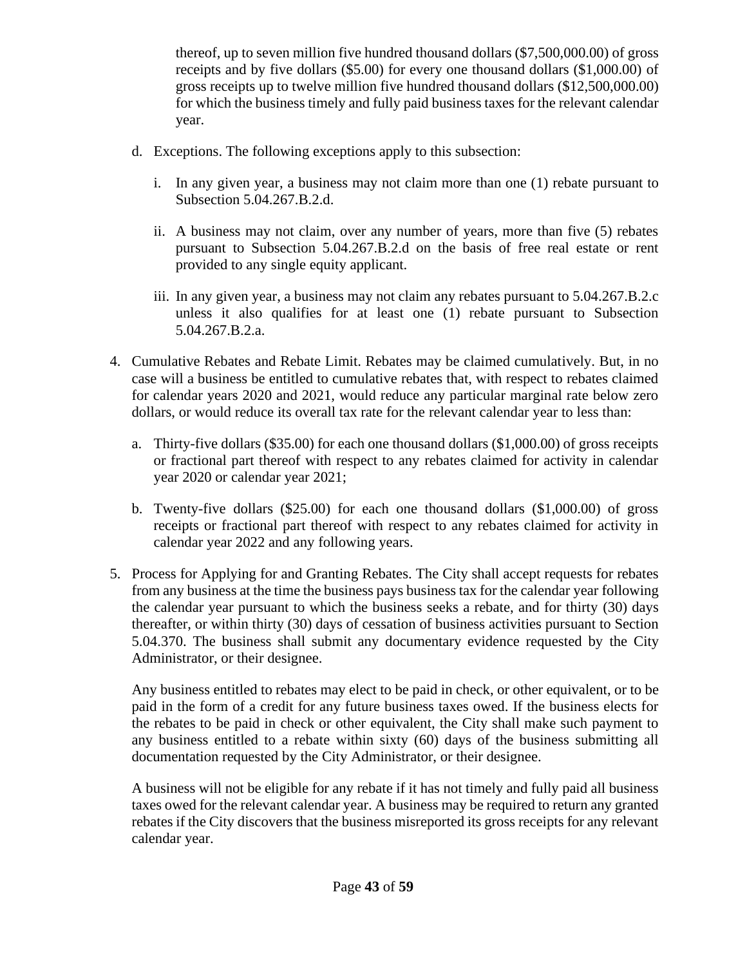thereof, up to seven million five hundred thousand dollars (\$7,500,000.00) of gross receipts and by five dollars (\$5.00) for every one thousand dollars (\$1,000.00) of gross receipts up to twelve million five hundred thousand dollars (\$12,500,000.00) for which the business timely and fully paid business taxes for the relevant calendar year.

- d. Exceptions. The following exceptions apply to this subsection:
	- i. In any given year, a business may not claim more than one (1) rebate pursuant to Subsection 5.04.267.B.2.d.
	- ii. A business may not claim, over any number of years, more than five (5) rebates pursuant to Subsection 5.04.267.B.2.d on the basis of free real estate or rent provided to any single equity applicant.
	- iii. In any given year, a business may not claim any rebates pursuant to 5.04.267.B.2.c unless it also qualifies for at least one (1) rebate pursuant to Subsection 5.04.267.B.2.a.
- 4. Cumulative Rebates and Rebate Limit. Rebates may be claimed cumulatively. But, in no case will a business be entitled to cumulative rebates that, with respect to rebates claimed for calendar years 2020 and 2021, would reduce any particular marginal rate below zero dollars, or would reduce its overall tax rate for the relevant calendar year to less than:
	- a. Thirty-five dollars (\$35.00) for each one thousand dollars (\$1,000.00) of gross receipts or fractional part thereof with respect to any rebates claimed for activity in calendar year 2020 or calendar year 2021;
	- b. Twenty-five dollars (\$25.00) for each one thousand dollars (\$1,000.00) of gross receipts or fractional part thereof with respect to any rebates claimed for activity in calendar year 2022 and any following years.
- 5. Process for Applying for and Granting Rebates. The City shall accept requests for rebates from any business at the time the business pays business tax for the calendar year following the calendar year pursuant to which the business seeks a rebate, and for thirty (30) days thereafter, or within thirty (30) days of cessation of business activities pursuant to Section 5.04.370. The business shall submit any documentary evidence requested by the City Administrator, or their designee.

Any business entitled to rebates may elect to be paid in check, or other equivalent, or to be paid in the form of a credit for any future business taxes owed. If the business elects for the rebates to be paid in check or other equivalent, the City shall make such payment to any business entitled to a rebate within sixty (60) days of the business submitting all documentation requested by the City Administrator, or their designee.

A business will not be eligible for any rebate if it has not timely and fully paid all business taxes owed for the relevant calendar year. A business may be required to return any granted rebates if the City discovers that the business misreported its gross receipts for any relevant calendar year.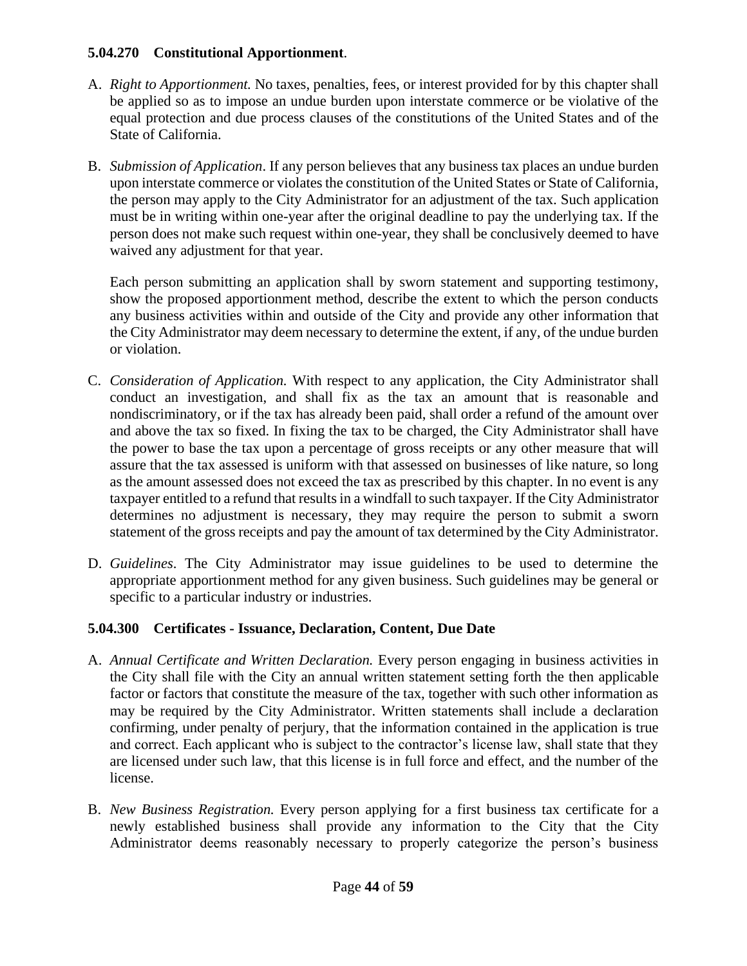#### **5.04.270 Constitutional Apportionment**.

- A. *Right to Apportionment.* No taxes, penalties, fees, or interest provided for by this chapter shall be applied so as to impose an undue burden upon interstate commerce or be violative of the equal protection and due process clauses of the constitutions of the United States and of the State of California.
- B. *Submission of Application*. If any person believes that any business tax places an undue burden upon interstate commerce or violates the constitution of the United States or State of California, the person may apply to the City Administrator for an adjustment of the tax. Such application must be in writing within one-year after the original deadline to pay the underlying tax. If the person does not make such request within one-year, they shall be conclusively deemed to have waived any adjustment for that year.

Each person submitting an application shall by sworn statement and supporting testimony, show the proposed apportionment method, describe the extent to which the person conducts any business activities within and outside of the City and provide any other information that the City Administrator may deem necessary to determine the extent, if any, of the undue burden or violation.

- C. *Consideration of Application.* With respect to any application, the City Administrator shall conduct an investigation, and shall fix as the tax an amount that is reasonable and nondiscriminatory, or if the tax has already been paid, shall order a refund of the amount over and above the tax so fixed. In fixing the tax to be charged, the City Administrator shall have the power to base the tax upon a percentage of gross receipts or any other measure that will assure that the tax assessed is uniform with that assessed on businesses of like nature, so long as the amount assessed does not exceed the tax as prescribed by this chapter. In no event is any taxpayer entitled to a refund that results in a windfall to such taxpayer. If the City Administrator determines no adjustment is necessary, they may require the person to submit a sworn statement of the gross receipts and pay the amount of tax determined by the City Administrator.
- D. *Guidelines*. The City Administrator may issue guidelines to be used to determine the appropriate apportionment method for any given business. Such guidelines may be general or specific to a particular industry or industries.

## **5.04.300 Certificates - Issuance, Declaration, Content, Due Date**

- A. *Annual Certificate and Written Declaration.* Every person engaging in business activities in the City shall file with the City an annual written statement setting forth the then applicable factor or factors that constitute the measure of the tax, together with such other information as may be required by the City Administrator. Written statements shall include a declaration confirming, under penalty of perjury, that the information contained in the application is true and correct. Each applicant who is subject to the contractor's license law, shall state that they are licensed under such law, that this license is in full force and effect, and the number of the license.
- B. *New Business Registration.* Every person applying for a first business tax certificate for a newly established business shall provide any information to the City that the City Administrator deems reasonably necessary to properly categorize the person's business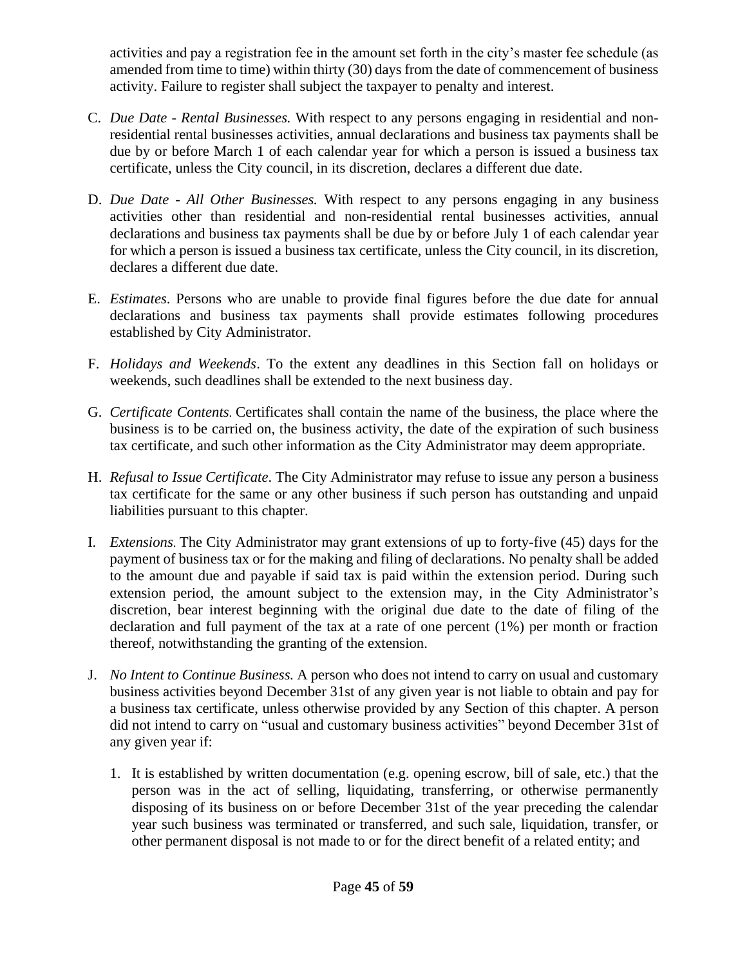activities and pay a registration fee in the amount set forth in the city's master fee schedule (as amended from time to time) within thirty (30) days from the date of commencement of business activity. Failure to register shall subject the taxpayer to penalty and interest.

- C. *Due Date - Rental Businesses.* With respect to any persons engaging in residential and nonresidential rental businesses activities, annual declarations and business tax payments shall be due by or before March 1 of each calendar year for which a person is issued a business tax certificate, unless the City council, in its discretion, declares a different due date.
- D. *Due Date - All Other Businesses.* With respect to any persons engaging in any business activities other than residential and non-residential rental businesses activities, annual declarations and business tax payments shall be due by or before July 1 of each calendar year for which a person is issued a business tax certificate, unless the City council, in its discretion, declares a different due date.
- E. *Estimates*. Persons who are unable to provide final figures before the due date for annual declarations and business tax payments shall provide estimates following procedures established by City Administrator.
- F. *Holidays and Weekends*. To the extent any deadlines in this Section fall on holidays or weekends, such deadlines shall be extended to the next business day.
- G. *Certificate Contents*. Certificates shall contain the name of the business, the place where the business is to be carried on, the business activity, the date of the expiration of such business tax certificate, and such other information as the City Administrator may deem appropriate.
- H. *Refusal to Issue Certificate*. The City Administrator may refuse to issue any person a business tax certificate for the same or any other business if such person has outstanding and unpaid liabilities pursuant to this chapter.
- I. *Extensions*. The City Administrator may grant extensions of up to forty-five (45) days for the payment of business tax or for the making and filing of declarations. No penalty shall be added to the amount due and payable if said tax is paid within the extension period. During such extension period, the amount subject to the extension may, in the City Administrator's discretion, bear interest beginning with the original due date to the date of filing of the declaration and full payment of the tax at a rate of one percent (1%) per month or fraction thereof, notwithstanding the granting of the extension.
- J. *No Intent to Continue Business.* A person who does not intend to carry on usual and customary business activities beyond December 31st of any given year is not liable to obtain and pay for a business tax certificate, unless otherwise provided by any Section of this chapter. A person did not intend to carry on "usual and customary business activities" beyond December 31st of any given year if:
	- 1. It is established by written documentation (e.g. opening escrow, bill of sale, etc.) that the person was in the act of selling, liquidating, transferring, or otherwise permanently disposing of its business on or before December 31st of the year preceding the calendar year such business was terminated or transferred, and such sale, liquidation, transfer, or other permanent disposal is not made to or for the direct benefit of a related entity; and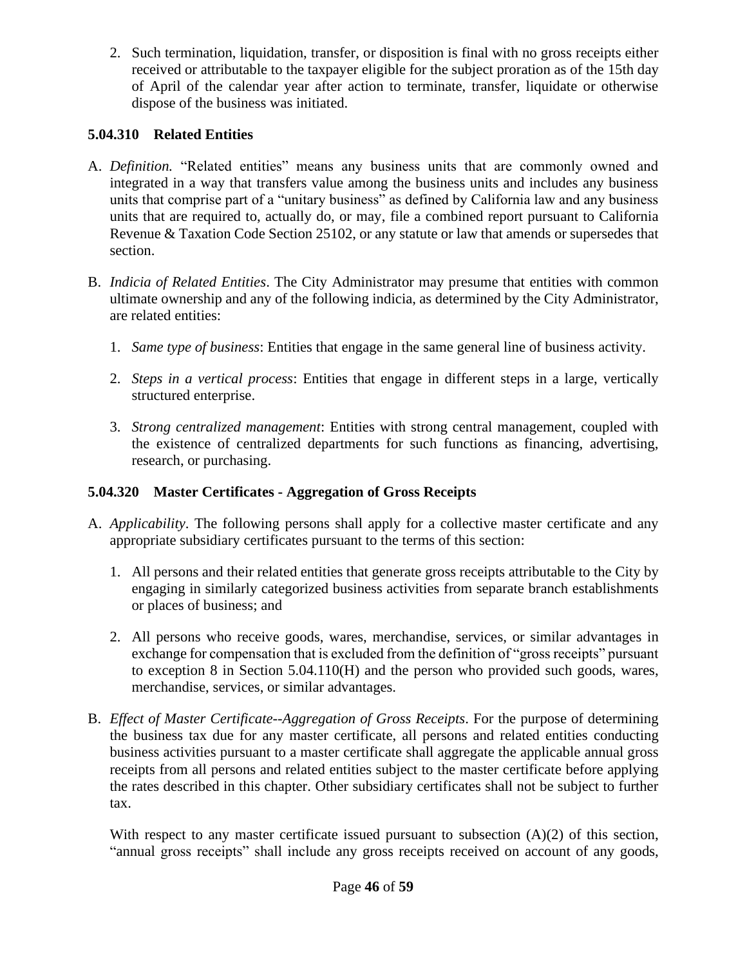2. Such termination, liquidation, transfer, or disposition is final with no gross receipts either received or attributable to the taxpayer eligible for the subject proration as of the 15th day of April of the calendar year after action to terminate, transfer, liquidate or otherwise dispose of the business was initiated.

## **5.04.310 Related Entities**

- A. *Definition.* "Related entities" means any business units that are commonly owned and integrated in a way that transfers value among the business units and includes any business units that comprise part of a "unitary business" as defined by California law and any business units that are required to, actually do, or may, file a combined report pursuant to California Revenue & Taxation Code Section 25102, or any statute or law that amends or supersedes that section.
- B. *Indicia of Related Entities*. The City Administrator may presume that entities with common ultimate ownership and any of the following indicia, as determined by the City Administrator, are related entities:
	- 1. *Same type of business*: Entities that engage in the same general line of business activity.
	- 2. *Steps in a vertical process*: Entities that engage in different steps in a large, vertically structured enterprise.
	- 3. *Strong centralized management*: Entities with strong central management, coupled with the existence of centralized departments for such functions as financing, advertising, research, or purchasing.

# **5.04.320 Master Certificates - Aggregation of Gross Receipts**

- A. *Applicability*. The following persons shall apply for a collective master certificate and any appropriate subsidiary certificates pursuant to the terms of this section:
	- 1. All persons and their related entities that generate gross receipts attributable to the City by engaging in similarly categorized business activities from separate branch establishments or places of business; and
	- 2. All persons who receive goods, wares, merchandise, services, or similar advantages in exchange for compensation that is excluded from the definition of "gross receipts" pursuant to exception 8 in Section 5.04.110(H) and the person who provided such goods, wares, merchandise, services, or similar advantages.
- B. *Effect of Master Certificate--Aggregation of Gross Receipts*. For the purpose of determining the business tax due for any master certificate, all persons and related entities conducting business activities pursuant to a master certificate shall aggregate the applicable annual gross receipts from all persons and related entities subject to the master certificate before applying the rates described in this chapter. Other subsidiary certificates shall not be subject to further tax.

With respect to any master certificate issued pursuant to subsection  $(A)(2)$  of this section, "annual gross receipts" shall include any gross receipts received on account of any goods,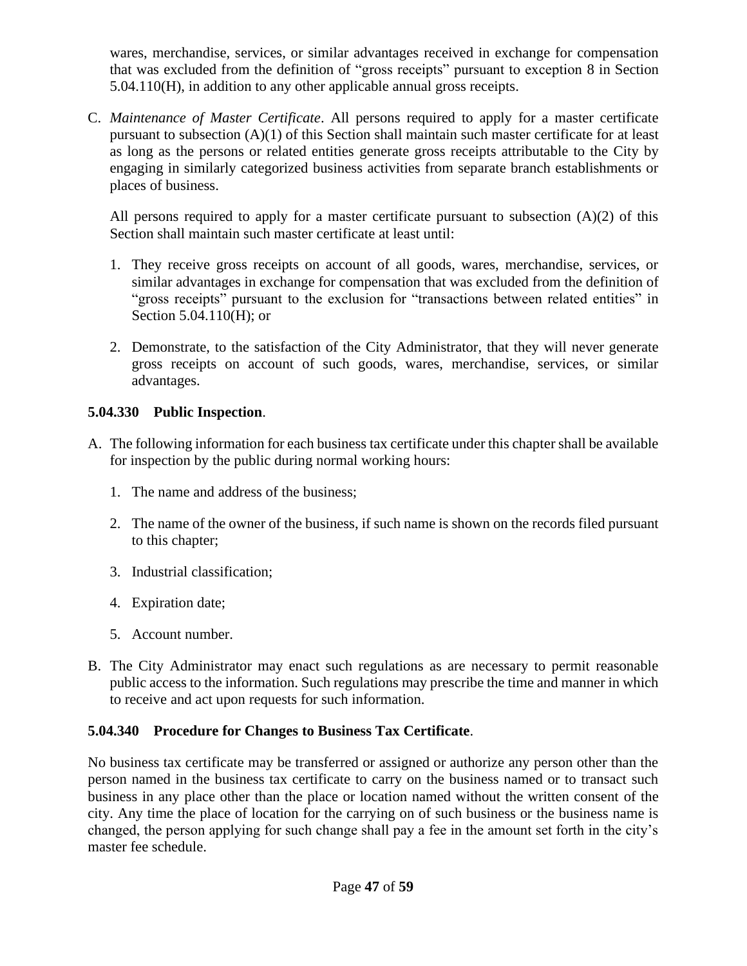wares, merchandise, services, or similar advantages received in exchange for compensation that was excluded from the definition of "gross receipts" pursuant to exception 8 in Section 5.04.110(H), in addition to any other applicable annual gross receipts.

C. *Maintenance of Master Certificate*. All persons required to apply for a master certificate pursuant to subsection (A)(1) of this Section shall maintain such master certificate for at least as long as the persons or related entities generate gross receipts attributable to the City by engaging in similarly categorized business activities from separate branch establishments or places of business.

All persons required to apply for a master certificate pursuant to subsection  $(A)(2)$  of this Section shall maintain such master certificate at least until:

- 1. They receive gross receipts on account of all goods, wares, merchandise, services, or similar advantages in exchange for compensation that was excluded from the definition of "gross receipts" pursuant to the exclusion for "transactions between related entities" in Section 5.04.110(H); or
- 2. Demonstrate, to the satisfaction of the City Administrator, that they will never generate gross receipts on account of such goods, wares, merchandise, services, or similar advantages.

## **5.04.330 Public Inspection**.

- A. The following information for each business tax certificate under this chapter shall be available for inspection by the public during normal working hours:
	- 1. The name and address of the business;
	- 2. The name of the owner of the business, if such name is shown on the records filed pursuant to this chapter;
	- 3. Industrial classification;
	- 4. Expiration date;
	- 5. Account number.
- B. The City Administrator may enact such regulations as are necessary to permit reasonable public access to the information. Such regulations may prescribe the time and manner in which to receive and act upon requests for such information.

## **5.04.340 Procedure for Changes to Business Tax Certificate**.

No business tax certificate may be transferred or assigned or authorize any person other than the person named in the business tax certificate to carry on the business named or to transact such business in any place other than the place or location named without the written consent of the city. Any time the place of location for the carrying on of such business or the business name is changed, the person applying for such change shall pay a fee in the amount set forth in the city's master fee schedule.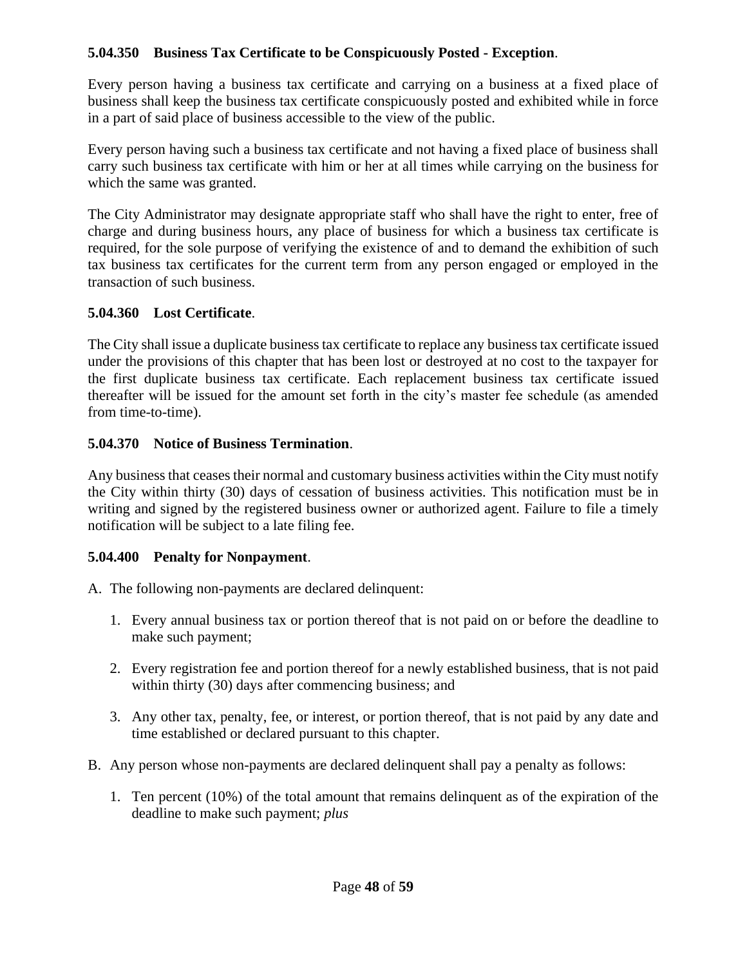## **5.04.350 Business Tax Certificate to be Conspicuously Posted - Exception**.

Every person having a business tax certificate and carrying on a business at a fixed place of business shall keep the business tax certificate conspicuously posted and exhibited while in force in a part of said place of business accessible to the view of the public.

Every person having such a business tax certificate and not having a fixed place of business shall carry such business tax certificate with him or her at all times while carrying on the business for which the same was granted.

The City Administrator may designate appropriate staff who shall have the right to enter, free of charge and during business hours, any place of business for which a business tax certificate is required, for the sole purpose of verifying the existence of and to demand the exhibition of such tax business tax certificates for the current term from any person engaged or employed in the transaction of such business.

#### **5.04.360 Lost Certificate**.

The City shall issue a duplicate business tax certificate to replace any business tax certificate issued under the provisions of this chapter that has been lost or destroyed at no cost to the taxpayer for the first duplicate business tax certificate. Each replacement business tax certificate issued thereafter will be issued for the amount set forth in the city's master fee schedule (as amended from time-to-time).

#### **5.04.370 Notice of Business Termination**.

Any business that ceases their normal and customary business activities within the City must notify the City within thirty (30) days of cessation of business activities. This notification must be in writing and signed by the registered business owner or authorized agent. Failure to file a timely notification will be subject to a late filing fee.

#### **5.04.400 Penalty for Nonpayment**.

- A. The following non-payments are declared delinquent:
	- 1. Every annual business tax or portion thereof that is not paid on or before the deadline to make such payment;
	- 2. Every registration fee and portion thereof for a newly established business, that is not paid within thirty (30) days after commencing business; and
	- 3. Any other tax, penalty, fee, or interest, or portion thereof, that is not paid by any date and time established or declared pursuant to this chapter.
- B. Any person whose non-payments are declared delinquent shall pay a penalty as follows:
	- 1. Ten percent (10%) of the total amount that remains delinquent as of the expiration of the deadline to make such payment; *plus*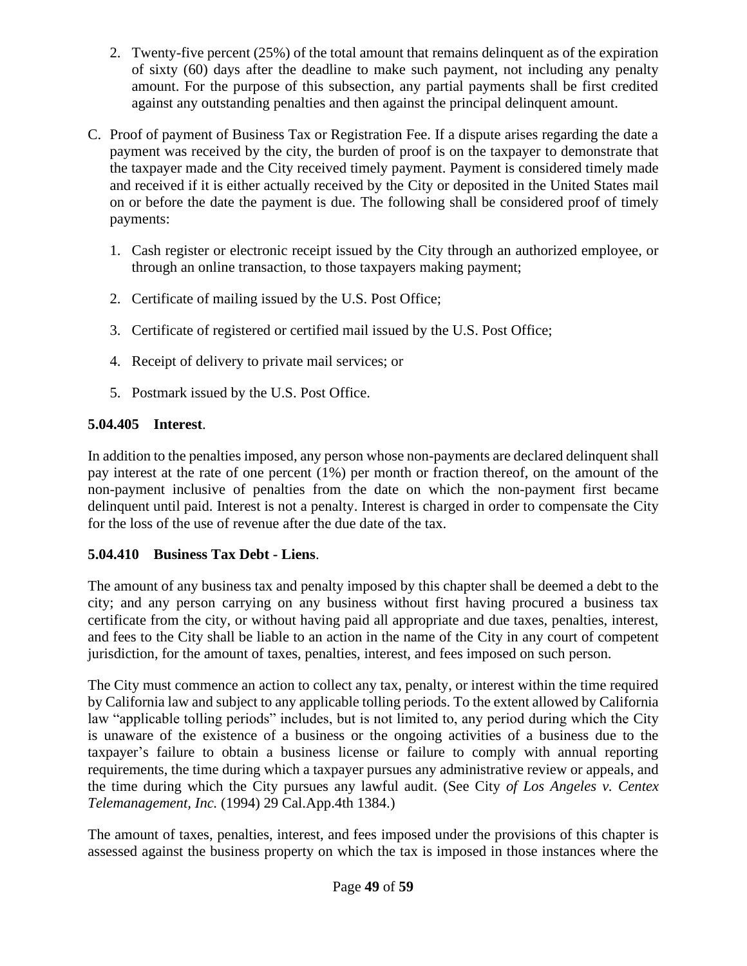- 2. Twenty-five percent (25%) of the total amount that remains delinquent as of the expiration of sixty (60) days after the deadline to make such payment, not including any penalty amount. For the purpose of this subsection, any partial payments shall be first credited against any outstanding penalties and then against the principal delinquent amount.
- C. Proof of payment of Business Tax or Registration Fee. If a dispute arises regarding the date a payment was received by the city, the burden of proof is on the taxpayer to demonstrate that the taxpayer made and the City received timely payment. Payment is considered timely made and received if it is either actually received by the City or deposited in the United States mail on or before the date the payment is due. The following shall be considered proof of timely payments:
	- 1. Cash register or electronic receipt issued by the City through an authorized employee, or through an online transaction, to those taxpayers making payment;
	- 2. Certificate of mailing issued by the U.S. Post Office;
	- 3. Certificate of registered or certified mail issued by the U.S. Post Office;
	- 4. Receipt of delivery to private mail services; or
	- 5. Postmark issued by the U.S. Post Office.

# **5.04.405 Interest**.

In addition to the penalties imposed, any person whose non-payments are declared delinquent shall pay interest at the rate of one percent (1%) per month or fraction thereof, on the amount of the non-payment inclusive of penalties from the date on which the non-payment first became delinquent until paid. Interest is not a penalty. Interest is charged in order to compensate the City for the loss of the use of revenue after the due date of the tax.

# **5.04.410 Business Tax Debt - Liens**.

The amount of any business tax and penalty imposed by this chapter shall be deemed a debt to the city; and any person carrying on any business without first having procured a business tax certificate from the city, or without having paid all appropriate and due taxes, penalties, interest, and fees to the City shall be liable to an action in the name of the City in any court of competent jurisdiction, for the amount of taxes, penalties, interest, and fees imposed on such person.

The City must commence an action to collect any tax, penalty, or interest within the time required by California law and subject to any applicable tolling periods. To the extent allowed by California law "applicable tolling periods" includes, but is not limited to, any period during which the City is unaware of the existence of a business or the ongoing activities of a business due to the taxpayer's failure to obtain a business license or failure to comply with annual reporting requirements, the time during which a taxpayer pursues any administrative review or appeals, and the time during which the City pursues any lawful audit. (See City *of Los Angeles v. Centex Telemanagement, Inc.* (1994) 29 Cal.App.4th 1384.)

The amount of taxes, penalties, interest, and fees imposed under the provisions of this chapter is assessed against the business property on which the tax is imposed in those instances where the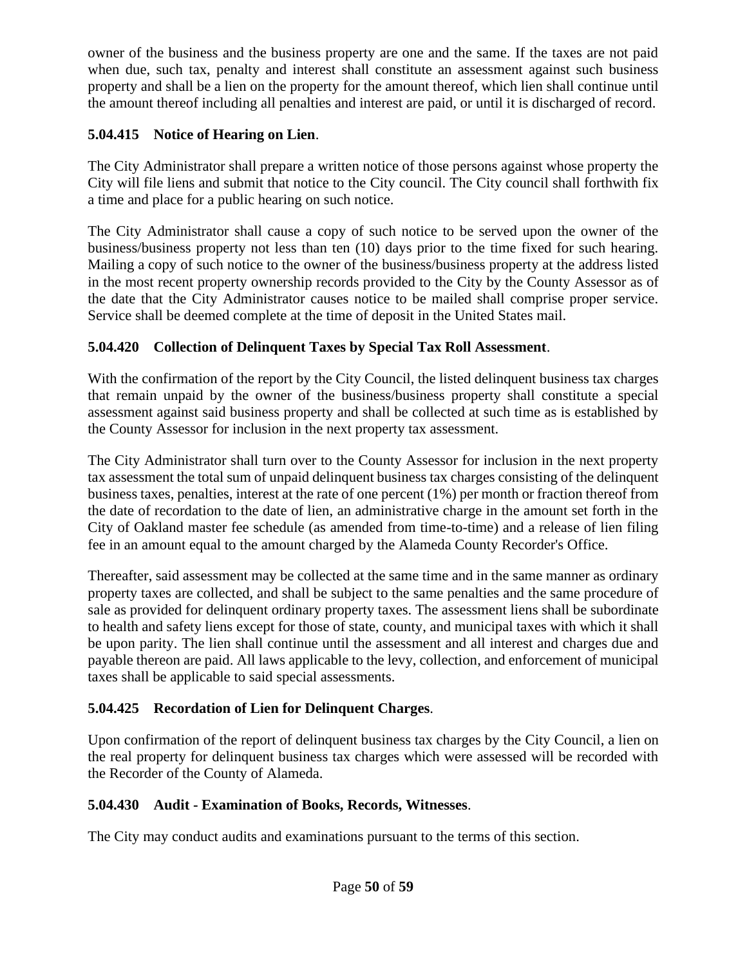owner of the business and the business property are one and the same. If the taxes are not paid when due, such tax, penalty and interest shall constitute an assessment against such business property and shall be a lien on the property for the amount thereof, which lien shall continue until the amount thereof including all penalties and interest are paid, or until it is discharged of record.

# **5.04.415 Notice of Hearing on Lien**.

The City Administrator shall prepare a written notice of those persons against whose property the City will file liens and submit that notice to the City council. The City council shall forthwith fix a time and place for a public hearing on such notice.

The City Administrator shall cause a copy of such notice to be served upon the owner of the business/business property not less than ten (10) days prior to the time fixed for such hearing. Mailing a copy of such notice to the owner of the business/business property at the address listed in the most recent property ownership records provided to the City by the County Assessor as of the date that the City Administrator causes notice to be mailed shall comprise proper service. Service shall be deemed complete at the time of deposit in the United States mail.

# **5.04.420 Collection of Delinquent Taxes by Special Tax Roll Assessment**.

With the confirmation of the report by the City Council, the listed delinquent business tax charges that remain unpaid by the owner of the business/business property shall constitute a special assessment against said business property and shall be collected at such time as is established by the County Assessor for inclusion in the next property tax assessment.

The City Administrator shall turn over to the County Assessor for inclusion in the next property tax assessment the total sum of unpaid delinquent business tax charges consisting of the delinquent business taxes, penalties, interest at the rate of one percent (1%) per month or fraction thereof from the date of recordation to the date of lien, an administrative charge in the amount set forth in the City of Oakland master fee schedule (as amended from time-to-time) and a release of lien filing fee in an amount equal to the amount charged by the Alameda County Recorder's Office.

Thereafter, said assessment may be collected at the same time and in the same manner as ordinary property taxes are collected, and shall be subject to the same penalties and the same procedure of sale as provided for delinquent ordinary property taxes. The assessment liens shall be subordinate to health and safety liens except for those of state, county, and municipal taxes with which it shall be upon parity. The lien shall continue until the assessment and all interest and charges due and payable thereon are paid. All laws applicable to the levy, collection, and enforcement of municipal taxes shall be applicable to said special assessments.

# **5.04.425 Recordation of Lien for Delinquent Charges**.

Upon confirmation of the report of delinquent business tax charges by the City Council, a lien on the real property for delinquent business tax charges which were assessed will be recorded with the Recorder of the County of Alameda.

# **5.04.430 Audit - Examination of Books, Records, Witnesses**.

The City may conduct audits and examinations pursuant to the terms of this section.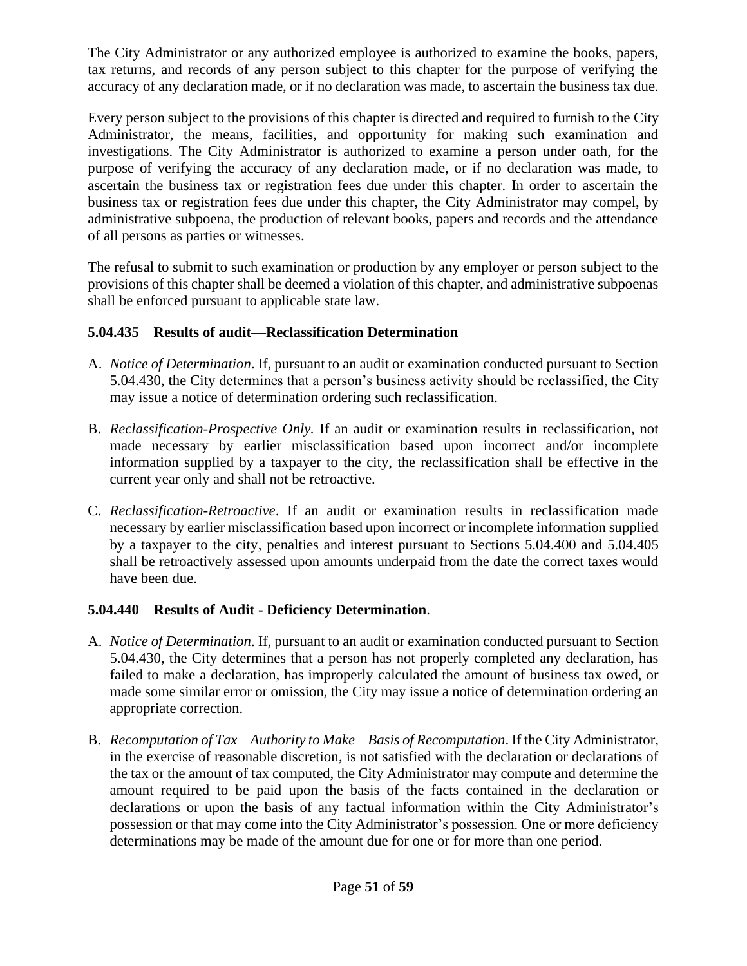The City Administrator or any authorized employee is authorized to examine the books, papers, tax returns, and records of any person subject to this chapter for the purpose of verifying the accuracy of any declaration made, or if no declaration was made, to ascertain the business tax due.

Every person subject to the provisions of this chapter is directed and required to furnish to the City Administrator, the means, facilities, and opportunity for making such examination and investigations. The City Administrator is authorized to examine a person under oath, for the purpose of verifying the accuracy of any declaration made, or if no declaration was made, to ascertain the business tax or registration fees due under this chapter. In order to ascertain the business tax or registration fees due under this chapter, the City Administrator may compel, by administrative subpoena, the production of relevant books, papers and records and the attendance of all persons as parties or witnesses.

The refusal to submit to such examination or production by any employer or person subject to the provisions of this chapter shall be deemed a violation of this chapter, and administrative subpoenas shall be enforced pursuant to applicable state law.

## **5.04.435 Results of audit—Reclassification Determination**

- A. *Notice of Determination*. If, pursuant to an audit or examination conducted pursuant to Section 5.04.430, the City determines that a person's business activity should be reclassified, the City may issue a notice of determination ordering such reclassification.
- B. *Reclassification-Prospective Only.* If an audit or examination results in reclassification, not made necessary by earlier misclassification based upon incorrect and/or incomplete information supplied by a taxpayer to the city, the reclassification shall be effective in the current year only and shall not be retroactive.
- C. *Reclassification-Retroactive*. If an audit or examination results in reclassification made necessary by earlier misclassification based upon incorrect or incomplete information supplied by a taxpayer to the city, penalties and interest pursuant to Sections 5.04.400 and 5.04.405 shall be retroactively assessed upon amounts underpaid from the date the correct taxes would have been due.

## **5.04.440 Results of Audit - Deficiency Determination**.

- A. *Notice of Determination*. If, pursuant to an audit or examination conducted pursuant to Section 5.04.430, the City determines that a person has not properly completed any declaration, has failed to make a declaration, has improperly calculated the amount of business tax owed, or made some similar error or omission, the City may issue a notice of determination ordering an appropriate correction.
- B. *Recomputation of Tax—Authority to Make—Basis of Recomputation*. If the City Administrator, in the exercise of reasonable discretion, is not satisfied with the declaration or declarations of the tax or the amount of tax computed, the City Administrator may compute and determine the amount required to be paid upon the basis of the facts contained in the declaration or declarations or upon the basis of any factual information within the City Administrator's possession or that may come into the City Administrator's possession. One or more deficiency determinations may be made of the amount due for one or for more than one period.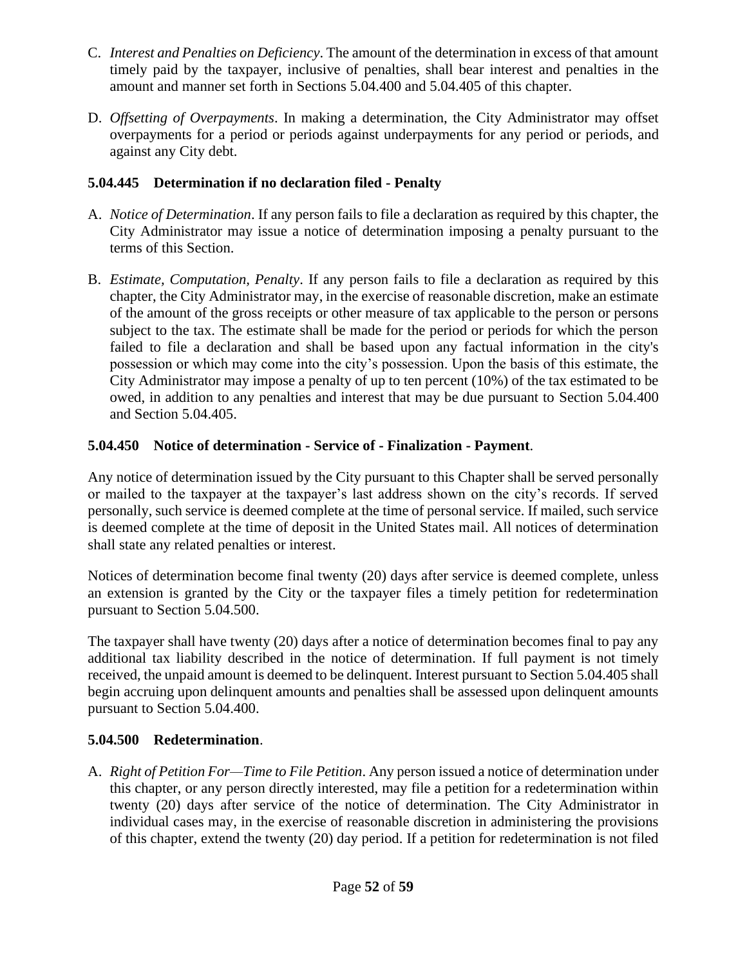- C. *Interest and Penalties on Deficiency*. The amount of the determination in excess of that amount timely paid by the taxpayer, inclusive of penalties, shall bear interest and penalties in the amount and manner set forth in Sections 5.04.400 and 5.04.405 of this chapter.
- D. *Offsetting of Overpayments*. In making a determination, the City Administrator may offset overpayments for a period or periods against underpayments for any period or periods, and against any City debt.

## **5.04.445 Determination if no declaration filed - Penalty**

- A. *Notice of Determination*. If any person fails to file a declaration as required by this chapter, the City Administrator may issue a notice of determination imposing a penalty pursuant to the terms of this Section.
- B. *Estimate, Computation, Penalty*. If any person fails to file a declaration as required by this chapter, the City Administrator may, in the exercise of reasonable discretion, make an estimate of the amount of the gross receipts or other measure of tax applicable to the person or persons subject to the tax. The estimate shall be made for the period or periods for which the person failed to file a declaration and shall be based upon any factual information in the city's possession or which may come into the city's possession. Upon the basis of this estimate, the City Administrator may impose a penalty of up to ten percent (10%) of the tax estimated to be owed, in addition to any penalties and interest that may be due pursuant to Section 5.04.400 and Section 5.04.405.

# **5.04.450 Notice of determination - Service of - Finalization - Payment**.

Any notice of determination issued by the City pursuant to this Chapter shall be served personally or mailed to the taxpayer at the taxpayer's last address shown on the city's records. If served personally, such service is deemed complete at the time of personal service. If mailed, such service is deemed complete at the time of deposit in the United States mail. All notices of determination shall state any related penalties or interest.

Notices of determination become final twenty (20) days after service is deemed complete, unless an extension is granted by the City or the taxpayer files a timely petition for redetermination pursuant to Section 5.04.500.

The taxpayer shall have twenty (20) days after a notice of determination becomes final to pay any additional tax liability described in the notice of determination. If full payment is not timely received, the unpaid amount is deemed to be delinquent. Interest pursuant to Section 5.04.405 shall begin accruing upon delinquent amounts and penalties shall be assessed upon delinquent amounts pursuant to Section 5.04.400.

## **5.04.500 Redetermination**.

A. *Right of Petition For—Time to File Petition*. Any person issued a notice of determination under this chapter, or any person directly interested, may file a petition for a redetermination within twenty (20) days after service of the notice of determination. The City Administrator in individual cases may, in the exercise of reasonable discretion in administering the provisions of this chapter, extend the twenty (20) day period. If a petition for redetermination is not filed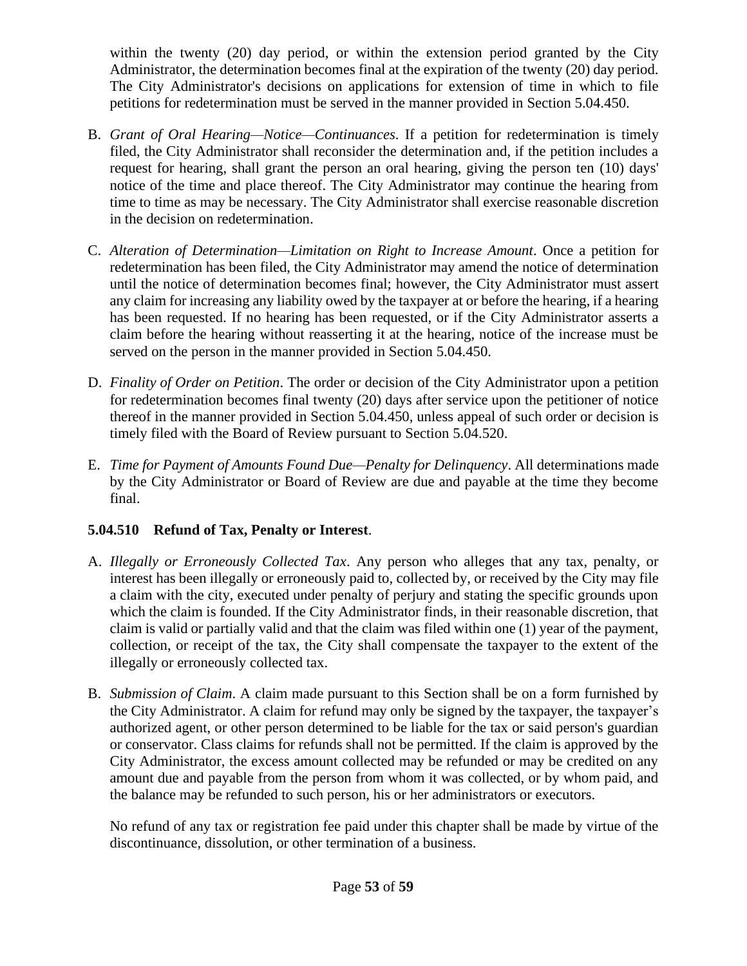within the twenty (20) day period, or within the extension period granted by the City Administrator, the determination becomes final at the expiration of the twenty (20) day period. The City Administrator's decisions on applications for extension of time in which to file petitions for redetermination must be served in the manner provided in Section 5.04.450.

- B. *Grant of Oral Hearing—Notice—Continuances*. If a petition for redetermination is timely filed, the City Administrator shall reconsider the determination and, if the petition includes a request for hearing, shall grant the person an oral hearing, giving the person ten (10) days' notice of the time and place thereof. The City Administrator may continue the hearing from time to time as may be necessary. The City Administrator shall exercise reasonable discretion in the decision on redetermination.
- C. *Alteration of Determination—Limitation on Right to Increase Amount*. Once a petition for redetermination has been filed, the City Administrator may amend the notice of determination until the notice of determination becomes final; however, the City Administrator must assert any claim for increasing any liability owed by the taxpayer at or before the hearing, if a hearing has been requested. If no hearing has been requested, or if the City Administrator asserts a claim before the hearing without reasserting it at the hearing, notice of the increase must be served on the person in the manner provided in Section 5.04.450.
- D. *Finality of Order on Petition*. The order or decision of the City Administrator upon a petition for redetermination becomes final twenty (20) days after service upon the petitioner of notice thereof in the manner provided in Section 5.04.450, unless appeal of such order or decision is timely filed with the Board of Review pursuant to Section 5.04.520.
- E. *Time for Payment of Amounts Found Due—Penalty for Delinquency*. All determinations made by the City Administrator or Board of Review are due and payable at the time they become final.

# **5.04.510 Refund of Tax, Penalty or Interest**.

- A. *Illegally or Erroneously Collected Tax*. Any person who alleges that any tax, penalty, or interest has been illegally or erroneously paid to, collected by, or received by the City may file a claim with the city, executed under penalty of perjury and stating the specific grounds upon which the claim is founded. If the City Administrator finds, in their reasonable discretion, that claim is valid or partially valid and that the claim was filed within one (1) year of the payment, collection, or receipt of the tax, the City shall compensate the taxpayer to the extent of the illegally or erroneously collected tax.
- B. *Submission of Claim*. A claim made pursuant to this Section shall be on a form furnished by the City Administrator. A claim for refund may only be signed by the taxpayer, the taxpayer's authorized agent, or other person determined to be liable for the tax or said person's guardian or conservator. Class claims for refunds shall not be permitted. If the claim is approved by the City Administrator, the excess amount collected may be refunded or may be credited on any amount due and payable from the person from whom it was collected, or by whom paid, and the balance may be refunded to such person, his or her administrators or executors.

No refund of any tax or registration fee paid under this chapter shall be made by virtue of the discontinuance, dissolution, or other termination of a business.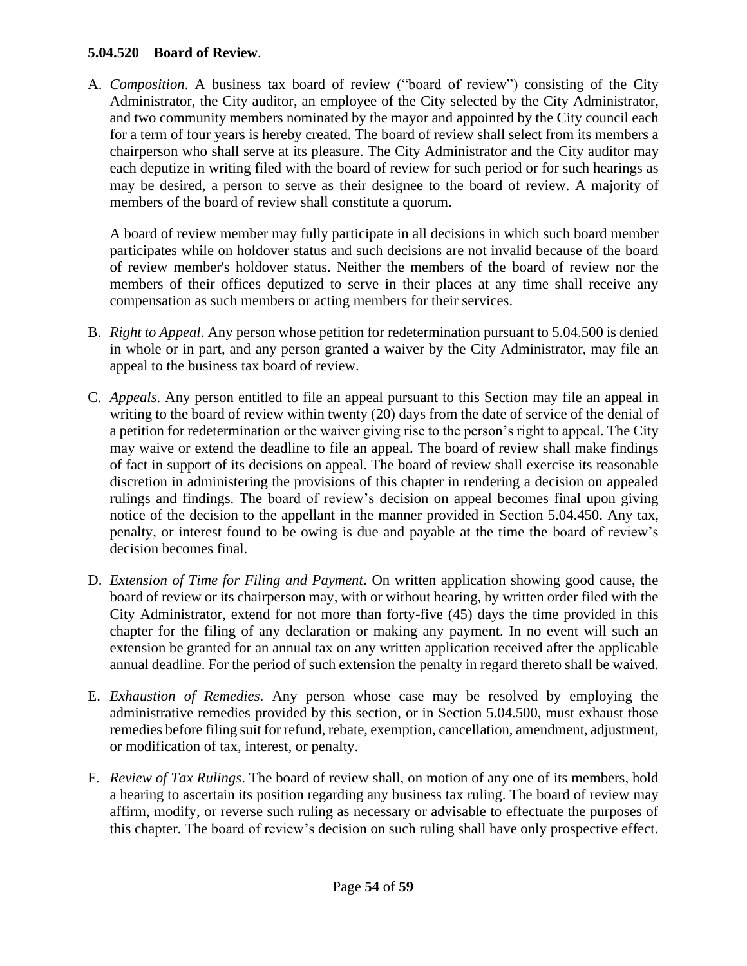#### **5.04.520 Board of Review**.

A. *Composition*. A business tax board of review ("board of review") consisting of the City Administrator, the City auditor, an employee of the City selected by the City Administrator, and two community members nominated by the mayor and appointed by the City council each for a term of four years is hereby created. The board of review shall select from its members a chairperson who shall serve at its pleasure. The City Administrator and the City auditor may each deputize in writing filed with the board of review for such period or for such hearings as may be desired, a person to serve as their designee to the board of review. A majority of members of the board of review shall constitute a quorum.

A board of review member may fully participate in all decisions in which such board member participates while on holdover status and such decisions are not invalid because of the board of review member's holdover status. Neither the members of the board of review nor the members of their offices deputized to serve in their places at any time shall receive any compensation as such members or acting members for their services.

- B. *Right to Appeal*. Any person whose petition for redetermination pursuant to 5.04.500 is denied in whole or in part, and any person granted a waiver by the City Administrator, may file an appeal to the business tax board of review.
- C. *Appeals*. Any person entitled to file an appeal pursuant to this Section may file an appeal in writing to the board of review within twenty (20) days from the date of service of the denial of a petition for redetermination or the waiver giving rise to the person's right to appeal. The City may waive or extend the deadline to file an appeal. The board of review shall make findings of fact in support of its decisions on appeal. The board of review shall exercise its reasonable discretion in administering the provisions of this chapter in rendering a decision on appealed rulings and findings. The board of review's decision on appeal becomes final upon giving notice of the decision to the appellant in the manner provided in Section 5.04.450. Any tax, penalty, or interest found to be owing is due and payable at the time the board of review's decision becomes final.
- D. *Extension of Time for Filing and Payment*. On written application showing good cause, the board of review or its chairperson may, with or without hearing, by written order filed with the City Administrator, extend for not more than forty-five (45) days the time provided in this chapter for the filing of any declaration or making any payment. In no event will such an extension be granted for an annual tax on any written application received after the applicable annual deadline. For the period of such extension the penalty in regard thereto shall be waived.
- E. *Exhaustion of Remedies*. Any person whose case may be resolved by employing the administrative remedies provided by this section, or in Section 5.04.500, must exhaust those remedies before filing suit for refund, rebate, exemption, cancellation, amendment, adjustment, or modification of tax, interest, or penalty.
- F. *Review of Tax Rulings*. The board of review shall, on motion of any one of its members, hold a hearing to ascertain its position regarding any business tax ruling. The board of review may affirm, modify, or reverse such ruling as necessary or advisable to effectuate the purposes of this chapter. The board of review's decision on such ruling shall have only prospective effect.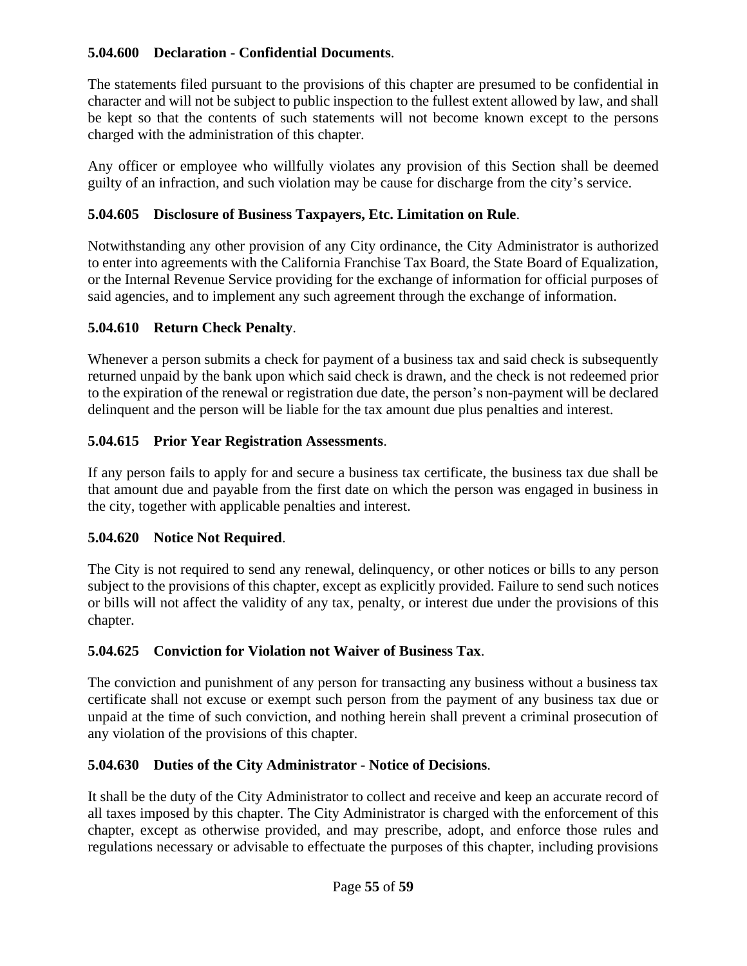## **5.04.600 Declaration - Confidential Documents**.

The statements filed pursuant to the provisions of this chapter are presumed to be confidential in character and will not be subject to public inspection to the fullest extent allowed by law, and shall be kept so that the contents of such statements will not become known except to the persons charged with the administration of this chapter.

Any officer or employee who willfully violates any provision of this Section shall be deemed guilty of an infraction, and such violation may be cause for discharge from the city's service.

# **5.04.605 Disclosure of Business Taxpayers, Etc. Limitation on Rule**.

Notwithstanding any other provision of any City ordinance, the City Administrator is authorized to enter into agreements with the California Franchise Tax Board, the State Board of Equalization, or the Internal Revenue Service providing for the exchange of information for official purposes of said agencies, and to implement any such agreement through the exchange of information.

# **5.04.610 Return Check Penalty**.

Whenever a person submits a check for payment of a business tax and said check is subsequently returned unpaid by the bank upon which said check is drawn, and the check is not redeemed prior to the expiration of the renewal or registration due date, the person's non-payment will be declared delinquent and the person will be liable for the tax amount due plus penalties and interest.

# **5.04.615 Prior Year Registration Assessments**.

If any person fails to apply for and secure a business tax certificate, the business tax due shall be that amount due and payable from the first date on which the person was engaged in business in the city, together with applicable penalties and interest.

## **5.04.620 Notice Not Required**.

The City is not required to send any renewal, delinquency, or other notices or bills to any person subject to the provisions of this chapter, except as explicitly provided. Failure to send such notices or bills will not affect the validity of any tax, penalty, or interest due under the provisions of this chapter.

# **5.04.625 Conviction for Violation not Waiver of Business Tax**.

The conviction and punishment of any person for transacting any business without a business tax certificate shall not excuse or exempt such person from the payment of any business tax due or unpaid at the time of such conviction, and nothing herein shall prevent a criminal prosecution of any violation of the provisions of this chapter.

# **5.04.630 Duties of the City Administrator - Notice of Decisions**.

It shall be the duty of the City Administrator to collect and receive and keep an accurate record of all taxes imposed by this chapter. The City Administrator is charged with the enforcement of this chapter, except as otherwise provided, and may prescribe, adopt, and enforce those rules and regulations necessary or advisable to effectuate the purposes of this chapter, including provisions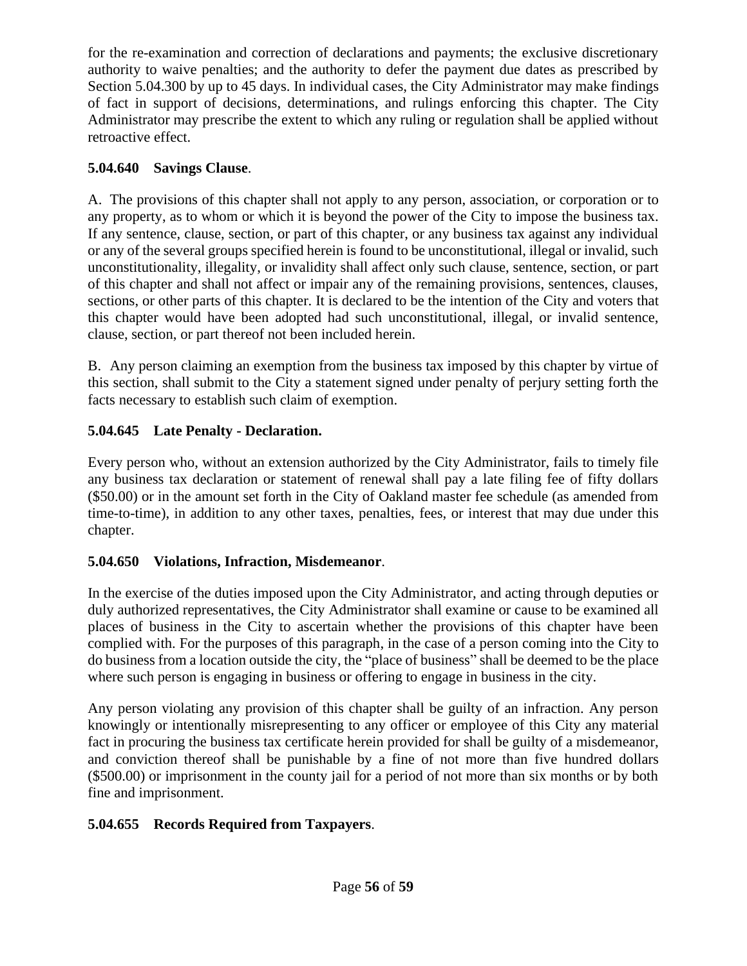for the re-examination and correction of declarations and payments; the exclusive discretionary authority to waive penalties; and the authority to defer the payment due dates as prescribed by Section 5.04.300 by up to 45 days. In individual cases, the City Administrator may make findings of fact in support of decisions, determinations, and rulings enforcing this chapter. The City Administrator may prescribe the extent to which any ruling or regulation shall be applied without retroactive effect.

# **5.04.640 Savings Clause**.

A. The provisions of this chapter shall not apply to any person, association, or corporation or to any property, as to whom or which it is beyond the power of the City to impose the business tax. If any sentence, clause, section, or part of this chapter, or any business tax against any individual or any of the several groups specified herein is found to be unconstitutional, illegal or invalid, such unconstitutionality, illegality, or invalidity shall affect only such clause, sentence, section, or part of this chapter and shall not affect or impair any of the remaining provisions, sentences, clauses, sections, or other parts of this chapter. It is declared to be the intention of the City and voters that this chapter would have been adopted had such unconstitutional, illegal, or invalid sentence, clause, section, or part thereof not been included herein.

B. Any person claiming an exemption from the business tax imposed by this chapter by virtue of this section, shall submit to the City a statement signed under penalty of perjury setting forth the facts necessary to establish such claim of exemption.

# **5.04.645 Late Penalty - Declaration.**

Every person who, without an extension authorized by the City Administrator, fails to timely file any business tax declaration or statement of renewal shall pay a late filing fee of fifty dollars (\$50.00) or in the amount set forth in the City of Oakland master fee schedule (as amended from time-to-time), in addition to any other taxes, penalties, fees, or interest that may due under this chapter.

# **5.04.650 Violations, Infraction, Misdemeanor**.

In the exercise of the duties imposed upon the City Administrator, and acting through deputies or duly authorized representatives, the City Administrator shall examine or cause to be examined all places of business in the City to ascertain whether the provisions of this chapter have been complied with. For the purposes of this paragraph, in the case of a person coming into the City to do business from a location outside the city, the "place of business" shall be deemed to be the place where such person is engaging in business or offering to engage in business in the city.

Any person violating any provision of this chapter shall be guilty of an infraction. Any person knowingly or intentionally misrepresenting to any officer or employee of this City any material fact in procuring the business tax certificate herein provided for shall be guilty of a misdemeanor, and conviction thereof shall be punishable by a fine of not more than five hundred dollars (\$500.00) or imprisonment in the county jail for a period of not more than six months or by both fine and imprisonment.

# **5.04.655 Records Required from Taxpayers**.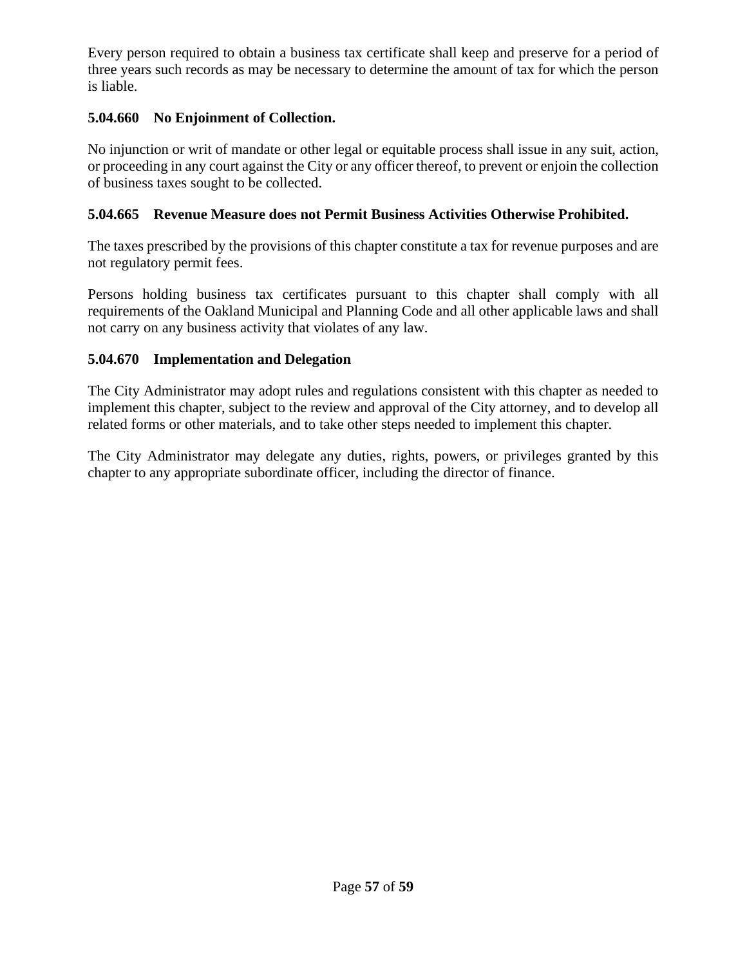Every person required to obtain a business tax certificate shall keep and preserve for a period of three years such records as may be necessary to determine the amount of tax for which the person is liable.

## **5.04.660 No Enjoinment of Collection.**

No injunction or writ of mandate or other legal or equitable process shall issue in any suit, action, or proceeding in any court against the City or any officer thereof, to prevent or enjoin the collection of business taxes sought to be collected.

#### **5.04.665 Revenue Measure does not Permit Business Activities Otherwise Prohibited.**

The taxes prescribed by the provisions of this chapter constitute a tax for revenue purposes and are not regulatory permit fees.

Persons holding business tax certificates pursuant to this chapter shall comply with all requirements of the Oakland Municipal and Planning Code and all other applicable laws and shall not carry on any business activity that violates of any law.

#### **5.04.670 Implementation and Delegation**

The City Administrator may adopt rules and regulations consistent with this chapter as needed to implement this chapter, subject to the review and approval of the City attorney, and to develop all related forms or other materials, and to take other steps needed to implement this chapter.

The City Administrator may delegate any duties, rights, powers, or privileges granted by this chapter to any appropriate subordinate officer, including the director of finance.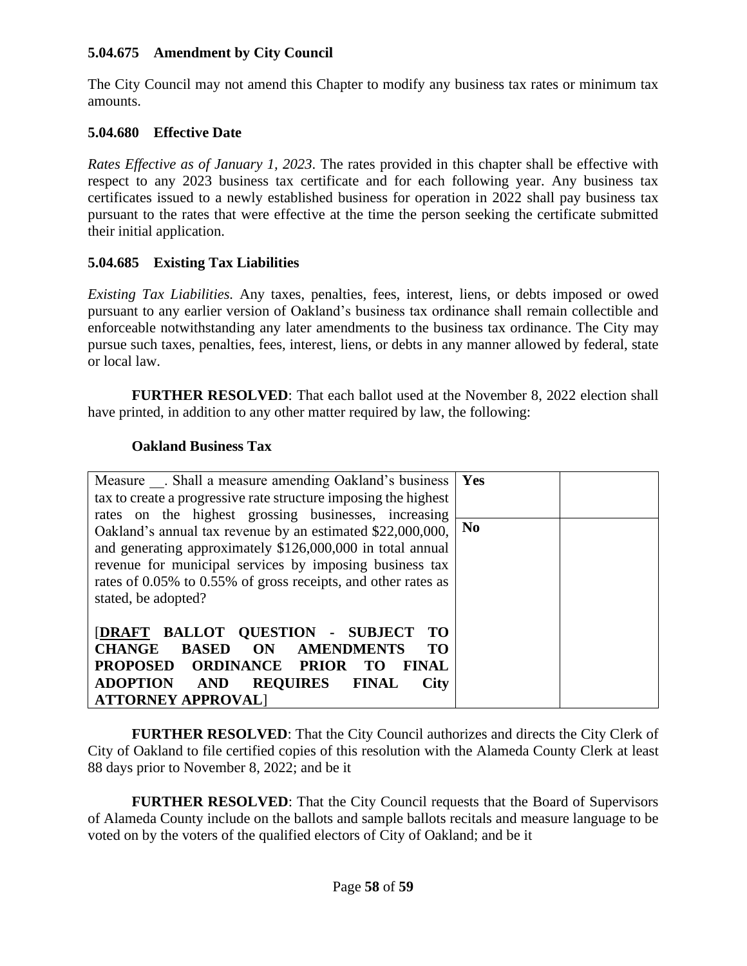#### **5.04.675 Amendment by City Council**

The City Council may not amend this Chapter to modify any business tax rates or minimum tax amounts.

#### **5.04.680 Effective Date**

*Rates Effective as of January 1, 2023*. The rates provided in this chapter shall be effective with respect to any 2023 business tax certificate and for each following year. Any business tax certificates issued to a newly established business for operation in 2022 shall pay business tax pursuant to the rates that were effective at the time the person seeking the certificate submitted their initial application.

#### **5.04.685 Existing Tax Liabilities**

*Existing Tax Liabilities.* Any taxes, penalties, fees, interest, liens, or debts imposed or owed pursuant to any earlier version of Oakland's business tax ordinance shall remain collectible and enforceable notwithstanding any later amendments to the business tax ordinance. The City may pursue such taxes, penalties, fees, interest, liens, or debts in any manner allowed by federal, state or local law.

**FURTHER RESOLVED**: That each ballot used at the November 8, 2022 election shall have printed, in addition to any other matter required by law, the following:

#### **Oakland Business Tax**

| Measure . Shall a measure amending Oakland's business                        | Yes            |  |
|------------------------------------------------------------------------------|----------------|--|
| tax to create a progressive rate structure imposing the highest              |                |  |
| rates on the highest grossing businesses, increasing                         |                |  |
| Oakland's annual tax revenue by an estimated \$22,000,000,                   | N <sub>0</sub> |  |
| and generating approximately \$126,000,000 in total annual                   |                |  |
| revenue for municipal services by imposing business tax                      |                |  |
| rates of 0.05% to 0.55% of gross receipts, and other rates as                |                |  |
| stated, be adopted?                                                          |                |  |
|                                                                              |                |  |
| <b>[DRAFT BALLOT QUESTION - SUBJECT</b><br><b>TO</b>                         |                |  |
| <b>CHANGE</b><br><b>BASED</b><br><b>AMENDMENTS</b><br><b>TO</b><br><b>ON</b> |                |  |
| PROPOSED ORDINANCE PRIOR<br><b>FINAL</b><br>TO T                             |                |  |
| <b>ADOPTION AND</b><br><b>REQUIRES FINAL</b><br>City                         |                |  |
| <b>ATTORNEY APPROVALI</b>                                                    |                |  |

**FURTHER RESOLVED**: That the City Council authorizes and directs the City Clerk of City of Oakland to file certified copies of this resolution with the Alameda County Clerk at least 88 days prior to November 8, 2022; and be it

**FURTHER RESOLVED:** That the City Council requests that the Board of Supervisors of Alameda County include on the ballots and sample ballots recitals and measure language to be voted on by the voters of the qualified electors of City of Oakland; and be it